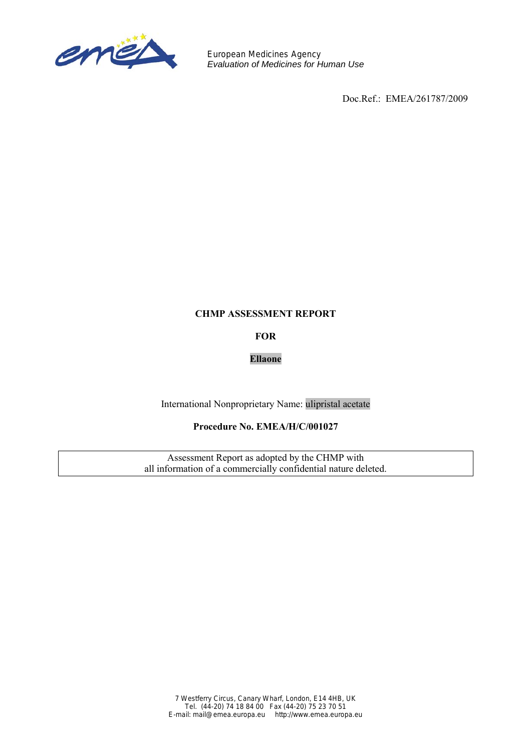

European Medicines Agency *Evaluation of Medicines for Human Use*

Doc.Ref.: EMEA/261787/2009

#### **CHMP ASSESSMENT REPORT**

**FOR** 

# **Ellaone**

International Nonproprietary Name: ulipristal acetate

# **Procedure No. EMEA/H/C/001027**

Assessment Report as adopted by the CHMP with all information of a commercially confidential nature deleted.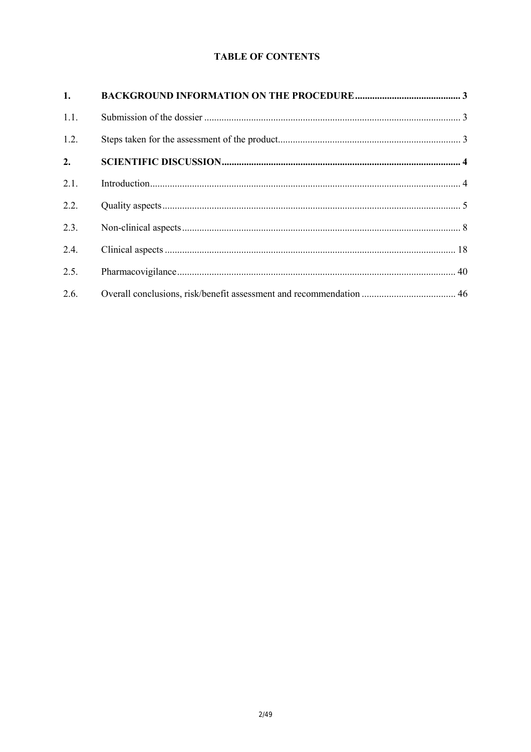# **TABLE OF CONTENTS**

| 1.   |  |
|------|--|
| 1.1. |  |
| 1.2. |  |
| 2.   |  |
| 2.1. |  |
| 2.2. |  |
| 2.3. |  |
| 2.4. |  |
| 2.5. |  |
| 2.6. |  |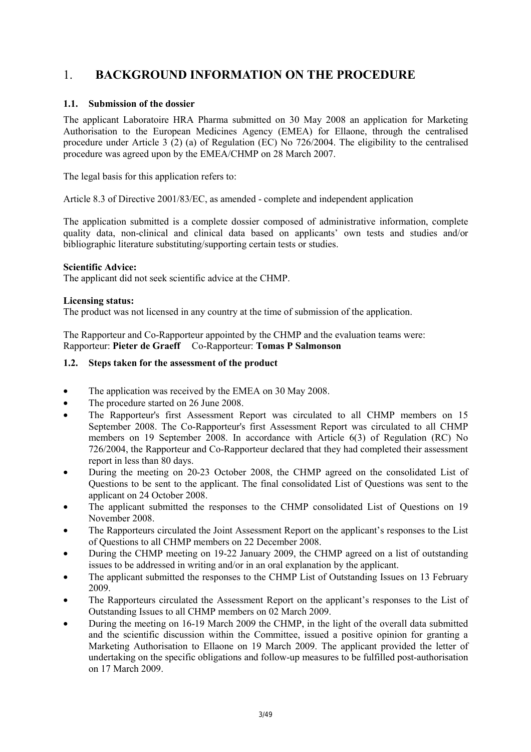# 1. **BACKGROUND INFORMATION ON THE PROCEDURE**

# **1.1. Submission of the dossier**

The applicant Laboratoire HRA Pharma submitted on 30 May 2008 an application for Marketing Authorisation to the European Medicines Agency (EMEA) for Ellaone, through the centralised procedure under Article 3 (2) (a) of Regulation (EC) No 726/2004. The eligibility to the centralised procedure was agreed upon by the EMEA/CHMP on 28 March 2007.

The legal basis for this application refers to:

Article 8.3 of Directive 2001/83/EC, as amended - complete and independent application

The application submitted is a complete dossier composed of administrative information, complete quality data, non-clinical and clinical data based on applicants' own tests and studies and/or bibliographic literature substituting/supporting certain tests or studies.

# **Scientific Advice:**

The applicant did not seek scientific advice at the CHMP.

### **Licensing status:**

The product was not licensed in any country at the time of submission of the application.

The Rapporteur and Co-Rapporteur appointed by the CHMP and the evaluation teams were: Rapporteur: **Pieter de Graeff** Co-Rapporteur: **Tomas P Salmonson**

### **1.2. Steps taken for the assessment of the product**

- The application was received by the EMEA on 30 May 2008.
- The procedure started on 26 June 2008.
- The Rapporteur's first Assessment Report was circulated to all CHMP members on 15 September 2008. The Co-Rapporteur's first Assessment Report was circulated to all CHMP members on 19 September 2008. In accordance with Article 6(3) of Regulation (RC) No 726/2004, the Rapporteur and Co-Rapporteur declared that they had completed their assessment report in less than 80 days.
- During the meeting on 20-23 October 2008, the CHMP agreed on the consolidated List of Questions to be sent to the applicant. The final consolidated List of Questions was sent to the applicant on 24 October 2008.
- The applicant submitted the responses to the CHMP consolidated List of Questions on 19 November 2008.
- The Rapporteurs circulated the Joint Assessment Report on the applicant's responses to the List of Questions to all CHMP members on 22 December 2008.
- During the CHMP meeting on 19-22 January 2009, the CHMP agreed on a list of outstanding issues to be addressed in writing and/or in an oral explanation by the applicant.
- The applicant submitted the responses to the CHMP List of Outstanding Issues on 13 February 2009.
- The Rapporteurs circulated the Assessment Report on the applicant's responses to the List of Outstanding Issues to all CHMP members on 02 March 2009.
- During the meeting on 16-19 March 2009 the CHMP, in the light of the overall data submitted and the scientific discussion within the Committee, issued a positive opinion for granting a Marketing Authorisation to Ellaone on 19 March 2009. The applicant provided the letter of undertaking on the specific obligations and follow-up measures to be fulfilled post-authorisation on 17 March 2009.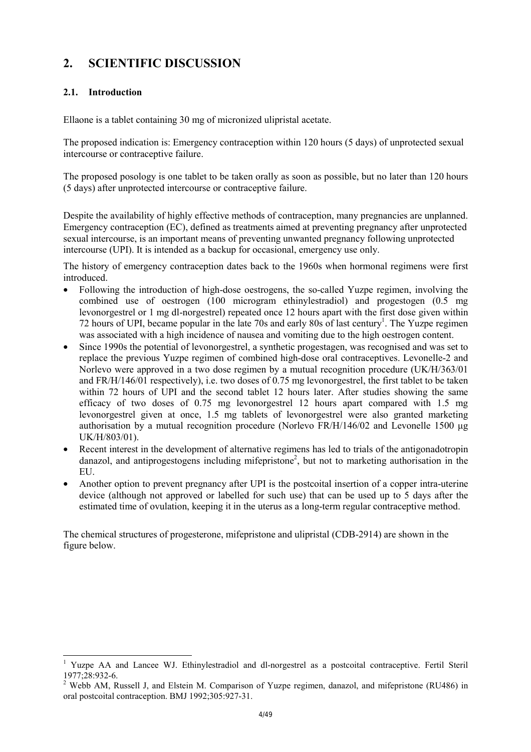# **2. SCIENTIFIC DISCUSSION**

# **2.1. Introduction**

l

Ellaone is a tablet containing 30 mg of micronized ulipristal acetate.

The proposed indication is: Emergency contraception within 120 hours (5 days) of unprotected sexual intercourse or contraceptive failure.

The proposed posology is one tablet to be taken orally as soon as possible, but no later than 120 hours (5 days) after unprotected intercourse or contraceptive failure.

Despite the availability of highly effective methods of contraception, many pregnancies are unplanned. Emergency contraception (EC), defined as treatments aimed at preventing pregnancy after unprotected sexual intercourse, is an important means of preventing unwanted pregnancy following unprotected intercourse (UPI). It is intended as a backup for occasional, emergency use only.

The history of emergency contraception dates back to the 1960s when hormonal regimens were first introduced.

- Following the introduction of high-dose oestrogens, the so-called Yuzpe regimen, involving the combined use of oestrogen (100 microgram ethinylestradiol) and progestogen (0.5 mg levonorgestrel or 1 mg dl-norgestrel) repeated once 12 hours apart with the first dose given within 72 hours of UPI, became popular in the late 70s and early 80s of last century<sup>1</sup>. The Yuzpe regimen was associated with a high incidence of nausea and vomiting due to the high oestrogen content.
- Since 1990s the potential of levonorgestrel, a synthetic progestagen, was recognised and was set to replace the previous Yuzpe regimen of combined high-dose oral contraceptives. Levonelle-2 and Norlevo were approved in a two dose regimen by a mutual recognition procedure (UK/H/363/01 and FR/H/146/01 respectively), i.e. two doses of 0.75 mg levonorgestrel, the first tablet to be taken within 72 hours of UPI and the second tablet 12 hours later. After studies showing the same efficacy of two doses of 0.75 mg levonorgestrel 12 hours apart compared with 1.5 mg levonorgestrel given at once, 1.5 mg tablets of levonorgestrel were also granted marketing authorisation by a mutual recognition procedure (Norlevo FR/H/146/02 and Levonelle 1500 µg UK/H/803/01).
- Recent interest in the development of alternative regimens has led to trials of the antigonadotropin danazol, and antiprogestogens including mifepristone<sup>2</sup>, but not to marketing authorisation in the EU.
- Another option to prevent pregnancy after UPI is the postcoital insertion of a copper intra-uterine device (although not approved or labelled for such use) that can be used up to 5 days after the estimated time of ovulation, keeping it in the uterus as a long-term regular contraceptive method.

The chemical structures of progesterone, mifepristone and ulipristal (CDB-2914) are shown in the figure below.

<sup>&</sup>lt;sup>1</sup> Yuzpe AA and Lancee WJ. Ethinylestradiol and dl-norgestrel as a postcoital contraceptive. Fertil Steril 1977;28:932-6.

<sup>&</sup>lt;sup>2</sup> Webb AM, Russell J, and Elstein M. Comparison of Yuzpe regimen, danazol, and mifepristone (RU486) in oral postcoital contraception. BMJ 1992;305:927-31.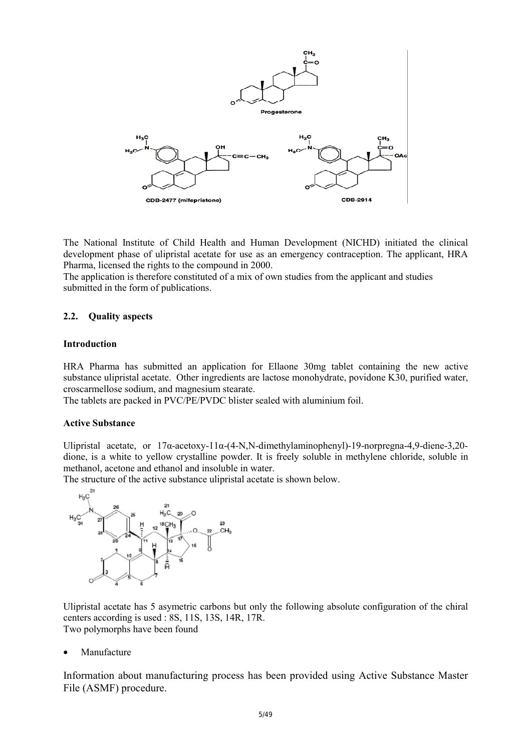

The National Institute of Child Health and Human Development (NICHD) initiated the clinical development phase of ulipristal acetate for use as an emergency contraception. The applicant, HRA Pharma, licensed the rights to the compound in 2000.

The application is therefore constituted of a mix of own studies from the applicant and studies submitted in the form of publications.

#### **2.2. Quality aspects**

#### **Introduction**

HRA Pharma has submitted an application for Ellaone 30mg tablet containing the new active substance ulipristal acetate. Other ingredients are lactose monohydrate, povidone K30, purified water, croscarmellose sodium, and magnesium stearate.

The tablets are packed in PVC/PE/PVDC blister sealed with aluminium foil.

#### **Active Substance**

Ulipristal acetate, or 17α-acetoxy-11α-(4-N,N-dimethylaminophenyl)-19-norpregna-4,9-diene-3,20 dione, is a white to yellow crystalline powder. It is freely soluble in methylene chloride, soluble in methanol, acetone and ethanol and insoluble in water.

The structure of the active substance ulipristal acetate is shown below.



Ulipristal acetate has 5 asymetric carbons but only the following absolute configuration of the chiral centers according is used : 8S, 11S, 13S, 14R, 17R. Two polymorphs have been found

• Manufacture

Information about manufacturing process has been provided using Active Substance Master File (ASMF) procedure.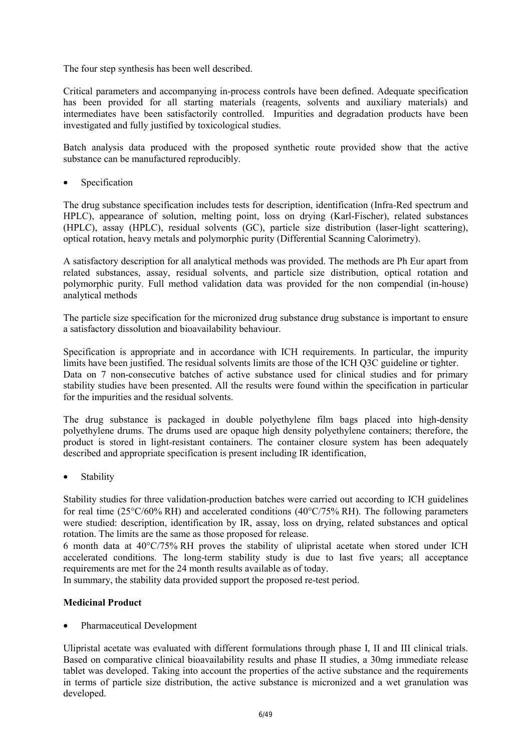The four step synthesis has been well described.

Critical parameters and accompanying in-process controls have been defined. Adequate specification has been provided for all starting materials (reagents, solvents and auxiliary materials) and intermediates have been satisfactorily controlled. Impurities and degradation products have been investigated and fully justified by toxicological studies.

Batch analysis data produced with the proposed synthetic route provided show that the active substance can be manufactured reproducibly.

**Specification** 

The drug substance specification includes tests for description, identification (Infra-Red spectrum and HPLC), appearance of solution, melting point, loss on drying (Karl-Fischer), related substances (HPLC), assay (HPLC), residual solvents (GC), particle size distribution (laser-light scattering), optical rotation, heavy metals and polymorphic purity (Differential Scanning Calorimetry).

A satisfactory description for all analytical methods was provided. The methods are Ph Eur apart from related substances, assay, residual solvents, and particle size distribution, optical rotation and polymorphic purity. Full method validation data was provided for the non compendial (in-house) analytical methods

The particle size specification for the micronized drug substance drug substance is important to ensure a satisfactory dissolution and bioavailability behaviour.

Specification is appropriate and in accordance with ICH requirements. In particular, the impurity limits have been justified. The residual solvents limits are those of the ICH Q3C guideline or tighter. Data on 7 non-consecutive batches of active substance used for clinical studies and for primary stability studies have been presented. All the results were found within the specification in particular for the impurities and the residual solvents.

The drug substance is packaged in double polyethylene film bags placed into high-density polyethylene drums. The drums used are opaque high density polyethylene containers; therefore, the product is stored in light-resistant containers. The container closure system has been adequately described and appropriate specification is present including IR identification,

• Stability

Stability studies for three validation-production batches were carried out according to ICH guidelines for real time ( $25^{\circ}$ C/60% RH) and accelerated conditions ( $40^{\circ}$ C/75% RH). The following parameters were studied: description, identification by IR, assay, loss on drying, related substances and optical rotation. The limits are the same as those proposed for release.

6 month data at 40°C/75% RH proves the stability of ulipristal acetate when stored under ICH accelerated conditions. The long-term stability study is due to last five years; all acceptance requirements are met for the 24 month results available as of today.

In summary, the stability data provided support the proposed re-test period.

# **Medicinal Product**

• Pharmaceutical Development

Ulipristal acetate was evaluated with different formulations through phase I, II and III clinical trials. Based on comparative clinical bioavailability results and phase II studies, a 30mg immediate release tablet was developed. Taking into account the properties of the active substance and the requirements in terms of particle size distribution, the active substance is micronized and a wet granulation was developed.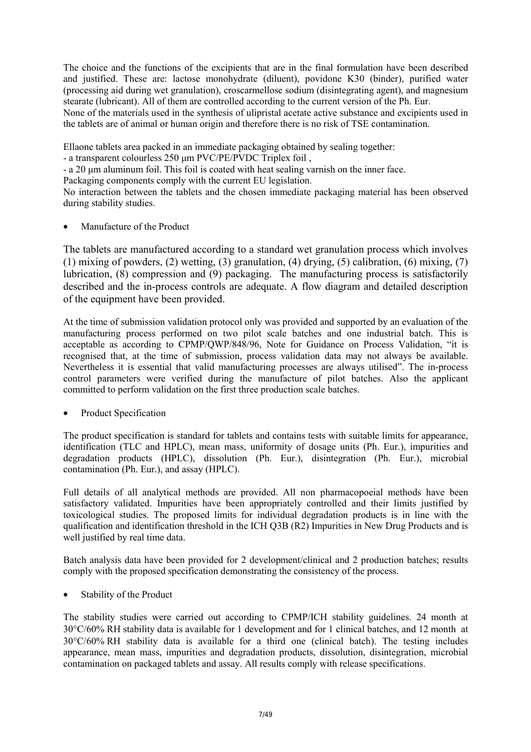The choice and the functions of the excipients that are in the final formulation have been described and justified. These are: lactose monohydrate (diluent), povidone K30 (binder), purified water (processing aid during wet granulation), croscarmellose sodium (disintegrating agent), and magnesium stearate (lubricant). All of them are controlled according to the current version of the Ph. Eur. None of the materials used in the synthesis of ulipristal acetate active substance and excipients used in the tablets are of animal or human origin and therefore there is no risk of TSE contamination.

Ellaone tablets area packed in an immediate packaging obtained by sealing together:

- a transparent colourless 250 µm PVC/PE/PVDC Triplex foil,

- a 20 µm aluminum foil. This foil is coated with heat sealing varnish on the inner face.

Packaging components comply with the current EU legislation.

No interaction between the tablets and the chosen immediate packaging material has been observed during stability studies.

• Manufacture of the Product

The tablets are manufactured according to a standard wet granulation process which involves (1) mixing of powders, (2) wetting, (3) granulation, (4) drying, (5) calibration, (6) mixing, (7) lubrication, (8) compression and (9) packaging. The manufacturing process is satisfactorily described and the in-process controls are adequate. A flow diagram and detailed description of the equipment have been provided.

At the time of submission validation protocol only was provided and supported by an evaluation of the manufacturing process performed on two pilot scale batches and one industrial batch. This is acceptable as according to CPMP/QWP/848/96, Note for Guidance on Process Validation, "it is recognised that, at the time of submission, process validation data may not always be available. Nevertheless it is essential that valid manufacturing processes are always utilised". The in-process control parameters were verified during the manufacture of pilot batches. Also the applicant committed to perform validation on the first three production scale batches.

Product Specification

The product specification is standard for tablets and contains tests with suitable limits for appearance, identification (TLC and HPLC), mean mass, uniformity of dosage units (Ph. Eur.), impurities and degradation products (HPLC), dissolution (Ph. Eur.), disintegration (Ph. Eur.), microbial contamination (Ph. Eur.), and assay (HPLC).

Full details of all analytical methods are provided. All non pharmacopoeial methods have been satisfactory validated. Impurities have been appropriately controlled and their limits justified by toxicological studies. The proposed limits for individual degradation products is in line with the qualification and identification threshold in the ICH Q3B (R2) Impurities in New Drug Products and is well justified by real time data.

Batch analysis data have been provided for 2 development/clinical and 2 production batches; results comply with the proposed specification demonstrating the consistency of the process.

Stability of the Product

The stability studies were carried out according to CPMP/ICH stability guidelines. 24 month at 30°C/60% RH stability data is available for 1 development and for 1 clinical batches, and 12 month at 30°C/60% RH stability data is available for a third one (clinical batch). The testing includes appearance, mean mass, impurities and degradation products, dissolution, disintegration, microbial contamination on packaged tablets and assay. All results comply with release specifications.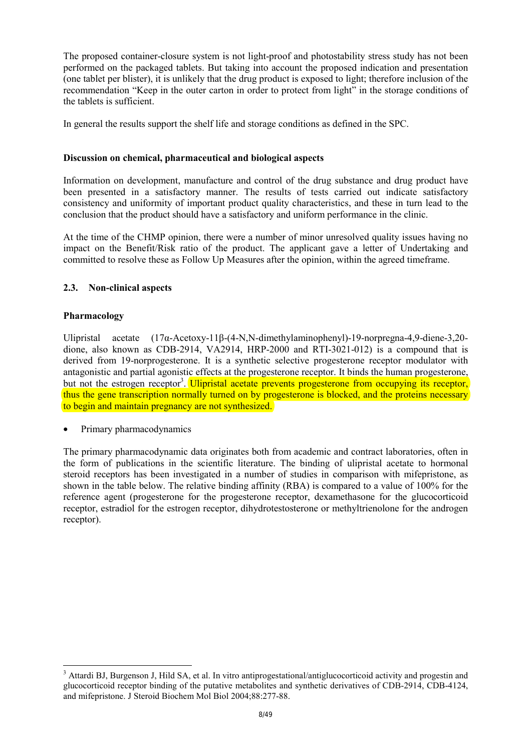The proposed container-closure system is not light-proof and photostability stress study has not been performed on the packaged tablets. But taking into account the proposed indication and presentation (one tablet per blister), it is unlikely that the drug product is exposed to light; therefore inclusion of the recommendation "Keep in the outer carton in order to protect from light" in the storage conditions of the tablets is sufficient.

In general the results support the shelf life and storage conditions as defined in the SPC.

# **Discussion on chemical, pharmaceutical and biological aspects**

Information on development, manufacture and control of the drug substance and drug product have been presented in a satisfactory manner. The results of tests carried out indicate satisfactory consistency and uniformity of important product quality characteristics, and these in turn lead to the conclusion that the product should have a satisfactory and uniform performance in the clinic.

At the time of the CHMP opinion, there were a number of minor unresolved quality issues having no impact on the Benefit/Risk ratio of the product. The applicant gave a letter of Undertaking and committed to resolve these as Follow Up Measures after the opinion, within the agreed timeframe.

### **2.3. Non-clinical aspects**

### **Pharmacology**

l

Ulipristal acetate (17α-Acetoxy-11β-(4-N,N-dimethylaminophenyl)-19-norpregna-4,9-diene-3,20 dione, also known as CDB-2914, VA2914, HRP-2000 and RTI-3021-012) is a compound that is derived from 19-norprogesterone. It is a synthetic selective progesterone receptor modulator with antagonistic and partial agonistic effects at the progesterone receptor. It binds the human progesterone, but not the estrogen receptor<sup>3</sup>. Ulipristal acetate prevents progesterone from occupying its receptor, thus the gene transcription normally turned on by progesterone is blocked, and the proteins necessary to begin and maintain pregnancy are not synthesized.

• Primary pharmacodynamics

The primary pharmacodynamic data originates both from academic and contract laboratories, often in the form of publications in the scientific literature. The binding of ulipristal acetate to hormonal steroid receptors has been investigated in a number of studies in comparison with mifepristone, as shown in the table below. The relative binding affinity (RBA) is compared to a value of 100% for the reference agent (progesterone for the progesterone receptor, dexamethasone for the glucocorticoid receptor, estradiol for the estrogen receptor, dihydrotestosterone or methyltrienolone for the androgen receptor).

<sup>&</sup>lt;sup>3</sup> Attardi BJ, Burgenson J, Hild SA, et al. In vitro antiprogestational/antiglucocorticoid activity and progestin and glucocorticoid receptor binding of the putative metabolites and synthetic derivatives of CDB-2914, CDB-4124, and mifepristone. J Steroid Biochem Mol Biol 2004;88:277-88.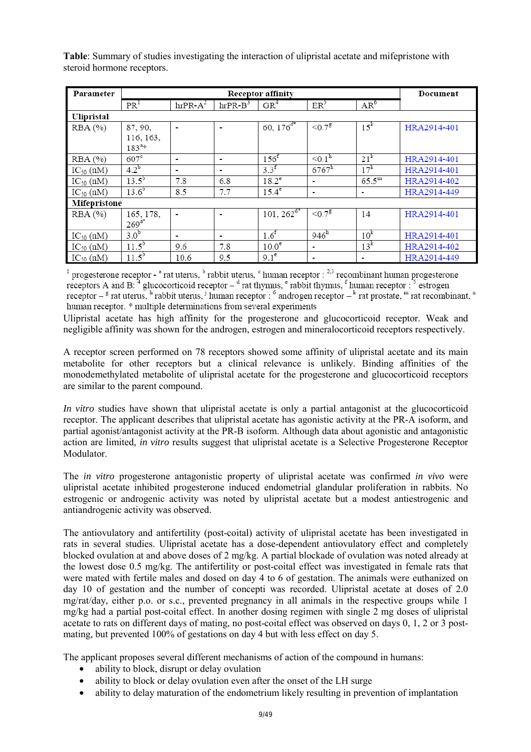| Parameter      |                  | Document       |                       |                   |                      |                 |             |  |
|----------------|------------------|----------------|-----------------------|-------------------|----------------------|-----------------|-------------|--|
|                | PR <sup>1</sup>  | $hrPR-A^2$     | $hrPR-B$ <sup>3</sup> | GR <sup>4</sup>   | ER <sup>3</sup>      | $AR^6$          |             |  |
| Ulipristal     |                  |                |                       |                   |                      |                 |             |  |
| RBA(%)         | 87, 90,          | $\blacksquare$ | $\blacksquare$        | 60, $176^{d*}$    | $< 0.7$ <sup>g</sup> | $15^k$          | HRA2914-401 |  |
|                | 116, 163,        |                |                       |                   |                      |                 |             |  |
|                | $183^{a*}$       |                |                       |                   |                      |                 |             |  |
| RBA(%)         | $607^{\circ}$    | $\blacksquare$ | $\blacksquare$        | 156 <sup>f</sup>  | < 0.1 <sup>h</sup>   | 21 <sup>k</sup> | HRA2914-401 |  |
| $IC_{50}$ (nM) | $4.2^{b}$        |                | -                     | $3.3^{f}$         | $6767^{\rm h}$       | 17 <sup>k</sup> | HRA2914-401 |  |
| $IC_{50}$ (nM) | $13.5^{b}$       | 7.8            | 6.8                   | $18.2^e$          | ۰                    | $65.5^{\rm m}$  | HRA2914-402 |  |
| $IC_{50}$ (nM) | $13.6^{b}$       | 8.5            | 7.7                   | $15.4^e$          | $\blacksquare$       | ۰               | HRA2914-449 |  |
| Mifepristone   |                  |                |                       |                   |                      |                 |             |  |
| RBA(%)         | 165, 178,        | $\blacksquare$ |                       | $101, 262^{d^4}$  | ${<}0.7^8$           | 14              | HRA2914-401 |  |
|                | $269^{a*}$       |                |                       |                   |                      |                 |             |  |
| $IC_{50}$ (nM) | 3.0 <sup>b</sup> |                | $\blacksquare$        | 1.6 <sup>f</sup>  | $946^h$              | 10 <sup>k</sup> | HRA2914-401 |  |
| $IC_{50}$ (nM) | $11.5^{b}$       | 9.6            | 7.8                   | 10.0 <sup>e</sup> | $\blacksquare$       | $13^k$          | HRA2914-402 |  |
| $IC_{50}$ (nM) | $11.5^{b}$       | 10.6           | 9.5                   | 9.1 <sup>e</sup>  | ٠                    | ٠               | HRA2914-449 |  |

**Table**: Summary of studies investigating the interaction of ulipristal acetate and mifepristone with steroid hormone receptors.

 $1$  progesterone receptor -  $^a$  rat uterus,  $^b$  rabbit uterus,  $^c$  human receptor :  $^{2,3}$  recombinant human progesterone receptors A and B:  $4$  glucocorticoid receptor  $4$  rat thymus,  $e$  rabbit thymus,  $f$  human receptor :  $5$  estrogen receptor  $-\frac{g}{g}$  rat uterus, <sup>h</sup> rabbit uterus, <sup>j</sup> human receptor : <sup>6</sup> androgen receptor  $-\frac{k}{g}$  rat prostate, <sup>m</sup> rat recombinant, <sup>n</sup> human receptor. \* multiple determinations from several experiments

Ulipristal acetate has high affinity for the progesterone and glucocorticoid receptor. Weak and negligible affinity was shown for the androgen, estrogen and mineralocorticoid receptors respectively.

A receptor screen performed on 78 receptors showed some affinity of ulipristal acetate and its main metabolite for other receptors but a clinical relevance is unlikely. Binding affinities of the monodemethylated metabolite of ulipristal acetate for the progesterone and glucocorticoid receptors are similar to the parent compound.

*In vitro* studies have shown that ulipristal acetate is only a partial antagonist at the glucocorticoid receptor. The applicant describes that ulipristal acetate has agonistic activity at the PR-A isoform, and partial agonist/antagonist activity at the PR-B isoform. Although data about agonistic and antagonistic action are limited, *in vitro* results suggest that ulipristal acetate is a Selective Progesterone Receptor Modulator.

The *in vitro* progesterone antagonistic property of ulipristal acetate was confirmed *in vivo* were ulipristal acetate inhibited progesterone induced endometrial glandular proliferation in rabbits. No estrogenic or androgenic activity was noted by ulipristal acetate but a modest antiestrogenic and antiandrogenic activity was observed.

The antiovulatory and antifertility (post-coital) activity of ulipristal acetate has been investigated in rats in several studies. Ulipristal acetate has a dose-dependent antiovulatory effect and completely blocked ovulation at and above doses of 2 mg/kg. A partial blockade of ovulation was noted already at the lowest dose 0.5 mg/kg. The antifertility or post-coital effect was investigated in female rats that were mated with fertile males and dosed on day 4 to 6 of gestation. The animals were euthanized on day 10 of gestation and the number of concepti was recorded. Ulipristal acetate at doses of 2.0 mg/rat/day, either p.o. or s.c., prevented pregnancy in all animals in the respective groups while 1 mg/kg had a partial post-coital effect. In another dosing regimen with single 2 mg doses of ulipristal acetate to rats on different days of mating, no post-coital effect was observed on days 0, 1, 2 or 3 postmating, but prevented 100% of gestations on day 4 but with less effect on day 5.

The applicant proposes several different mechanisms of action of the compound in humans:

- ability to block, disrupt or delay ovulation
- ability to block or delay ovulation even after the onset of the LH surge
- ability to delay maturation of the endometrium likely resulting in prevention of implantation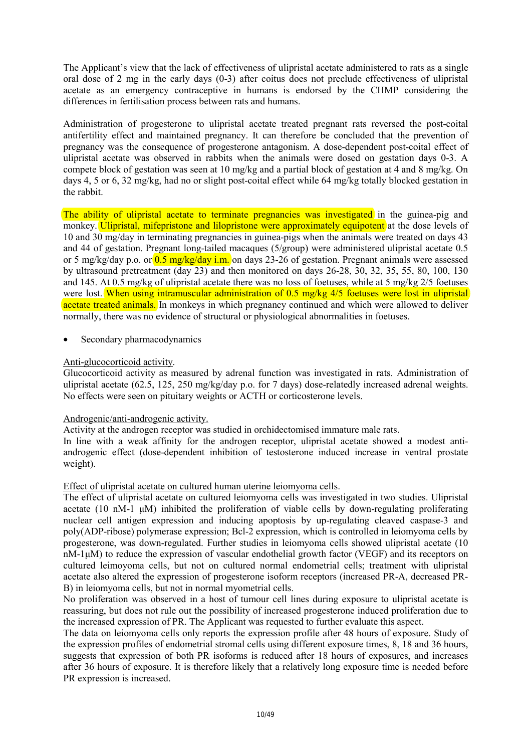The Applicant's view that the lack of effectiveness of ulipristal acetate administered to rats as a single oral dose of 2 mg in the early days (0-3) after coitus does not preclude effectiveness of ulipristal acetate as an emergency contraceptive in humans is endorsed by the CHMP considering the differences in fertilisation process between rats and humans.

Administration of progesterone to ulipristal acetate treated pregnant rats reversed the post-coital antifertility effect and maintained pregnancy. It can therefore be concluded that the prevention of pregnancy was the consequence of progesterone antagonism. A dose-dependent post-coital effect of ulipristal acetate was observed in rabbits when the animals were dosed on gestation days 0-3. A compete block of gestation was seen at 10 mg/kg and a partial block of gestation at 4 and 8 mg/kg. On days 4, 5 or 6, 32 mg/kg, had no or slight post-coital effect while 64 mg/kg totally blocked gestation in the rabbit.

The ability of ulipristal acetate to terminate pregnancies was investigated in the guinea-pig and monkey. Ulipristal, mifepristone and lilopristone were approximately equipotent at the dose levels of 10 and 30 mg/day in terminating pregnancies in guinea-pigs when the animals were treated on days 43 and 44 of gestation. Pregnant long-tailed macaques (5/group) were administered ulipristal acetate 0.5 or 5 mg/kg/day p.o. or 0.5 mg/kg/day i.m. on days 23-26 of gestation. Pregnant animals were assessed by ultrasound pretreatment (day 23) and then monitored on days 26-28, 30, 32, 35, 55, 80, 100, 130 and 145. At 0.5 mg/kg of ulipristal acetate there was no loss of foetuses, while at 5 mg/kg 2/5 foetuses were lost. When using intramuscular administration of 0.5 mg/kg 4/5 foetuses were lost in ulipristal acetate treated animals. In monkeys in which pregnancy continued and which were allowed to deliver normally, there was no evidence of structural or physiological abnormalities in foetuses.

Secondary pharmacodynamics

### Anti-glucocorticoid activity.

Glucocorticoid activity as measured by adrenal function was investigated in rats. Administration of ulipristal acetate (62.5, 125, 250 mg/kg/day p.o. for 7 days) dose-relatedly increased adrenal weights. No effects were seen on pituitary weights or ACTH or corticosterone levels.

#### Androgenic/anti-androgenic activity.

Activity at the androgen receptor was studied in orchidectomised immature male rats.

In line with a weak affinity for the androgen receptor, ulipristal acetate showed a modest antiandrogenic effect (dose-dependent inhibition of testosterone induced increase in ventral prostate weight).

#### Effect of ulipristal acetate on cultured human uterine leiomyoma cells.

The effect of ulipristal acetate on cultured leiomyoma cells was investigated in two studies. Ulipristal acetate (10 nM-1  $\mu$ M) inhibited the proliferation of viable cells by down-regulating proliferating nuclear cell antigen expression and inducing apoptosis by up-regulating cleaved caspase-3 and poly(ADP-ribose) polymerase expression; Bcl-2 expression, which is controlled in leiomyoma cells by progesterone, was down-regulated. Further studies in leiomyoma cells showed ulipristal acetate (10 nM-1µM) to reduce the expression of vascular endothelial growth factor (VEGF) and its receptors on cultured leimoyoma cells, but not on cultured normal endometrial cells; treatment with ulipristal acetate also altered the expression of progesterone isoform receptors (increased PR-A, decreased PR-B) in leiomyoma cells, but not in normal myometrial cells.

No proliferation was observed in a host of tumour cell lines during exposure to ulipristal acetate is reassuring, but does not rule out the possibility of increased progesterone induced proliferation due to the increased expression of PR. The Applicant was requested to further evaluate this aspect.

The data on leiomyoma cells only reports the expression profile after 48 hours of exposure. Study of the expression profiles of endometrial stromal cells using different exposure times, 8, 18 and 36 hours, suggests that expression of both PR isoforms is reduced after 18 hours of exposures, and increases after 36 hours of exposure. It is therefore likely that a relatively long exposure time is needed before PR expression is increased.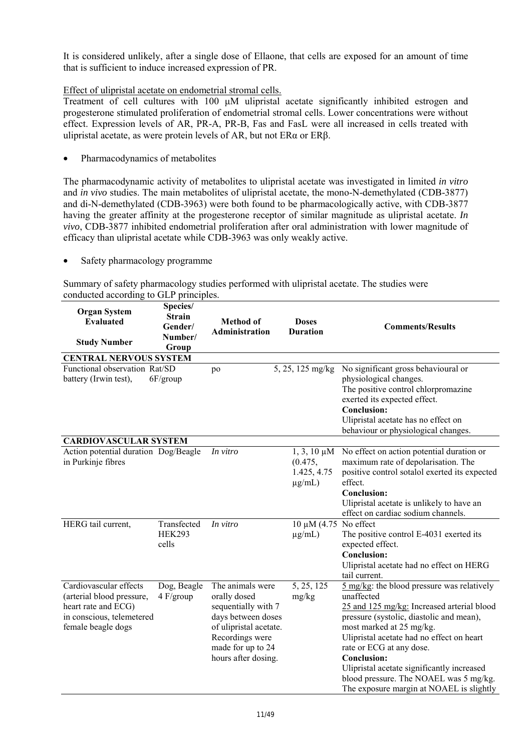It is considered unlikely, after a single dose of Ellaone, that cells are exposed for an amount of time that is sufficient to induce increased expression of PR.

# Effect of ulipristal acetate on endometrial stromal cells.

Treatment of cell cultures with 100  $\mu$ M ulipristal acetate significantly inhibited estrogen and progesterone stimulated proliferation of endometrial stromal cells. Lower concentrations were without effect. Expression levels of AR, PR-A, PR-B, Fas and FasL were all increased in cells treated with ulipristal acetate, as were protein levels of AR, but not ERα or ERβ.

• Pharmacodynamics of metabolites

The pharmacodynamic activity of metabolites to ulipristal acetate was investigated in limited *in vitro* and *in vivo* studies. The main metabolites of ulipristal acetate, the mono-N-demethylated (CDB-3877) and di-N-demethylated (CDB-3963) were both found to be pharmacologically active, with CDB-3877 having the greater affinity at the progesterone receptor of similar magnitude as ulipristal acetate. *In vivo*, CDB-3877 inhibited endometrial proliferation after oral administration with lower magnitude of efficacy than ulipristal acetate while CDB-3963 was only weakly active.

• Safety pharmacology programme

Summary of safety pharmacology studies performed with ulipristal acetate. The studies were conducted according to GLP principles.

| <b>Organ System</b><br><b>Evaluated</b><br><b>Study Number</b>                                                                | Species/<br><b>Strain</b><br>Gender/<br>Number/<br>Group | <b>Method</b> of<br>Administration                                                                                                                                     | <b>Doses</b><br><b>Duration</b>                           | <b>Comments/Results</b>                                                                                                                                                                                                                                                                                                                                                                                           |
|-------------------------------------------------------------------------------------------------------------------------------|----------------------------------------------------------|------------------------------------------------------------------------------------------------------------------------------------------------------------------------|-----------------------------------------------------------|-------------------------------------------------------------------------------------------------------------------------------------------------------------------------------------------------------------------------------------------------------------------------------------------------------------------------------------------------------------------------------------------------------------------|
| <b>CENTRAL NERVOUS SYSTEM</b>                                                                                                 |                                                          |                                                                                                                                                                        |                                                           |                                                                                                                                                                                                                                                                                                                                                                                                                   |
| Functional observation Rat/SD<br>battery (Irwin test),                                                                        | $6F/$ group                                              | po                                                                                                                                                                     | $\overline{5, 25, 125}$ mg/kg                             | No significant gross behavioural or<br>physiological changes.<br>The positive control chlorpromazine<br>exerted its expected effect.<br>Conclusion:<br>Ulipristal acetate has no effect on<br>behaviour or physiological changes.                                                                                                                                                                                 |
| <b>CARDIOVASCULAR SYSTEM</b>                                                                                                  |                                                          |                                                                                                                                                                        |                                                           |                                                                                                                                                                                                                                                                                                                                                                                                                   |
| Action potential duration Dog/Beagle<br>in Purkinje fibres                                                                    |                                                          | In vitro                                                                                                                                                               | $1, 3, 10 \mu M$<br>(0.475,<br>1.425, 4.75<br>$\mu$ g/mL) | No effect on action potential duration or<br>maximum rate of depolarisation. The<br>positive control sotalol exerted its expected<br>effect.<br><b>Conclusion:</b><br>Ulipristal acetate is unlikely to have an<br>effect on cardiac sodium channels.                                                                                                                                                             |
| HERG tail current,                                                                                                            | Transfected<br><b>HEK293</b><br>cells                    | In vitro                                                                                                                                                               | $10 \mu M$ (4.75 No effect<br>$\mu$ g/mL)                 | The positive control E-4031 exerted its<br>expected effect.<br><b>Conclusion:</b><br>Ulipristal acetate had no effect on HERG<br>tail current.                                                                                                                                                                                                                                                                    |
| Cardiovascular effects<br>(arterial blood pressure,<br>heart rate and ECG)<br>in conscious, telemetered<br>female beagle dogs | Dog, Beagle<br>4 F/group                                 | The animals were<br>orally dosed<br>sequentially with 7<br>days between doses<br>of ulipristal acetate.<br>Recordings were<br>made for up to 24<br>hours after dosing. | 5, 25, 125<br>mg/kg                                       | 5 mg/kg: the blood pressure was relatively<br>unaffected<br>25 and 125 mg/kg: Increased arterial blood<br>pressure (systolic, diastolic and mean),<br>most marked at 25 mg/kg.<br>Ulipristal acetate had no effect on heart<br>rate or ECG at any dose.<br><b>Conclusion:</b><br>Ulipristal acetate significantly increased<br>blood pressure. The NOAEL was 5 mg/kg.<br>The exposure margin at NOAEL is slightly |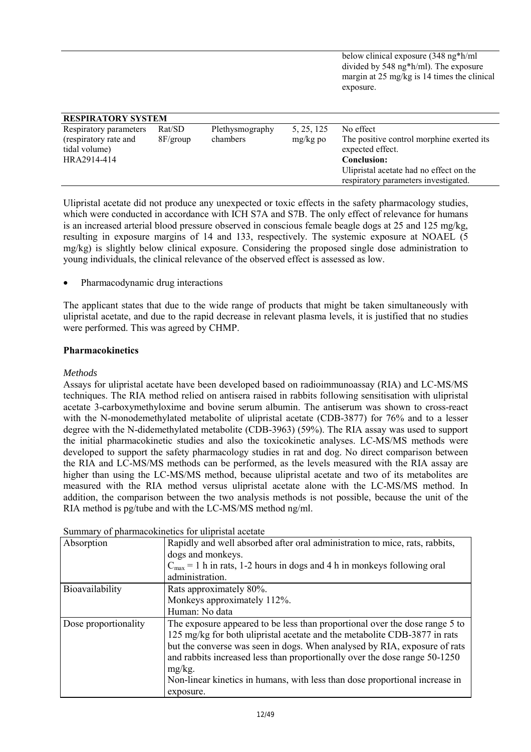below clinical exposure (348 ng\*h/ml divided by 548 ng\*h/ml). The exposure margin at 25 mg/kg is 14 times the clinical exposure.

| <b>RESPIRATORY SYSTEM</b> |             |                 |            |                                           |
|---------------------------|-------------|-----------------|------------|-------------------------------------------|
| Respiratory parameters    | Rat/SD      | Plethysmography | 5, 25, 125 | No effect                                 |
| (respiratory rate and     | $8F/$ group | chambers        | $mg/kg$ po | The positive control morphine exerted its |
| tidal volume)             |             |                 |            | expected effect.                          |
| HRA2914-414               |             |                 |            | <b>Conclusion:</b>                        |
|                           |             |                 |            | Ulipristal acetate had no effect on the   |
|                           |             |                 |            | respiratory parameters investigated.      |

Ulipristal acetate did not produce any unexpected or toxic effects in the safety pharmacology studies, which were conducted in accordance with ICH S7A and S7B. The only effect of relevance for humans is an increased arterial blood pressure observed in conscious female beagle dogs at 25 and 125 mg/kg, resulting in exposure margins of 14 and 133, respectively. The systemic exposure at NOAEL (5 mg/kg) is slightly below clinical exposure. Considering the proposed single dose administration to young individuals, the clinical relevance of the observed effect is assessed as low.

• Pharmacodynamic drug interactions

The applicant states that due to the wide range of products that might be taken simultaneously with ulipristal acetate, and due to the rapid decrease in relevant plasma levels, it is justified that no studies were performed. This was agreed by CHMP.

### **Pharmacokinetics**

### *Methods*

Assays for ulipristal acetate have been developed based on radioimmunoassay (RIA) and LC-MS/MS techniques. The RIA method relied on antisera raised in rabbits following sensitisation with ulipristal acetate 3-carboxymethyloxime and bovine serum albumin. The antiserum was shown to cross-react with the N-monodemethylated metabolite of ulipristal acetate (CDB-3877) for 76% and to a lesser degree with the N-didemethylated metabolite (CDB-3963) (59%). The RIA assay was used to support the initial pharmacokinetic studies and also the toxicokinetic analyses. LC-MS/MS methods were developed to support the safety pharmacology studies in rat and dog. No direct comparison between the RIA and LC-MS/MS methods can be performed, as the levels measured with the RIA assay are higher than using the LC-MS/MS method, because ulipristal acetate and two of its metabolites are measured with the RIA method versus ulipristal acetate alone with the LC-MS/MS method. In addition, the comparison between the two analysis methods is not possible, because the unit of the RIA method is pg/tube and with the LC-MS/MS method ng/ml.

| Absorption           | Rapidly and well absorbed after oral administration to mice, rats, rabbits,                                                                                                                                                                                                                                                                                                                                     |
|----------------------|-----------------------------------------------------------------------------------------------------------------------------------------------------------------------------------------------------------------------------------------------------------------------------------------------------------------------------------------------------------------------------------------------------------------|
|                      | dogs and monkeys.                                                                                                                                                                                                                                                                                                                                                                                               |
|                      | $C_{\text{max}} = 1$ h in rats, 1-2 hours in dogs and 4 h in monkeys following oral                                                                                                                                                                                                                                                                                                                             |
|                      | administration.                                                                                                                                                                                                                                                                                                                                                                                                 |
| Bioavailability      | Rats approximately 80%.                                                                                                                                                                                                                                                                                                                                                                                         |
|                      | Monkeys approximately 112%.                                                                                                                                                                                                                                                                                                                                                                                     |
|                      | Human: No data                                                                                                                                                                                                                                                                                                                                                                                                  |
| Dose proportionality | The exposure appeared to be less than proportional over the dose range 5 to<br>125 mg/kg for both ulipristal acetate and the metabolite CDB-3877 in rats<br>but the converse was seen in dogs. When analysed by RIA, exposure of rats<br>and rabbits increased less than proportionally over the dose range 50-1250<br>$mg/kg$ .<br>Non-linear kinetics in humans, with less than dose proportional increase in |
|                      | exposure.                                                                                                                                                                                                                                                                                                                                                                                                       |

Summary of pharmacokinetics for ulipristal acetate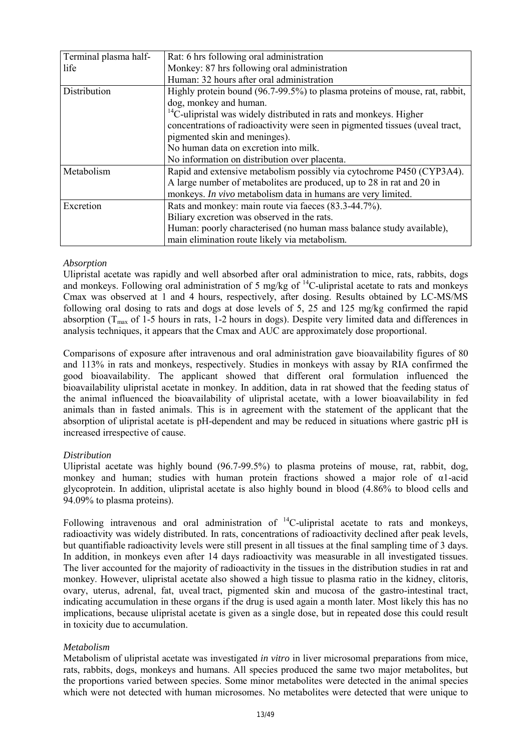| Terminal plasma half- | Rat: 6 hrs following oral administration                                     |
|-----------------------|------------------------------------------------------------------------------|
| life                  | Monkey: 87 hrs following oral administration                                 |
|                       | Human: 32 hours after oral administration                                    |
| Distribution          | Highly protein bound (96.7-99.5%) to plasma proteins of mouse, rat, rabbit,  |
|                       | dog, monkey and human.                                                       |
|                       | $^{14}$ C-ulipristal was widely distributed in rats and monkeys. Higher      |
|                       | concentrations of radioactivity were seen in pigmented tissues (uveal tract, |
|                       | pigmented skin and meninges).                                                |
|                       | No human data on excretion into milk.                                        |
|                       | No information on distribution over placenta.                                |
| Metabolism            | Rapid and extensive metabolism possibly via cytochrome P450 (CYP3A4).        |
|                       | A large number of metabolities are produced, up to 28 in rat and 20 in       |
|                       | monkeys. In vivo metabolism data in humans are very limited.                 |
| Excretion             | Rats and monkey: main route via faeces (83.3-44.7%).                         |
|                       | Biliary excretion was observed in the rats.                                  |
|                       | Human: poorly characterised (no human mass balance study available),         |
|                       | main elimination route likely via metabolism.                                |

#### *Absorption*

Ulipristal acetate was rapidly and well absorbed after oral administration to mice, rats, rabbits, dogs and monkeys. Following oral administration of 5 mg/kg of  $^{14}$ C-ulipristal acetate to rats and monkeys Cmax was observed at 1 and 4 hours, respectively, after dosing. Results obtained by LC-MS/MS following oral dosing to rats and dogs at dose levels of 5, 25 and 125 mg/kg confirmed the rapid absorption  $(T_{\text{max}}$  of 1-5 hours in rats, 1-2 hours in dogs). Despite very limited data and differences in analysis techniques, it appears that the Cmax and AUC are approximately dose proportional.

Comparisons of exposure after intravenous and oral administration gave bioavailability figures of 80 and 113% in rats and monkeys, respectively. Studies in monkeys with assay by RIA confirmed the good bioavailability. The applicant showed that different oral formulation influenced the bioavailability ulipristal acetate in monkey. In addition, data in rat showed that the feeding status of the animal influenced the bioavailability of ulipristal acetate, with a lower bioavailability in fed animals than in fasted animals. This is in agreement with the statement of the applicant that the absorption of ulipristal acetate is pH-dependent and may be reduced in situations where gastric pH is increased irrespective of cause.

# *Distribution*

Ulipristal acetate was highly bound (96.7-99.5%) to plasma proteins of mouse, rat, rabbit, dog, monkey and human; studies with human protein fractions showed a major role of α1-acid glycoprotein. In addition, ulipristal acetate is also highly bound in blood (4.86% to blood cells and 94.09% to plasma proteins).

Following intravenous and oral administration of  $^{14}$ C-ulipristal acetate to rats and monkeys, radioactivity was widely distributed. In rats, concentrations of radioactivity declined after peak levels, but quantifiable radioactivity levels were still present in all tissues at the final sampling time of 3 days. In addition, in monkeys even after 14 days radioactivity was measurable in all investigated tissues. The liver accounted for the majority of radioactivity in the tissues in the distribution studies in rat and monkey. However, ulipristal acetate also showed a high tissue to plasma ratio in the kidney, clitoris, ovary, uterus, adrenal, fat, uveal tract, pigmented skin and mucosa of the gastro-intestinal tract, indicating accumulation in these organs if the drug is used again a month later. Most likely this has no implications, because ulipristal acetate is given as a single dose, but in repeated dose this could result in toxicity due to accumulation.

# *Metabolism*

Metabolism of ulipristal acetate was investigated *in vitro* in liver microsomal preparations from mice, rats, rabbits, dogs, monkeys and humans. All species produced the same two major metabolites, but the proportions varied between species. Some minor metabolites were detected in the animal species which were not detected with human microsomes. No metabolites were detected that were unique to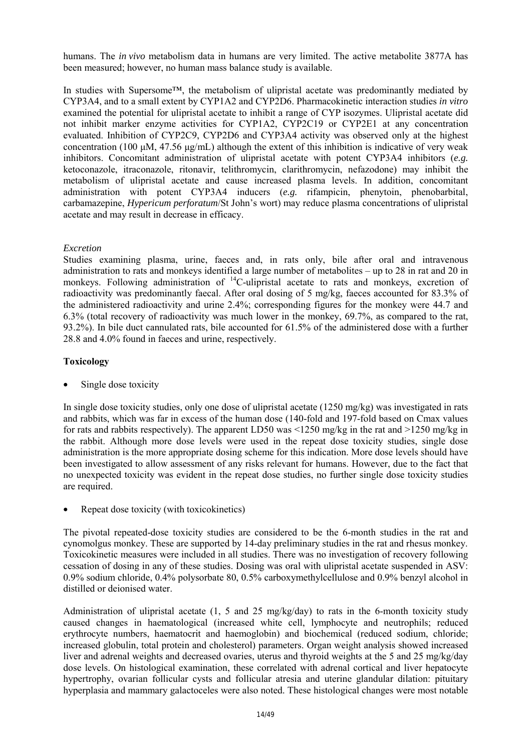humans. The *in vivo* metabolism data in humans are very limited. The active metabolite 3877A has been measured; however, no human mass balance study is available.

In studies with Supersome™, the metabolism of ulipristal acetate was predominantly mediated by CYP3A4, and to a small extent by CYP1A2 and CYP2D6. Pharmacokinetic interaction studies *in vitro* examined the potential for ulipristal acetate to inhibit a range of CYP isozymes. Ulipristal acetate did not inhibit marker enzyme activities for CYP1A2, CYP2C19 or CYP2E1 at any concentration evaluated. Inhibition of CYP2C9, CYP2D6 and CYP3A4 activity was observed only at the highest concentration (100  $\mu$ M, 47.56  $\mu$ g/mL) although the extent of this inhibition is indicative of very weak inhibitors. Concomitant administration of ulipristal acetate with potent CYP3A4 inhibitors (*e.g.* ketoconazole, itraconazole, ritonavir, telithromycin, clarithromycin, nefazodone) may inhibit the metabolism of ulipristal acetate and cause increased plasma levels. In addition, concomitant administration with potent CYP3A4 inducers (*e.g.* rifampicin, phenytoin, phenobarbital, carbamazepine, *Hypericum perforatum*/St John's wort) may reduce plasma concentrations of ulipristal acetate and may result in decrease in efficacy.

### *Excretion*

Studies examining plasma, urine, faeces and, in rats only, bile after oral and intravenous administration to rats and monkeys identified a large number of metabolites – up to 28 in rat and 20 in monkeys. Following administration of  ${}^{14}$ C-ulipristal acetate to rats and monkeys, excretion of radioactivity was predominantly faecal. After oral dosing of 5 mg/kg, faeces accounted for 83.3% of the administered radioactivity and urine 2.4%; corresponding figures for the monkey were 44.7 and 6.3% (total recovery of radioactivity was much lower in the monkey, 69.7%, as compared to the rat, 93.2%). In bile duct cannulated rats, bile accounted for 61.5% of the administered dose with a further 28.8 and 4.0% found in faeces and urine, respectively.

### **Toxicology**

Single dose toxicity

In single dose toxicity studies, only one dose of ulipristal acetate (1250 mg/kg) was investigated in rats and rabbits, which was far in excess of the human dose (140-fold and 197-fold based on Cmax values for rats and rabbits respectively). The apparent LD50 was <1250 mg/kg in the rat and >1250 mg/kg in the rabbit. Although more dose levels were used in the repeat dose toxicity studies, single dose administration is the more appropriate dosing scheme for this indication. More dose levels should have been investigated to allow assessment of any risks relevant for humans. However, due to the fact that no unexpected toxicity was evident in the repeat dose studies, no further single dose toxicity studies are required.

• Repeat dose toxicity (with toxicokinetics)

The pivotal repeated-dose toxicity studies are considered to be the 6-month studies in the rat and cynomolgus monkey. These are supported by 14-day preliminary studies in the rat and rhesus monkey. Toxicokinetic measures were included in all studies. There was no investigation of recovery following cessation of dosing in any of these studies. Dosing was oral with ulipristal acetate suspended in ASV: 0.9% sodium chloride, 0.4% polysorbate 80, 0.5% carboxymethylcellulose and 0.9% benzyl alcohol in distilled or deionised water.

Administration of ulipristal acetate (1, 5 and 25 mg/kg/day) to rats in the 6-month toxicity study caused changes in haematological (increased white cell, lymphocyte and neutrophils; reduced erythrocyte numbers, haematocrit and haemoglobin) and biochemical (reduced sodium, chloride; increased globulin, total protein and cholesterol) parameters. Organ weight analysis showed increased liver and adrenal weights and decreased ovaries, uterus and thyroid weights at the 5 and 25 mg/kg/day dose levels. On histological examination, these correlated with adrenal cortical and liver hepatocyte hypertrophy, ovarian follicular cysts and follicular atresia and uterine glandular dilation: pituitary hyperplasia and mammary galactoceles were also noted. These histological changes were most notable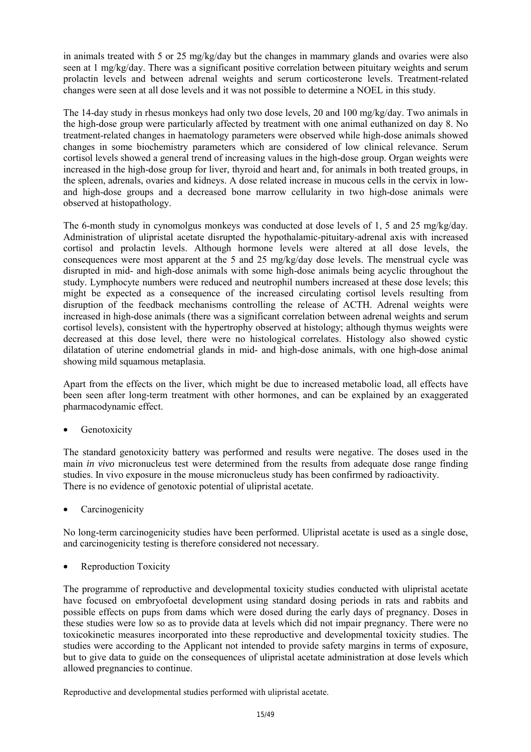in animals treated with 5 or 25 mg/kg/day but the changes in mammary glands and ovaries were also seen at 1 mg/kg/day. There was a significant positive correlation between pituitary weights and serum prolactin levels and between adrenal weights and serum corticosterone levels. Treatment-related changes were seen at all dose levels and it was not possible to determine a NOEL in this study.

The 14-day study in rhesus monkeys had only two dose levels, 20 and 100 mg/kg/day. Two animals in the high-dose group were particularly affected by treatment with one animal euthanized on day 8. No treatment-related changes in haematology parameters were observed while high-dose animals showed changes in some biochemistry parameters which are considered of low clinical relevance. Serum cortisol levels showed a general trend of increasing values in the high-dose group. Organ weights were increased in the high-dose group for liver, thyroid and heart and, for animals in both treated groups, in the spleen, adrenals, ovaries and kidneys. A dose related increase in mucous cells in the cervix in lowand high-dose groups and a decreased bone marrow cellularity in two high-dose animals were observed at histopathology.

The 6-month study in cynomolgus monkeys was conducted at dose levels of 1, 5 and 25 mg/kg/day. Administration of ulipristal acetate disrupted the hypothalamic-pituitary-adrenal axis with increased cortisol and prolactin levels. Although hormone levels were altered at all dose levels, the consequences were most apparent at the 5 and 25 mg/kg/day dose levels. The menstrual cycle was disrupted in mid- and high-dose animals with some high-dose animals being acyclic throughout the study. Lymphocyte numbers were reduced and neutrophil numbers increased at these dose levels; this might be expected as a consequence of the increased circulating cortisol levels resulting from disruption of the feedback mechanisms controlling the release of ACTH. Adrenal weights were increased in high-dose animals (there was a significant correlation between adrenal weights and serum cortisol levels), consistent with the hypertrophy observed at histology; although thymus weights were decreased at this dose level, there were no histological correlates. Histology also showed cystic dilatation of uterine endometrial glands in mid- and high-dose animals, with one high-dose animal showing mild squamous metaplasia.

Apart from the effects on the liver, which might be due to increased metabolic load, all effects have been seen after long-term treatment with other hormones, and can be explained by an exaggerated pharmacodynamic effect.

Genotoxicity

The standard genotoxicity battery was performed and results were negative. The doses used in the main *in vivo* micronucleus test were determined from the results from adequate dose range finding studies. In vivo exposure in the mouse micronucleus study has been confirmed by radioactivity. There is no evidence of genotoxic potential of ulipristal acetate.

**Carcinogenicity** 

No long-term carcinogenicity studies have been performed. Ulipristal acetate is used as a single dose, and carcinogenicity testing is therefore considered not necessary.

• Reproduction Toxicity

The programme of reproductive and developmental toxicity studies conducted with ulipristal acetate have focused on embryofoetal development using standard dosing periods in rats and rabbits and possible effects on pups from dams which were dosed during the early days of pregnancy. Doses in these studies were low so as to provide data at levels which did not impair pregnancy. There were no toxicokinetic measures incorporated into these reproductive and developmental toxicity studies. The studies were according to the Applicant not intended to provide safety margins in terms of exposure, but to give data to guide on the consequences of ulipristal acetate administration at dose levels which allowed pregnancies to continue.

Reproductive and developmental studies performed with ulipristal acetate.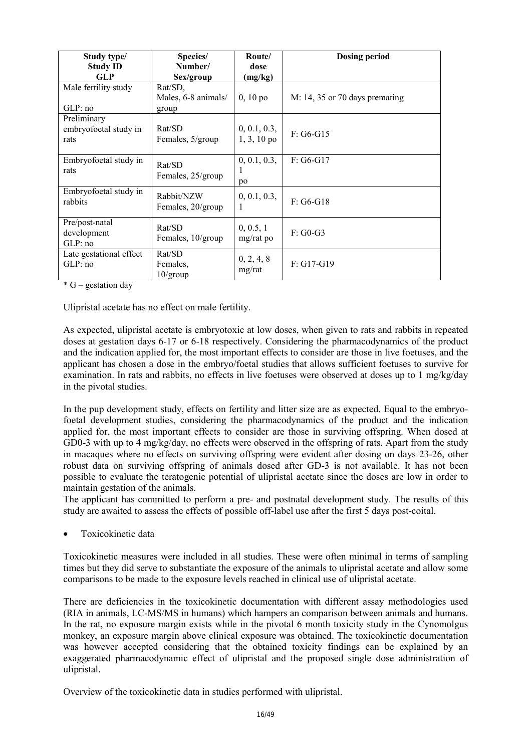| Study type/             | Species/            | Route/        | <b>Dosing period</b>           |
|-------------------------|---------------------|---------------|--------------------------------|
| <b>Study ID</b>         | Number/             | dose          |                                |
| <b>GLP</b>              | Sex/group           | (mg/kg)       |                                |
| Male fertility study    | Rat/SD,             |               |                                |
|                         | Males, 6-8 animals/ | $0, 10$ po    | M: 14, 35 or 70 days premating |
| GLP:no                  | group               |               |                                |
| Preliminary             |                     |               |                                |
| embryofoetal study in   | Rat/SD              | 0, 0.1, 0.3,  | $F: G6-G15$                    |
| rats                    | Females, 5/group    | $1, 3, 10$ po |                                |
|                         |                     |               |                                |
| Embryofoetal study in   | Rat/SD              | 0, 0.1, 0.3,  | $F: G6-G17$                    |
| rats                    | Females, 25/group   |               |                                |
|                         |                     | po            |                                |
| Embryofoetal study in   | Rabbit/NZW          | 0, 0.1, 0.3,  |                                |
| rabbits                 | Females, 20/group   |               | $F: G6-G18$                    |
|                         |                     |               |                                |
| Pre/post-natal          | Rat/SD              | 0, 0.5, 1     |                                |
| development             | Females, 10/group   | $mg/rat$ po   | $F: GO-G3$                     |
| GLP:no                  |                     |               |                                |
| Late gestational effect | Rat/SD              | 0, 2, 4, 8    |                                |
| GLP:no                  | Females.            | mg/rat        | $F: G17-G19$                   |
|                         | $10/\text{group}$   |               |                                |

 $*$  G – gestation day

Ulipristal acetate has no effect on male fertility.

As expected, ulipristal acetate is embryotoxic at low doses, when given to rats and rabbits in repeated doses at gestation days 6-17 or 6-18 respectively. Considering the pharmacodynamics of the product and the indication applied for, the most important effects to consider are those in live foetuses, and the applicant has chosen a dose in the embryo/foetal studies that allows sufficient foetuses to survive for examination. In rats and rabbits, no effects in live foetuses were observed at doses up to 1 mg/kg/day in the pivotal studies.

In the pup development study, effects on fertility and litter size are as expected. Equal to the embryofoetal development studies, considering the pharmacodynamics of the product and the indication applied for, the most important effects to consider are those in surviving offspring. When dosed at GD0-3 with up to 4 mg/kg/day, no effects were observed in the offspring of rats. Apart from the study in macaques where no effects on surviving offspring were evident after dosing on days 23-26, other robust data on surviving offspring of animals dosed after GD-3 is not available. It has not been possible to evaluate the teratogenic potential of ulipristal acetate since the doses are low in order to maintain gestation of the animals.

The applicant has committed to perform a pre- and postnatal development study. The results of this study are awaited to assess the effects of possible off-label use after the first 5 days post-coital.

• Toxicokinetic data

Toxicokinetic measures were included in all studies. These were often minimal in terms of sampling times but they did serve to substantiate the exposure of the animals to ulipristal acetate and allow some comparisons to be made to the exposure levels reached in clinical use of ulipristal acetate.

There are deficiencies in the toxicokinetic documentation with different assay methodologies used (RIA in animals, LC-MS/MS in humans) which hampers an comparison between animals and humans. In the rat, no exposure margin exists while in the pivotal 6 month toxicity study in the Cynomolgus monkey, an exposure margin above clinical exposure was obtained. The toxicokinetic documentation was however accepted considering that the obtained toxicity findings can be explained by an exaggerated pharmacodynamic effect of ulipristal and the proposed single dose administration of ulipristal.

Overview of the toxicokinetic data in studies performed with ulipristal.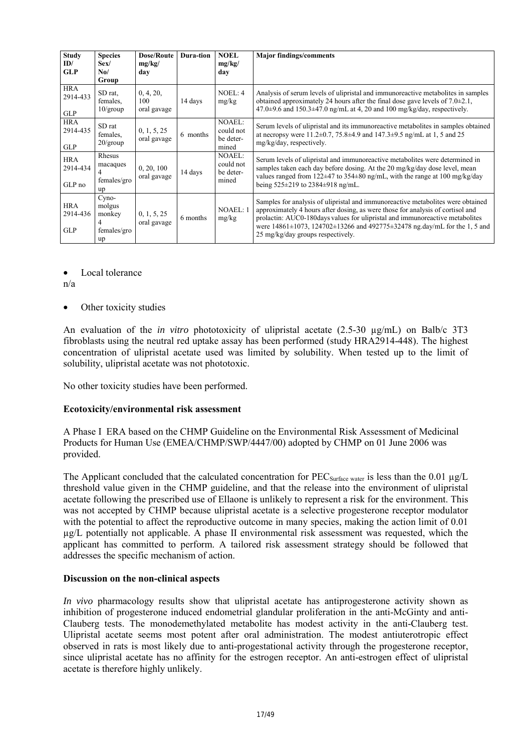| <b>Study</b><br>ID/<br><b>GLP</b>    | <b>Species</b><br>Sex/<br>No/<br>Group         | <b>Dose/Route</b><br>mg/kg/<br>day | Dura-tion | <b>NOEL</b><br>mg/kg/<br>day                     | <b>Major findings/comments</b>                                                                                                                                                                                                                                                                                                                                                         |
|--------------------------------------|------------------------------------------------|------------------------------------|-----------|--------------------------------------------------|----------------------------------------------------------------------------------------------------------------------------------------------------------------------------------------------------------------------------------------------------------------------------------------------------------------------------------------------------------------------------------------|
| <b>HRA</b><br>2914-433<br><b>GLP</b> | SD rat.<br>females.<br>$10$ /group             | 0, 4, 20,<br>100<br>oral gavage    | 14 days   | NOEL: 4<br>mg/kg                                 | Analysis of serum levels of ulipristal and immunoreactive metabolites in samples<br>obtained approximately 24 hours after the final dose gave levels of $7.0\pm2.1$ ,<br>$47.0\pm9.6$ and $150.3\pm47.0$ ng/mL at 4, 20 and 100 mg/kg/day, respectively.                                                                                                                               |
| <b>HRA</b><br>2914-435<br><b>GLP</b> | SD rat<br>females.<br>$20$ /group              | 0, 1, 5, 25<br>oral gavage         | 6 months  | <b>NOAEL:</b><br>could not<br>be deter-<br>mined | Serum levels of ulipristal and its immunoreactive metabolites in samples obtained<br>at necropsy were $11.2\pm 0.7$ , $75.8\pm 4.9$ and $147.3\pm 9.5$ ng/mL at 1, 5 and 25<br>mg/kg/day, respectively.                                                                                                                                                                                |
| <b>HRA</b><br>2914-434<br>GLP no     | Rhesus<br>macaques<br>females/gro<br>up        | 0, 20, 100<br>oral gavage          | 14 days   | <b>NOAEL:</b><br>could not<br>be deter-<br>mined | Serum levels of ulipristal and immunoreactive metabolites were determined in<br>samples taken each day before dosing. At the 20 mg/kg/day dose level, mean<br>values ranged from $122\pm47$ to $354\pm80$ ng/mL, with the range at $100$ mg/kg/day<br>being $525\pm219$ to $2384\pm918$ ng/mL.                                                                                         |
| <b>HRA</b><br>2914-436<br><b>GLP</b> | Cyno-<br>molgus<br>monkey<br>females/gro<br>up | 0, 1, 5, 25<br>oral gavage         | 6 months  | NOAEL: 1<br>mg/kg                                | Samples for analysis of ulipristal and immunoreactive metabolites were obtained<br>approximately 4 hours after dosing, as were those for analysis of cortisol and<br>prolactin: AUC0-180days values for ulipristal and immunoreactive metabolites<br>were $14861 \pm 1073$ , $124702 \pm 13266$ and $492775 \pm 32478$ ng.day/mL for the 1, 5 and<br>25 mg/kg/day groups respectively. |

Local tolerance

n/a

• Other toxicity studies

An evaluation of the *in vitro* phototoxicity of ulipristal acetate (2.5-30 µg/mL) on Balb/c 3T3 fibroblasts using the neutral red uptake assay has been performed (study HRA2914-448). The highest concentration of ulipristal acetate used was limited by solubility. When tested up to the limit of solubility, ulipristal acetate was not phototoxic.

No other toxicity studies have been performed.

#### **Ecotoxicity/environmental risk assessment**

A Phase I ERA based on the CHMP Guideline on the Environmental Risk Assessment of Medicinal Products for Human Use (EMEA/CHMP/SWP/4447/00) adopted by CHMP on 01 June 2006 was provided.

The Applicant concluded that the calculated concentration for PEC<sub>Surface water</sub> is less than the 0.01 µg/L threshold value given in the CHMP guideline, and that the release into the environment of ulipristal acetate following the prescribed use of Ellaone is unlikely to represent a risk for the environment. This was not accepted by CHMP because ulipristal acetate is a selective progesterone receptor modulator with the potential to affect the reproductive outcome in many species, making the action limit of 0.01 µg/L potentially not applicable. A phase II environmental risk assessment was requested, which the applicant has committed to perform. A tailored risk assessment strategy should be followed that addresses the specific mechanism of action.

#### **Discussion on the non-clinical aspects**

*In vivo* pharmacology results show that ulipristal acetate has antiprogesterone activity shown as inhibition of progesterone induced endometrial glandular proliferation in the anti-McGinty and anti-Clauberg tests. The monodemethylated metabolite has modest activity in the anti-Clauberg test. Ulipristal acetate seems most potent after oral administration. The modest antiuterotropic effect observed in rats is most likely due to anti-progestational activity through the progesterone receptor, since ulipristal acetate has no affinity for the estrogen receptor. An anti-estrogen effect of ulipristal acetate is therefore highly unlikely.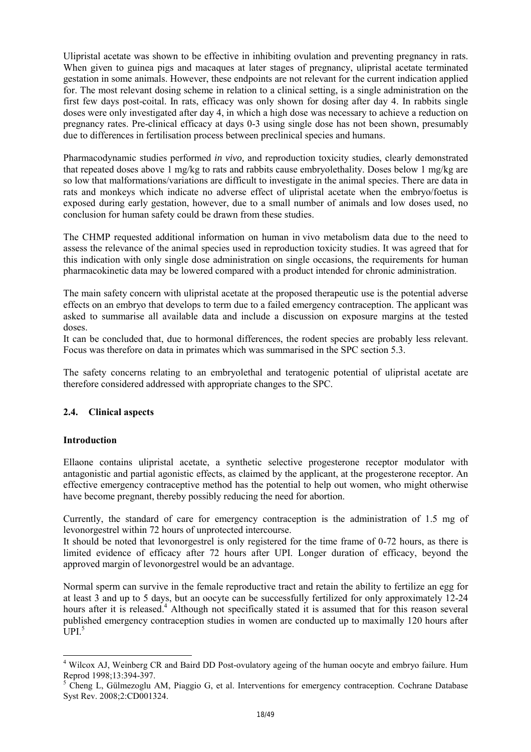Ulipristal acetate was shown to be effective in inhibiting ovulation and preventing pregnancy in rats. When given to guinea pigs and macaques at later stages of pregnancy, ulipristal acetate terminated gestation in some animals. However, these endpoints are not relevant for the current indication applied for. The most relevant dosing scheme in relation to a clinical setting, is a single administration on the first few days post-coital. In rats, efficacy was only shown for dosing after day 4. In rabbits single doses were only investigated after day 4, in which a high dose was necessary to achieve a reduction on pregnancy rates. Pre-clinical efficacy at days 0-3 using single dose has not been shown, presumably due to differences in fertilisation process between preclinical species and humans.

Pharmacodynamic studies performed *in vivo,* and reproduction toxicity studies, clearly demonstrated that repeated doses above 1 mg/kg to rats and rabbits cause embryolethality. Doses below 1 mg/kg are so low that malformations/variations are difficult to investigate in the animal species. There are data in rats and monkeys which indicate no adverse effect of ulipristal acetate when the embryo/foetus is exposed during early gestation, however, due to a small number of animals and low doses used, no conclusion for human safety could be drawn from these studies.

The CHMP requested additional information on human in vivo metabolism data due to the need to assess the relevance of the animal species used in reproduction toxicity studies. It was agreed that for this indication with only single dose administration on single occasions, the requirements for human pharmacokinetic data may be lowered compared with a product intended for chronic administration.

The main safety concern with ulipristal acetate at the proposed therapeutic use is the potential adverse effects on an embryo that develops to term due to a failed emergency contraception. The applicant was asked to summarise all available data and include a discussion on exposure margins at the tested doses.

It can be concluded that, due to hormonal differences, the rodent species are probably less relevant. Focus was therefore on data in primates which was summarised in the SPC section 5.3.

The safety concerns relating to an embryolethal and teratogenic potential of ulipristal acetate are therefore considered addressed with appropriate changes to the SPC.

# **2.4. Clinical aspects**

#### **Introduction**

l

Ellaone contains ulipristal acetate, a synthetic selective progesterone receptor modulator with antagonistic and partial agonistic effects, as claimed by the applicant, at the progesterone receptor. An effective emergency contraceptive method has the potential to help out women, who might otherwise have become pregnant, thereby possibly reducing the need for abortion.

Currently, the standard of care for emergency contraception is the administration of 1.5 mg of levonorgestrel within 72 hours of unprotected intercourse.

It should be noted that levonorgestrel is only registered for the time frame of 0-72 hours, as there is limited evidence of efficacy after 72 hours after UPI. Longer duration of efficacy, beyond the approved margin of levonorgestrel would be an advantage.

Normal sperm can survive in the female reproductive tract and retain the ability to fertilize an egg for at least 3 and up to 5 days, but an oocyte can be successfully fertilized for only approximately 12-24 hours after it is released.<sup>4</sup> Although not specifically stated it is assumed that for this reason several published emergency contraception studies in women are conducted up to maximally 120 hours after  $\overline{1}$  IPI<sup>5</sup>

<sup>&</sup>lt;sup>4</sup> Wilcox AJ, Weinberg CR and Baird DD Post-ovulatory ageing of the human oocyte and embryo failure. Hum Reprod 1998;13:394-397.

<sup>&</sup>lt;sup>5</sup> Cheng L, Gülmezoglu AM, Piaggio G, et al. Interventions for emergency contraception. Cochrane Database Syst Rev. 2008;2:CD001324.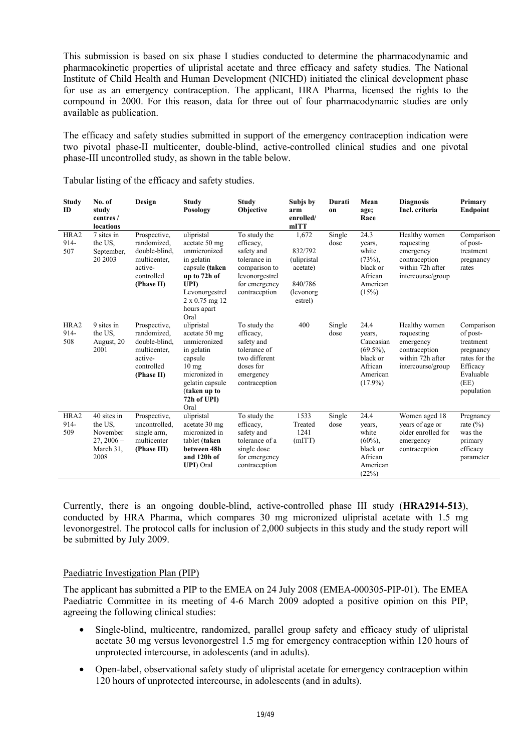This submission is based on six phase I studies conducted to determine the pharmacodynamic and pharmacokinetic properties of ulipristal acetate and three efficacy and safety studies. The National Institute of Child Health and Human Development (NICHD) initiated the clinical development phase for use as an emergency contraception. The applicant, HRA Pharma, licensed the rights to the compound in 2000. For this reason, data for three out of four pharmacodynamic studies are only available as publication.

The efficacy and safety studies submitted in support of the emergency contraception indication were two pivotal phase-II multicenter, double-blind, active-controlled clinical studies and one pivotal phase-III uncontrolled study, as shown in the table below.

| <b>Study</b><br><b>ID</b> | No. of<br>study<br>centres /<br>locations                               | Design                                                                                              | <b>Study</b><br>Posology                                                                                                                                              | <b>Study</b><br>Objective                                                                                                    | Subjs by<br>arm<br>enrolled/<br>mITT                                            | Durati<br>on   | Mean<br>age;<br>Race                                                                         | <b>Diagnosis</b><br>Incl. criteria                                                                 | Primary<br><b>Endpoint</b>                                                                                       |
|---------------------------|-------------------------------------------------------------------------|-----------------------------------------------------------------------------------------------------|-----------------------------------------------------------------------------------------------------------------------------------------------------------------------|------------------------------------------------------------------------------------------------------------------------------|---------------------------------------------------------------------------------|----------------|----------------------------------------------------------------------------------------------|----------------------------------------------------------------------------------------------------|------------------------------------------------------------------------------------------------------------------|
| HRA2<br>914-<br>507       | 7 sites in<br>the US.<br>September,<br>20 2003                          | Prospective,<br>randomized.<br>double-blind,<br>multicenter.<br>active-<br>controlled<br>(Phase II) | ulipristal<br>acetate 50 mg<br>unmicronized<br>in gelatin<br>capsule (taken<br>up to 72h of<br>UPI)<br>Levonorgestrel<br>$2 \times 0.75$ mg 12<br>hours apart<br>Oral | To study the<br>efficacy.<br>safety and<br>tolerance in<br>comparison to<br>levonorgestrel<br>for emergency<br>contraception | 1,672<br>832/792<br>(ulipristal<br>acetate)<br>840/786<br>(levonorg)<br>estrel) | Single<br>dose | 24.3<br>years,<br>white<br>$(73%)$ ,<br>black or<br>African<br>American<br>(15%)             | Healthy women<br>requesting<br>emergency<br>contraception<br>within 72h after<br>intercourse/group | Comparison<br>of post-<br>treatment<br>pregnancy<br>rates                                                        |
| HRA2<br>914-<br>508       | 9 sites in<br>the US.<br>August, 20<br>2001                             | Prospective,<br>randomized.<br>double-blind,<br>multicenter.<br>active-<br>controlled<br>(Phase II) | ulipristal<br>acetate 50 mg<br>unmicronized<br>in gelatin<br>capsule<br>$10 \text{ mg}$<br>micronized in<br>gelatin capsule<br>(taken up to<br>72h of UPI)<br>Oral    | To study the<br>efficacy,<br>safety and<br>tolerance of<br>two different<br>doses for<br>emergency<br>contraception          | 400                                                                             | Single<br>dose | 24.4<br>years,<br>Caucasian<br>$(69.5\%)$ .<br>black or<br>African<br>American<br>$(17.9\%)$ | Healthy women<br>requesting<br>emergency<br>contraception<br>within 72h after<br>intercourse/group | Comparison<br>of post-<br>treatment<br>pregnancy<br>rates for the<br>Efficacy<br>Evaluable<br>(EE)<br>population |
| HRA2<br>914-<br>509       | 40 sites in<br>the US.<br>November<br>$27, 2006 -$<br>March 31,<br>2008 | Prospective,<br>uncontrolled,<br>single arm,<br>multicenter<br>(Phase III)                          | ulipristal<br>acetate 30 mg<br>micronized in<br>tablet (taken<br>between 48h<br>and 120h of<br><b>UPI</b> ) Oral                                                      | To study the<br>efficacy,<br>safety and<br>tolerance of a<br>single dose<br>for emergency<br>contraception                   | 1533<br>Treated<br>1241<br>(mITT)                                               | Single<br>dose | 24.4<br>years,<br>white<br>$(60\%)$ ,<br>black or<br>African<br>American<br>(22%)            | Women aged 18<br>years of age or<br>older enrolled for<br>emergency<br>contraception               | Pregnancy<br>rate $(\% )$<br>was the<br>primary<br>efficacy<br>parameter                                         |

Tabular listing of the efficacy and safety studies.

Currently, there is an ongoing double-blind, active-controlled phase III study (**HRA2914-513**), conducted by HRA Pharma, which compares 30 mg micronized ulipristal acetate with 1.5 mg levonorgestrel. The protocol calls for inclusion of 2,000 subjects in this study and the study report will be submitted by July 2009.

#### Paediatric Investigation Plan (PIP)

The applicant has submitted a PIP to the EMEA on 24 July 2008 (EMEA-000305-PIP-01). The EMEA Paediatric Committee in its meeting of 4-6 March 2009 adopted a positive opinion on this PIP, agreeing the following clinical studies:

- Single-blind, multicentre, randomized, parallel group safety and efficacy study of ulipristal acetate 30 mg versus levonorgestrel 1.5 mg for emergency contraception within 120 hours of unprotected intercourse, in adolescents (and in adults).
- Open-label, observational safety study of ulipristal acetate for emergency contraception within 120 hours of unprotected intercourse, in adolescents (and in adults).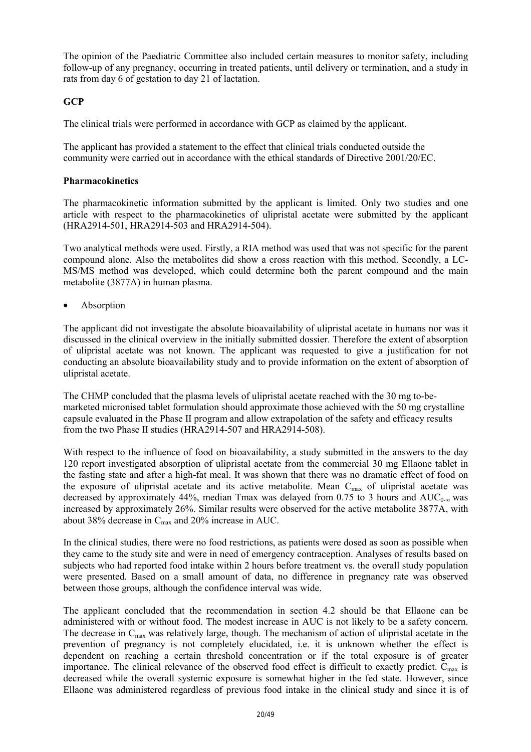The opinion of the Paediatric Committee also included certain measures to monitor safety, including follow-up of any pregnancy, occurring in treated patients, until delivery or termination, and a study in rats from day 6 of gestation to day 21 of lactation.

# **GCP**

The clinical trials were performed in accordance with GCP as claimed by the applicant.

The applicant has provided a statement to the effect that clinical trials conducted outside the community were carried out in accordance with the ethical standards of Directive 2001/20/EC.

### **Pharmacokinetics**

The pharmacokinetic information submitted by the applicant is limited. Only two studies and one article with respect to the pharmacokinetics of ulipristal acetate were submitted by the applicant (HRA2914-501, HRA2914-503 and HRA2914-504).

Two analytical methods were used. Firstly, a RIA method was used that was not specific for the parent compound alone. Also the metabolites did show a cross reaction with this method. Secondly, a LC-MS/MS method was developed, which could determine both the parent compound and the main metabolite (3877A) in human plasma.

• Absorption

The applicant did not investigate the absolute bioavailability of ulipristal acetate in humans nor was it discussed in the clinical overview in the initially submitted dossier. Therefore the extent of absorption of ulipristal acetate was not known. The applicant was requested to give a justification for not conducting an absolute bioavailability study and to provide information on the extent of absorption of ulipristal acetate.

The CHMP concluded that the plasma levels of ulipristal acetate reached with the 30 mg to-bemarketed micronised tablet formulation should approximate those achieved with the 50 mg crystalline capsule evaluated in the Phase II program and allow extrapolation of the safety and efficacy results from the two Phase II studies (HRA2914-507 and HRA2914-508).

With respect to the influence of food on bioavailability, a study submitted in the answers to the day 120 report investigated absorption of ulipristal acetate from the commercial 30 mg Ellaone tablet in the fasting state and after a high-fat meal. It was shown that there was no dramatic effect of food on the exposure of ulipristal acetate and its active metabolite. Mean  $C_{\text{max}}$  of ulipristal acetate was decreased by approximately 44%, median Tmax was delayed from 0.75 to 3 hours and  $AUC_{0-\infty}$  was increased by approximately 26%. Similar results were observed for the active metabolite 3877A, with about 38% decrease in  $C_{\text{max}}$  and 20% increase in AUC.

In the clinical studies, there were no food restrictions, as patients were dosed as soon as possible when they came to the study site and were in need of emergency contraception. Analyses of results based on subjects who had reported food intake within 2 hours before treatment vs. the overall study population were presented. Based on a small amount of data, no difference in pregnancy rate was observed between those groups, although the confidence interval was wide.

The applicant concluded that the recommendation in section 4.2 should be that Ellaone can be administered with or without food. The modest increase in AUC is not likely to be a safety concern. The decrease in  $C_{\text{max}}$  was relatively large, though. The mechanism of action of ulipristal acetate in the prevention of pregnancy is not completely elucidated, i.e. it is unknown whether the effect is dependent on reaching a certain threshold concentration or if the total exposure is of greater importance. The clinical relevance of the observed food effect is difficult to exactly predict.  $C_{\text{max}}$  is decreased while the overall systemic exposure is somewhat higher in the fed state. However, since Ellaone was administered regardless of previous food intake in the clinical study and since it is of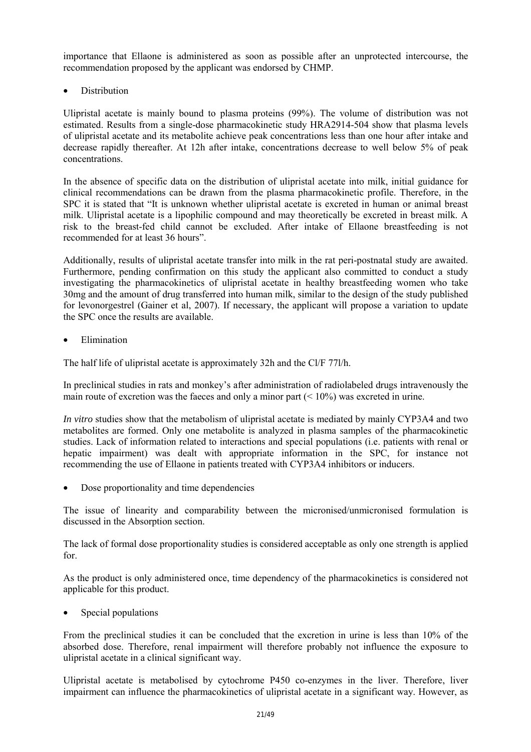importance that Ellaone is administered as soon as possible after an unprotected intercourse, the recommendation proposed by the applicant was endorsed by CHMP.

• Distribution

Ulipristal acetate is mainly bound to plasma proteins (99%). The volume of distribution was not estimated. Results from a single-dose pharmacokinetic study HRA2914-504 show that plasma levels of ulipristal acetate and its metabolite achieve peak concentrations less than one hour after intake and decrease rapidly thereafter. At 12h after intake, concentrations decrease to well below 5% of peak concentrations.

In the absence of specific data on the distribution of ulipristal acetate into milk, initial guidance for clinical recommendations can be drawn from the plasma pharmacokinetic profile. Therefore, in the SPC it is stated that "It is unknown whether ulipristal acetate is excreted in human or animal breast milk. Ulipristal acetate is a lipophilic compound and may theoretically be excreted in breast milk. A risk to the breast-fed child cannot be excluded. After intake of Ellaone breastfeeding is not recommended for at least 36 hours".

Additionally, results of ulipristal acetate transfer into milk in the rat peri-postnatal study are awaited. Furthermore, pending confirmation on this study the applicant also committed to conduct a study investigating the pharmacokinetics of ulipristal acetate in healthy breastfeeding women who take 30mg and the amount of drug transferred into human milk, similar to the design of the study published for levonorgestrel (Gainer et al, 2007). If necessary, the applicant will propose a variation to update the SPC once the results are available.

**Elimination** 

The half life of ulipristal acetate is approximately 32h and the Cl/F 77l/h.

In preclinical studies in rats and monkey's after administration of radiolabeled drugs intravenously the main route of excretion was the faeces and only a minor part  $(< 10\%)$  was excreted in urine.

*In vitro* studies show that the metabolism of ulipristal acetate is mediated by mainly CYP3A4 and two metabolites are formed. Only one metabolite is analyzed in plasma samples of the pharmacokinetic studies. Lack of information related to interactions and special populations (i.e. patients with renal or hepatic impairment) was dealt with appropriate information in the SPC, for instance not recommending the use of Ellaone in patients treated with CYP3A4 inhibitors or inducers.

• Dose proportionality and time dependencies

The issue of linearity and comparability between the micronised/unmicronised formulation is discussed in the Absorption section.

The lack of formal dose proportionality studies is considered acceptable as only one strength is applied for.

As the product is only administered once, time dependency of the pharmacokinetics is considered not applicable for this product.

Special populations

From the preclinical studies it can be concluded that the excretion in urine is less than 10% of the absorbed dose. Therefore, renal impairment will therefore probably not influence the exposure to ulipristal acetate in a clinical significant way.

Ulipristal acetate is metabolised by cytochrome P450 co-enzymes in the liver. Therefore, liver impairment can influence the pharmacokinetics of ulipristal acetate in a significant way. However, as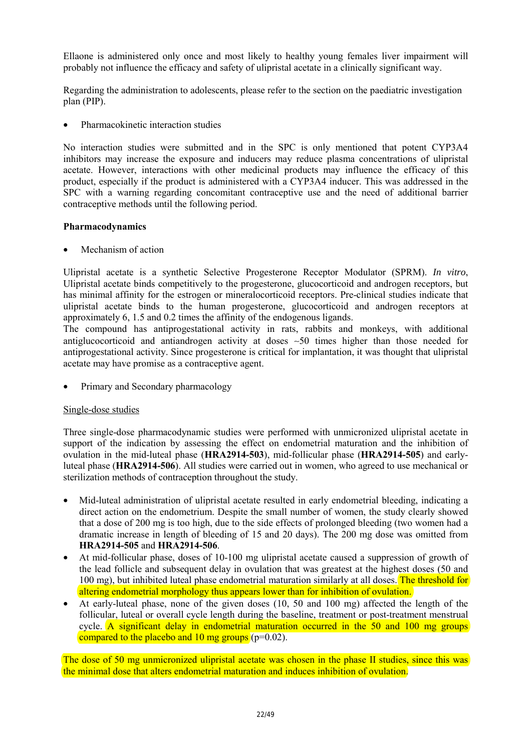Ellaone is administered only once and most likely to healthy young females liver impairment will probably not influence the efficacy and safety of ulipristal acetate in a clinically significant way.

Regarding the administration to adolescents, please refer to the section on the paediatric investigation plan (PIP).

• Pharmacokinetic interaction studies

No interaction studies were submitted and in the SPC is only mentioned that potent CYP3A4 inhibitors may increase the exposure and inducers may reduce plasma concentrations of ulipristal acetate. However, interactions with other medicinal products may influence the efficacy of this product, especially if the product is administered with a CYP3A4 inducer. This was addressed in the SPC with a warning regarding concomitant contraceptive use and the need of additional barrier contraceptive methods until the following period.

#### **Pharmacodynamics**

Mechanism of action

Ulipristal acetate is a synthetic Selective Progesterone Receptor Modulator (SPRM). *In vitro*, Ulipristal acetate binds competitively to the progesterone, glucocorticoid and androgen receptors, but has minimal affinity for the estrogen or mineralocorticoid receptors. Pre-clinical studies indicate that ulipristal acetate binds to the human progesterone, glucocorticoid and androgen receptors at approximately 6, 1.5 and 0.2 times the affinity of the endogenous ligands.

The compound has antiprogestational activity in rats, rabbits and monkeys, with additional antiglucocorticoid and antiandrogen activity at doses ∼50 times higher than those needed for antiprogestational activity. Since progesterone is critical for implantation, it was thought that ulipristal acetate may have promise as a contraceptive agent.

• Primary and Secondary pharmacology

# Single-dose studies

Three single-dose pharmacodynamic studies were performed with unmicronized ulipristal acetate in support of the indication by assessing the effect on endometrial maturation and the inhibition of ovulation in the mid-luteal phase (**HRA2914-503**), mid-follicular phase (**HRA2914-505**) and earlyluteal phase (**HRA2914-506**). All studies were carried out in women, who agreed to use mechanical or sterilization methods of contraception throughout the study.

- Mid-luteal administration of ulipristal acetate resulted in early endometrial bleeding, indicating a direct action on the endometrium. Despite the small number of women, the study clearly showed that a dose of 200 mg is too high, due to the side effects of prolonged bleeding (two women had a dramatic increase in length of bleeding of 15 and 20 days). The 200 mg dose was omitted from **HRA2914-505** and **HRA2914-506**.
- At mid-follicular phase, doses of 10-100 mg ulipristal acetate caused a suppression of growth of the lead follicle and subsequent delay in ovulation that was greatest at the highest doses (50 and 100 mg), but inhibited luteal phase endometrial maturation similarly at all doses. The threshold for altering endometrial morphology thus appears lower than for inhibition of ovulation.
- At early-luteal phase, none of the given doses (10, 50 and 100 mg) affected the length of the follicular, luteal or overall cycle length during the baseline, treatment or post-treatment menstrual cycle. A significant delay in endometrial maturation occurred in the 50 and 100 mg groups compared to the placebo and 10 mg groups ( $p=0.02$ ).

The dose of 50 mg unmicronized ulipristal acetate was chosen in the phase II studies, since this was the minimal dose that alters endometrial maturation and induces inhibition of ovulation.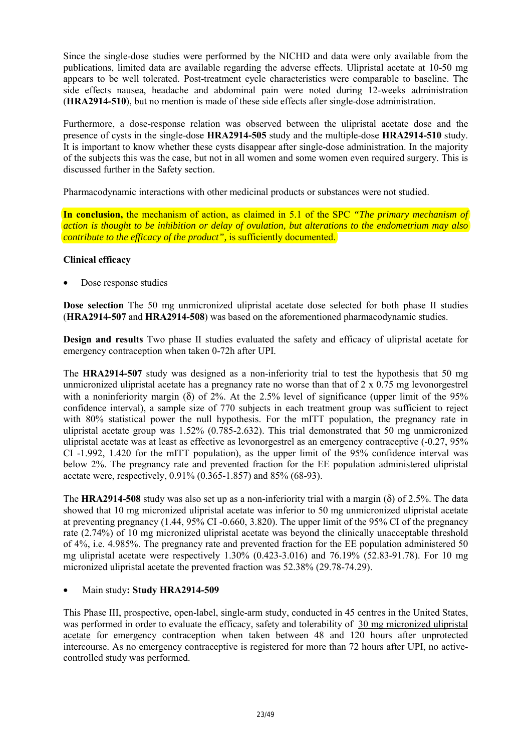Since the single-dose studies were performed by the NICHD and data were only available from the publications, limited data are available regarding the adverse effects. Ulipristal acetate at 10-50 mg appears to be well tolerated. Post-treatment cycle characteristics were comparable to baseline. The side effects nausea, headache and abdominal pain were noted during 12-weeks administration (**HRA2914-510**), but no mention is made of these side effects after single-dose administration.

Furthermore, a dose-response relation was observed between the ulipristal acetate dose and the presence of cysts in the single-dose **HRA2914-505** study and the multiple-dose **HRA2914-510** study. It is important to know whether these cysts disappear after single-dose administration. In the majority of the subjects this was the case, but not in all women and some women even required surgery. This is discussed further in the Safety section.

Pharmacodynamic interactions with other medicinal products or substances were not studied.

**In conclusion,** the mechanism of action, as claimed in 5.1 of the SPC *"The primary mechanism of action is thought to be inhibition or delay of ovulation, but alterations to the endometrium may also contribute to the efficacy of the product",* is sufficiently documented.

### **Clinical efficacy**

Dose response studies

**Dose selection** The 50 mg unmicronized ulipristal acetate dose selected for both phase II studies (**HRA2914-507** and **HRA2914-508**) was based on the aforementioned pharmacodynamic studies.

**Design and results** Two phase II studies evaluated the safety and efficacy of ulipristal acetate for emergency contraception when taken 0-72h after UPI.

The **HRA2914-507** study was designed as a non-inferiority trial to test the hypothesis that 50 mg unmicronized ulipristal acetate has a pregnancy rate no worse than that of 2 x 0.75 mg levonorgestrel with a noninferiority margin (δ) of 2%. At the 2.5% level of significance (upper limit of the 95% confidence interval), a sample size of 770 subjects in each treatment group was sufficient to reject with 80% statistical power the null hypothesis. For the mITT population, the pregnancy rate in ulipristal acetate group was 1.52% (0.785-2.632). This trial demonstrated that 50 mg unmicronized ulipristal acetate was at least as effective as levonorgestrel as an emergency contraceptive (-0.27, 95% CI -1.992, 1.420 for the mITT population), as the upper limit of the 95% confidence interval was below 2%. The pregnancy rate and prevented fraction for the EE population administered ulipristal acetate were, respectively, 0.91% (0.365-1.857) and 85% (68-93).

The **HRA2914-508** study was also set up as a non-inferiority trial with a margin (δ) of 2.5%. The data showed that 10 mg micronized ulipristal acetate was inferior to 50 mg unmicronized ulipristal acetate at preventing pregnancy (1.44, 95% CI -0.660, 3.820). The upper limit of the 95% CI of the pregnancy rate (2.74%) of 10 mg micronized ulipristal acetate was beyond the clinically unacceptable threshold of 4%, i.e. 4.985%. The pregnancy rate and prevented fraction for the EE population administered 50 mg ulipristal acetate were respectively 1.30% (0.423-3.016) and 76.19% (52.83-91.78). For 10 mg micronized ulipristal acetate the prevented fraction was 52.38% (29.78-74.29).

#### • Main study**: Study HRA2914-509**

This Phase III, prospective, open-label, single-arm study, conducted in 45 centres in the United States, was performed in order to evaluate the efficacy, safety and tolerability of 30 mg micronized ulipristal acetate for emergency contraception when taken between 48 and 120 hours after unprotected intercourse. As no emergency contraceptive is registered for more than 72 hours after UPI, no activecontrolled study was performed.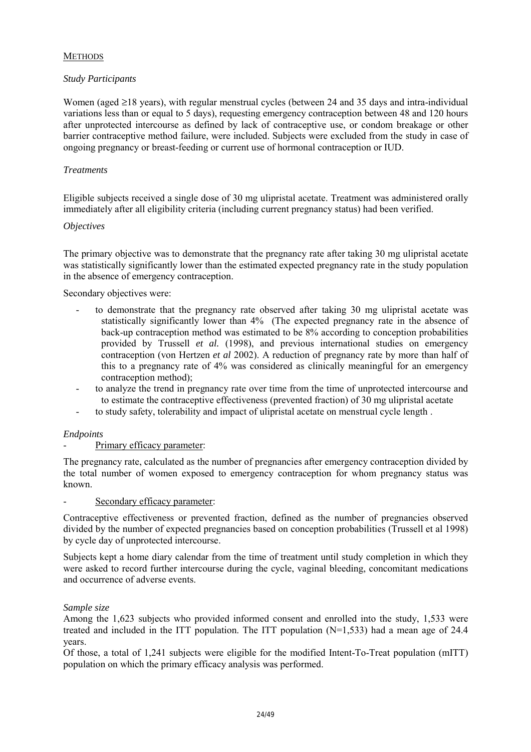# **METHODS**

# *Study Participants*

Women (aged ≥18 years), with regular menstrual cycles (between 24 and 35 days and intra-individual variations less than or equal to 5 days), requesting emergency contraception between 48 and 120 hours after unprotected intercourse as defined by lack of contraceptive use, or condom breakage or other barrier contraceptive method failure, were included. Subjects were excluded from the study in case of ongoing pregnancy or breast-feeding or current use of hormonal contraception or IUD.

### *Treatments*

Eligible subjects received a single dose of 30 mg ulipristal acetate. Treatment was administered orally immediately after all eligibility criteria (including current pregnancy status) had been verified.

#### *Objectives*

The primary objective was to demonstrate that the pregnancy rate after taking 30 mg ulipristal acetate was statistically significantly lower than the estimated expected pregnancy rate in the study population in the absence of emergency contraception.

Secondary objectives were:

- to demonstrate that the pregnancy rate observed after taking 30 mg ulipristal acetate was statistically significantly lower than 4% (The expected pregnancy rate in the absence of back-up contraception method was estimated to be 8% according to conception probabilities provided by Trussell *et al.* (1998), and previous international studies on emergency contraception (von Hertzen *et al* 2002). A reduction of pregnancy rate by more than half of this to a pregnancy rate of 4% was considered as clinically meaningful for an emergency contraception method);
- to analyze the trend in pregnancy rate over time from the time of unprotected intercourse and to estimate the contraceptive effectiveness (prevented fraction) of 30 mg ulipristal acetate
- to study safety, tolerability and impact of ulipristal acetate on menstrual cycle length .

#### *Endpoints*

# Primary efficacy parameter:

The pregnancy rate, calculated as the number of pregnancies after emergency contraception divided by the total number of women exposed to emergency contraception for whom pregnancy status was known.

#### Secondary efficacy parameter:

Contraceptive effectiveness or prevented fraction, defined as the number of pregnancies observed divided by the number of expected pregnancies based on conception probabilities (Trussell et al 1998) by cycle day of unprotected intercourse.

Subjects kept a home diary calendar from the time of treatment until study completion in which they were asked to record further intercourse during the cycle, vaginal bleeding, concomitant medications and occurrence of adverse events.

#### *Sample size*

Among the 1,623 subjects who provided informed consent and enrolled into the study, 1,533 were treated and included in the ITT population. The ITT population  $(N=1,533)$  had a mean age of 24.4 years.

Of those, a total of 1,241 subjects were eligible for the modified Intent-To-Treat population (mITT) population on which the primary efficacy analysis was performed.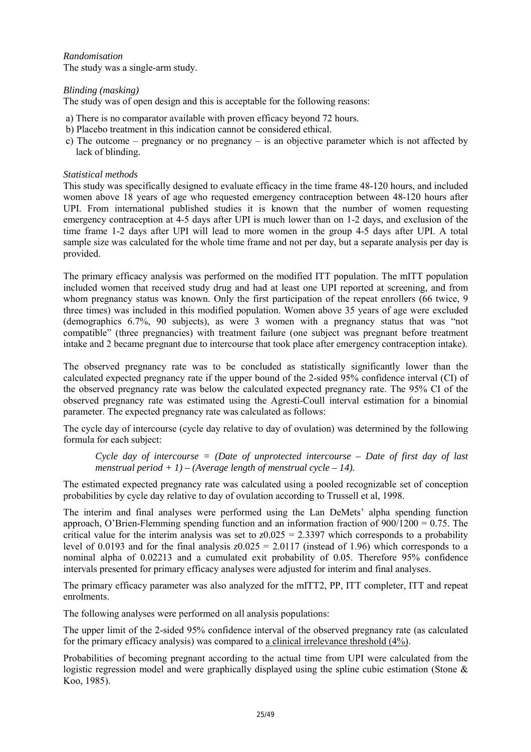# *Randomisation*

The study was a single-arm study.

# *Blinding (masking)*

The study was of open design and this is acceptable for the following reasons:

- a) There is no comparator available with proven efficacy beyond 72 hours.
- b) Placebo treatment in this indication cannot be considered ethical.
- c) The outcome pregnancy or no pregnancy is an objective parameter which is not affected by lack of blinding.

### *Statistical methods*

This study was specifically designed to evaluate efficacy in the time frame 48-120 hours, and included women above 18 years of age who requested emergency contraception between 48-120 hours after UPI. From international published studies it is known that the number of women requesting emergency contraception at 4-5 days after UPI is much lower than on 1-2 days, and exclusion of the time frame 1-2 days after UPI will lead to more women in the group 4-5 days after UPI. A total sample size was calculated for the whole time frame and not per day, but a separate analysis per day is provided.

The primary efficacy analysis was performed on the modified ITT population. The mITT population included women that received study drug and had at least one UPI reported at screening, and from whom pregnancy status was known. Only the first participation of the repeat enrollers (66 twice, 9 three times) was included in this modified population. Women above 35 years of age were excluded (demographics 6.7%, 90 subjects), as were 3 women with a pregnancy status that was "not compatible" (three pregnancies) with treatment failure (one subject was pregnant before treatment intake and 2 became pregnant due to intercourse that took place after emergency contraception intake).

The observed pregnancy rate was to be concluded as statistically significantly lower than the calculated expected pregnancy rate if the upper bound of the 2-sided 95% confidence interval (CI) of the observed pregnancy rate was below the calculated expected pregnancy rate. The 95% CI of the observed pregnancy rate was estimated using the Agresti-Coull interval estimation for a binomial parameter. The expected pregnancy rate was calculated as follows:

The cycle day of intercourse (cycle day relative to day of ovulation) was determined by the following formula for each subject:

*Cycle day of intercourse = (Date of unprotected intercourse – Date of first day of last*  menstrual period  $+1$ ) – (Average length of menstrual cycle – 14).

The estimated expected pregnancy rate was calculated using a pooled recognizable set of conception probabilities by cycle day relative to day of ovulation according to Trussell et al, 1998.

The interim and final analyses were performed using the Lan DeMets' alpha spending function approach, O'Brien-Flemming spending function and an information fraction of  $900/1200 = 0.75$ . The critical value for the interim analysis was set to  $z = 0.025 = 2.3397$  which corresponds to a probability level of 0.0193 and for the final analysis *z*0.025 = 2.0117 (instead of 1.96) which corresponds to a nominal alpha of 0.02213 and a cumulated exit probability of 0.05. Therefore 95% confidence intervals presented for primary efficacy analyses were adjusted for interim and final analyses.

The primary efficacy parameter was also analyzed for the mITT2, PP, ITT completer, ITT and repeat enrolments.

The following analyses were performed on all analysis populations:

The upper limit of the 2-sided 95% confidence interval of the observed pregnancy rate (as calculated for the primary efficacy analysis) was compared to a clinical irrelevance threshold (4%).

Probabilities of becoming pregnant according to the actual time from UPI were calculated from the logistic regression model and were graphically displayed using the spline cubic estimation (Stone & Koo, 1985).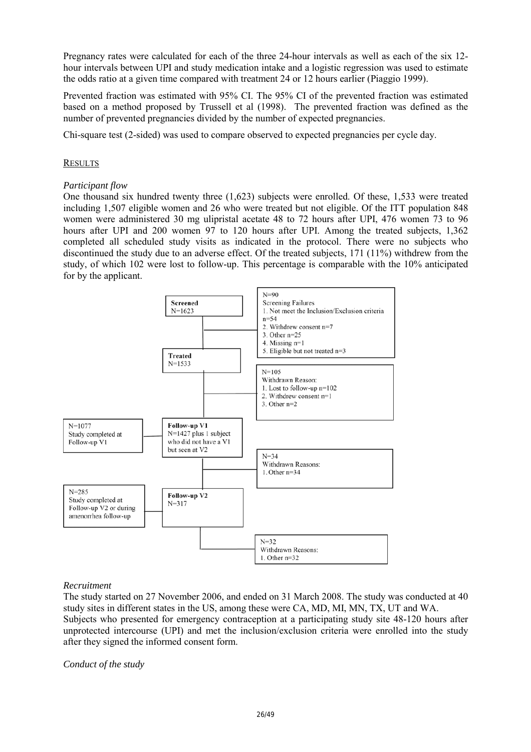Pregnancy rates were calculated for each of the three 24-hour intervals as well as each of the six 12 hour intervals between UPI and study medication intake and a logistic regression was used to estimate the odds ratio at a given time compared with treatment 24 or 12 hours earlier (Piaggio 1999).

Prevented fraction was estimated with 95% CI. The 95% CI of the prevented fraction was estimated based on a method proposed by Trussell et al (1998). The prevented fraction was defined as the number of prevented pregnancies divided by the number of expected pregnancies.

Chi-square test (2-sided) was used to compare observed to expected pregnancies per cycle day.

#### **RESULTS**

#### *Participant flow*

One thousand six hundred twenty three (1,623) subjects were enrolled. Of these, 1,533 were treated including 1,507 eligible women and 26 who were treated but not eligible. Of the ITT population 848 women were administered 30 mg ulipristal acetate 48 to 72 hours after UPI, 476 women 73 to 96 hours after UPI and 200 women 97 to 120 hours after UPI. Among the treated subjects, 1,362 completed all scheduled study visits as indicated in the protocol. There were no subjects who discontinued the study due to an adverse effect. Of the treated subjects, 171 (11%) withdrew from the study, of which 102 were lost to follow-up. This percentage is comparable with the 10% anticipated for by the applicant.



#### *Recruitment*

The study started on 27 November 2006, and ended on 31 March 2008. The study was conducted at 40 study sites in different states in the US, among these were CA, MD, MI, MN, TX, UT and WA. Subjects who presented for emergency contraception at a participating study site 48-120 hours after unprotected intercourse (UPI) and met the inclusion/exclusion criteria were enrolled into the study after they signed the informed consent form.

*Conduct of the study*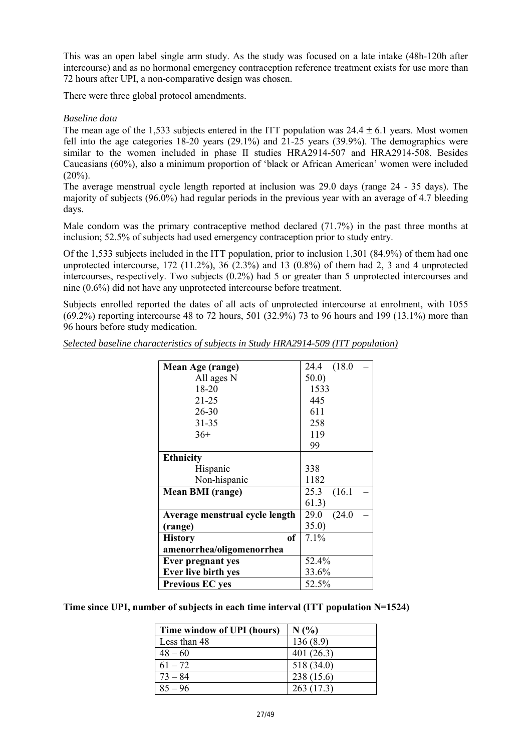This was an open label single arm study. As the study was focused on a late intake (48h-120h after intercourse) and as no hormonal emergency contraception reference treatment exists for use more than 72 hours after UPI, a non-comparative design was chosen.

There were three global protocol amendments.

### *Baseline data*

The mean age of the 1,533 subjects entered in the ITT population was  $24.4 \pm 6.1$  years. Most women fell into the age categories 18-20 years (29.1%) and 21-25 years (39.9%). The demographics were similar to the women included in phase II studies HRA2914-507 and HRA2914-508. Besides Caucasians (60%), also a minimum proportion of 'black or African American' women were included  $(20\%)$ .

The average menstrual cycle length reported at inclusion was 29.0 days (range 24 - 35 days). The majority of subjects (96.0%) had regular periods in the previous year with an average of 4.7 bleeding days.

Male condom was the primary contraceptive method declared (71.7%) in the past three months at inclusion; 52.5% of subjects had used emergency contraception prior to study entry.

Of the 1,533 subjects included in the ITT population, prior to inclusion 1,301 (84.9%) of them had one unprotected intercourse,  $172$  ( $11.2\%$ ),  $36$  ( $2.3\%$ ) and  $13$  ( $0.8\%$ ) of them had 2, 3 and 4 unprotected intercourses, respectively. Two subjects (0.2%) had 5 or greater than 5 unprotected intercourses and nine (0.6%) did not have any unprotected intercourse before treatment.

Subjects enrolled reported the dates of all acts of unprotected intercourse at enrolment, with 1055  $(69.2\%)$  reporting intercourse 48 to 72 hours, 501 (32.9%) 73 to 96 hours and 199 (13.1%) more than 96 hours before study medication.

|  | Selected baseline characteristics of subjects in Study HRA2914-509 (ITT population) |  |  |  |
|--|-------------------------------------------------------------------------------------|--|--|--|
|--|-------------------------------------------------------------------------------------|--|--|--|

| Mean Age (range)                | 24.4 (18.0)    |
|---------------------------------|----------------|
| All ages N                      | 50.0           |
| 18-20                           | 1533           |
| $21 - 25$                       | 445            |
| $26 - 30$                       | 611            |
| $31 - 35$                       | 258            |
| $36+$                           | 119            |
|                                 | 99             |
| <b>Ethnicity</b>                |                |
| Hispanic                        | 338            |
| Non-hispanic                    | 1182           |
| <b>Mean BMI</b> (range)         | 25.3<br>(16.1) |
|                                 | 61.3)          |
| Average menstrual cycle length  | (24.0)<br>29.0 |
| (range)                         | 35.0)          |
| <sub>of</sub><br><b>History</b> | 7.1%           |
| amenorrhea/oligomenorrhea       |                |
| <b>Ever pregnant yes</b>        | 52.4%          |
| Ever live birth yes             | 33.6%          |
| <b>Previous EC yes</b>          | 52.5%          |

**Time since UPI, number of subjects in each time interval (ITT population N=1524)** 

| Time window of UPI (hours) | N(%        |
|----------------------------|------------|
| Less than 48               | 136(8.9)   |
| $48 - 60$                  | 401(26.3)  |
| $61 - 72$                  | 518 (34.0) |
| $73 - 84$                  | 238 (15.6) |
| $85 - 96$                  | 263(17.3)  |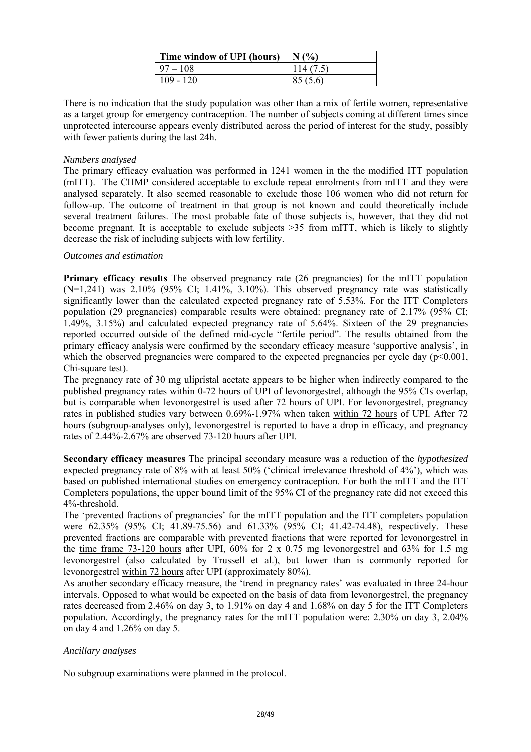| Time window of UPI (hours) | $\mid$ N $\left($ %) |
|----------------------------|----------------------|
| $97 - 108$                 | 114(7.5)             |
| $109 - 120$                | 85(5.6)              |

There is no indication that the study population was other than a mix of fertile women, representative as a target group for emergency contraception. The number of subjects coming at different times since unprotected intercourse appears evenly distributed across the period of interest for the study, possibly with fewer patients during the last 24h.

### *Numbers analysed*

The primary efficacy evaluation was performed in 1241 women in the the modified ITT population (mITT). The CHMP considered acceptable to exclude repeat enrolments from mITT and they were analysed separately. It also seemed reasonable to exclude those 106 women who did not return for follow-up. The outcome of treatment in that group is not known and could theoretically include several treatment failures. The most probable fate of those subjects is, however, that they did not become pregnant. It is acceptable to exclude subjects >35 from mITT, which is likely to slightly decrease the risk of including subjects with low fertility.

#### *Outcomes and estimation*

**Primary efficacy results** The observed pregnancy rate (26 pregnancies) for the mITT population  $(N=1,241)$  was  $2.10\%$  (95% CI;  $1.41\%$ ,  $3.10\%$ ). This observed pregnancy rate was statistically significantly lower than the calculated expected pregnancy rate of 5.53%. For the ITT Completers population (29 pregnancies) comparable results were obtained: pregnancy rate of 2.17% (95% CI; 1.49%, 3.15%) and calculated expected pregnancy rate of 5.64%. Sixteen of the 29 pregnancies reported occurred outside of the defined mid-cycle "fertile period". The results obtained from the primary efficacy analysis were confirmed by the secondary efficacy measure 'supportive analysis', in which the observed pregnancies were compared to the expected pregnancies per cycle day  $(p<0.001$ , Chi-square test).

The pregnancy rate of 30 mg ulipristal acetate appears to be higher when indirectly compared to the published pregnancy rates within 0-72 hours of UPI of levonorgestrel, although the 95% CIs overlap, but is comparable when levonorgestrel is used after 72 hours of UPI. For levonorgestrel, pregnancy rates in published studies vary between 0.69%-1.97% when taken within 72 hours of UPI. After 72 hours (subgroup-analyses only), levonorgestrel is reported to have a drop in efficacy, and pregnancy rates of 2.44%-2.67% are observed 73-120 hours after UPI.

**Secondary efficacy measures** The principal secondary measure was a reduction of the *hypothesized* expected pregnancy rate of 8% with at least 50% ('clinical irrelevance threshold of 4%'), which was based on published international studies on emergency contraception. For both the mITT and the ITT Completers populations, the upper bound limit of the 95% CI of the pregnancy rate did not exceed this 4%-threshold.

The 'prevented fractions of pregnancies' for the mITT population and the ITT completers population were 62.35% (95% CI; 41.89-75.56) and 61.33% (95% CI; 41.42-74.48), respectively. These prevented fractions are comparable with prevented fractions that were reported for levonorgestrel in the time frame 73-120 hours after UPI, 60% for 2 x 0.75 mg levonorgestrel and 63% for 1.5 mg levonorgestrel (also calculated by Trussell et al.), but lower than is commonly reported for levonorgestrel within 72 hours after UPI (approximately 80%).

As another secondary efficacy measure, the 'trend in pregnancy rates' was evaluated in three 24-hour intervals. Opposed to what would be expected on the basis of data from levonorgestrel, the pregnancy rates decreased from 2.46% on day 3, to 1.91% on day 4 and 1.68% on day 5 for the ITT Completers population. Accordingly, the pregnancy rates for the mITT population were: 2.30% on day 3, 2.04% on day 4 and 1.26% on day 5.

# *Ancillary analyses*

No subgroup examinations were planned in the protocol.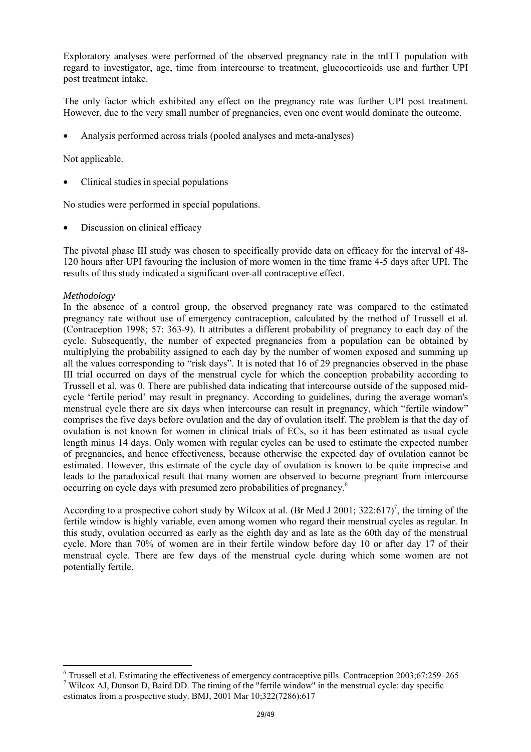Exploratory analyses were performed of the observed pregnancy rate in the mITT population with regard to investigator, age, time from intercourse to treatment, glucocorticoids use and further UPI post treatment intake.

The only factor which exhibited any effect on the pregnancy rate was further UPI post treatment. However, due to the very small number of pregnancies, even one event would dominate the outcome.

• Analysis performed across trials (pooled analyses and meta-analyses)

Not applicable.

• Clinical studies in special populations

No studies were performed in special populations.

• Discussion on clinical efficacy

The pivotal phase III study was chosen to specifically provide data on efficacy for the interval of 48- 120 hours after UPI favouring the inclusion of more women in the time frame 4-5 days after UPI. The results of this study indicated a significant over-all contraceptive effect.

#### *Methodology*

l

In the absence of a control group, the observed pregnancy rate was compared to the estimated pregnancy rate without use of emergency contraception, calculated by the method of Trussell et al. (Contraception 1998; 57: 363-9). It attributes a different probability of pregnancy to each day of the cycle. Subsequently, the number of expected pregnancies from a population can be obtained by multiplying the probability assigned to each day by the number of women exposed and summing up all the values corresponding to "risk days". It is noted that 16 of 29 pregnancies observed in the phase III trial occurred on days of the menstrual cycle for which the conception probability according to Trussell et al. was 0. There are published data indicating that intercourse outside of the supposed midcycle 'fertile period' may result in pregnancy. According to guidelines, during the average woman's menstrual cycle there are six days when intercourse can result in pregnancy, which "fertile window" comprises the five days before ovulation and the day of ovulation itself. The problem is that the day of ovulation is not known for women in clinical trials of ECs, so it has been estimated as usual cycle length minus 14 days. Only women with regular cycles can be used to estimate the expected number of pregnancies, and hence effectiveness, because otherwise the expected day of ovulation cannot be estimated. However, this estimate of the cycle day of ovulation is known to be quite imprecise and leads to the paradoxical result that many women are observed to become pregnant from intercourse occurring on cycle days with presumed zero probabilities of pregnancy.6

According to a prospective cohort study by Wilcox at al. (Br Med J 2001; 322:617)<sup>7</sup>, the timing of the fertile window is highly variable, even among women who regard their menstrual cycles as regular. In this study, ovulation occurred as early as the eighth day and as late as the 60th day of the menstrual cycle. More than 70% of women are in their fertile window before day 10 or after day 17 of their menstrual cycle. There are few days of the menstrual cycle during which some women are not potentially fertile.

 $6$  Trussell et al. Estimating the effectiveness of emergency contraceptive pills. Contraception 2003;67:259–265 <sup>7</sup> Wilcox AJ, Dunson D, Baird DD. The timing of the "fertile window" in the menstrual cycle: day specific estimates from a prospective study. BMJ, 2001 Mar 10;322(7286):617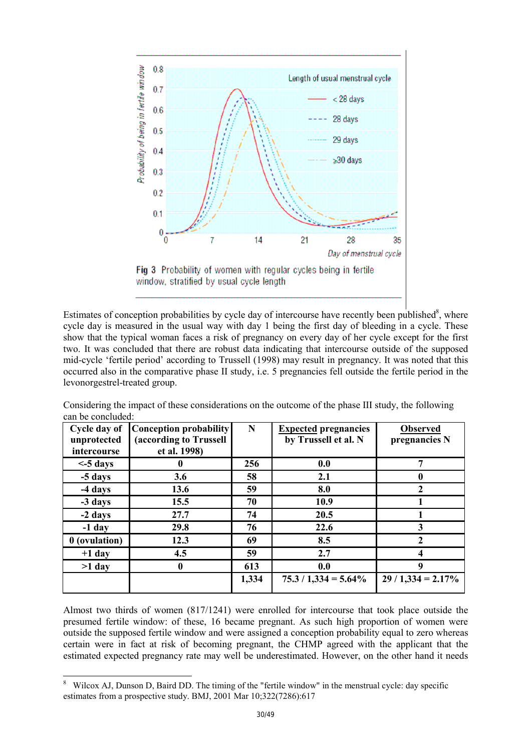

Estimates of conception probabilities by cycle day of intercourse have recently been published<sup>8</sup>, where cycle day is measured in the usual way with day 1 being the first day of bleeding in a cycle. These show that the typical woman faces a risk of pregnancy on every day of her cycle except for the first two. It was concluded that there are robust data indicating that intercourse outside of the supposed mid-cycle 'fertile period' according to Trussell (1998) may result in pregnancy. It was noted that this occurred also in the comparative phase II study, i.e. 5 pregnancies fell outside the fertile period in the levonorgestrel-treated group.

| Cycle day of<br>unprotected<br>intercourse | <b>Conception probability</b><br>(according to Trussell<br>et al. 1998) | N     | <b>Expected pregnancies</b><br>by Trussell et al. N | <b>Observed</b><br>pregnancies N |
|--------------------------------------------|-------------------------------------------------------------------------|-------|-----------------------------------------------------|----------------------------------|
| $<$ -5 days                                |                                                                         | 256   | 0.0                                                 | 7                                |
| -5 days                                    | 3.6                                                                     | 58    | 2.1                                                 | $\mathbf 0$                      |
| -4 days                                    | 13.6                                                                    | 59    | 8.0                                                 |                                  |
| -3 days                                    | 15.5                                                                    | 70    | 10.9                                                |                                  |
| -2 days                                    | 27.7                                                                    | 74    | 20.5                                                |                                  |
| $-1$ day                                   | 29.8                                                                    | 76    | 22.6                                                | 3                                |
| 0 (ovulation)                              | 12.3                                                                    | 69    | 8.5                                                 | 2                                |
| $+1$ day                                   | 4.5                                                                     | 59    | 2.7                                                 | 4                                |
| $>1$ day                                   | $\mathbf{0}$                                                            | 613   | 0.0                                                 | Q                                |
|                                            |                                                                         | 1,334 | $75.3 / 1,334 = 5.64\%$                             | $29/1,334 = 2.17\%$              |

Considering the impact of these considerations on the outcome of the phase III study, the following can be concluded:

Almost two thirds of women (817/1241) were enrolled for intercourse that took place outside the presumed fertile window: of these, 16 became pregnant. As such high proportion of women were outside the supposed fertile window and were assigned a conception probability equal to zero whereas certain were in fact at risk of becoming pregnant, the CHMP agreed with the applicant that the estimated expected pregnancy rate may well be underestimated. However, on the other hand it needs

l

<sup>8</sup> Wilcox AJ, Dunson D, Baird DD. The timing of the "fertile window" in the menstrual cycle: day specific estimates from a prospective study. BMJ, 2001 Mar 10;322(7286):617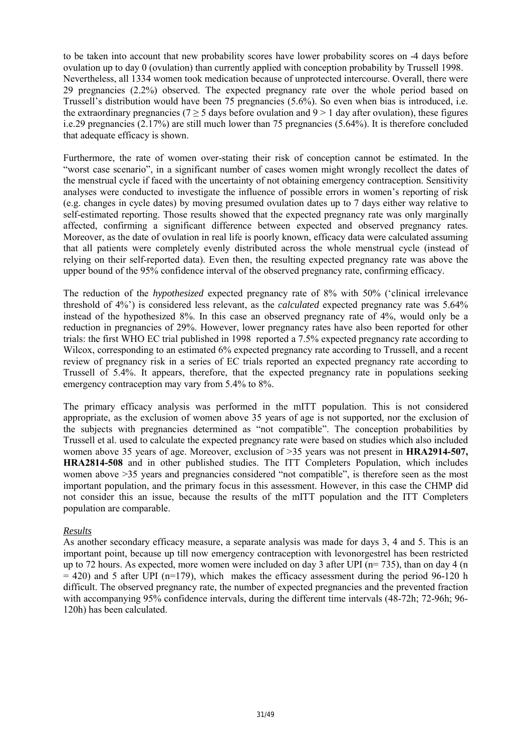to be taken into account that new probability scores have lower probability scores on -4 days before ovulation up to day 0 (ovulation) than currently applied with conception probability by Trussell 1998. Nevertheless, all 1334 women took medication because of unprotected intercourse. Overall, there were 29 pregnancies (2.2%) observed. The expected pregnancy rate over the whole period based on Trussell's distribution would have been 75 pregnancies (5.6%). So even when bias is introduced, i.e. the extraordinary pregnancies (7  $\geq$  5 days before ovulation and 9  $>$  1 day after ovulation), these figures i.e.29 pregnancies (2.17%) are still much lower than 75 pregnancies (5.64%). It is therefore concluded that adequate efficacy is shown.

Furthermore, the rate of women over-stating their risk of conception cannot be estimated. In the "worst case scenario", in a significant number of cases women might wrongly recollect the dates of the menstrual cycle if faced with the uncertainty of not obtaining emergency contraception. Sensitivity analyses were conducted to investigate the influence of possible errors in women's reporting of risk (e.g. changes in cycle dates) by moving presumed ovulation dates up to 7 days either way relative to self-estimated reporting. Those results showed that the expected pregnancy rate was only marginally affected, confirming a significant difference between expected and observed pregnancy rates. Moreover, as the date of ovulation in real life is poorly known, efficacy data were calculated assuming that all patients were completely evenly distributed across the whole menstrual cycle (instead of relying on their self-reported data). Even then, the resulting expected pregnancy rate was above the upper bound of the 95% confidence interval of the observed pregnancy rate, confirming efficacy.

The reduction of the *hypothesized* expected pregnancy rate of 8% with 50% ('clinical irrelevance threshold of 4%') is considered less relevant, as the *calculated* expected pregnancy rate was 5.64% instead of the hypothesized 8%. In this case an observed pregnancy rate of 4%, would only be a reduction in pregnancies of 29%. However, lower pregnancy rates have also been reported for other trials: the first WHO EC trial published in 1998 reported a 7.5% expected pregnancy rate according to Wilcox, corresponding to an estimated 6% expected pregnancy rate according to Trussell, and a recent review of pregnancy risk in a series of EC trials reported an expected pregnancy rate according to Trussell of 5.4%. It appears, therefore, that the expected pregnancy rate in populations seeking emergency contraception may vary from 5.4% to 8%.

The primary efficacy analysis was performed in the mITT population. This is not considered appropriate, as the exclusion of women above 35 years of age is not supported, nor the exclusion of the subjects with pregnancies determined as "not compatible". The conception probabilities by Trussell et al. used to calculate the expected pregnancy rate were based on studies which also included women above 35 years of age. Moreover, exclusion of >35 years was not present in **HRA2914-507, HRA2814-508** and in other published studies. The ITT Completers Population, which includes women above >35 years and pregnancies considered "not compatible", is therefore seen as the most important population, and the primary focus in this assessment. However, in this case the CHMP did not consider this an issue, because the results of the mITT population and the ITT Completers population are comparable.

# *Results*

As another secondary efficacy measure, a separate analysis was made for days 3, 4 and 5. This is an important point, because up till now emergency contraception with levonorgestrel has been restricted up to 72 hours. As expected, more women were included on day 3 after UPI (n= 735), than on day 4 (n  $= 420$ ) and 5 after UPI (n=179), which makes the efficacy assessment during the period 96-120 h difficult. The observed pregnancy rate, the number of expected pregnancies and the prevented fraction with accompanying 95% confidence intervals, during the different time intervals (48-72h; 72-96h; 96- 120h) has been calculated.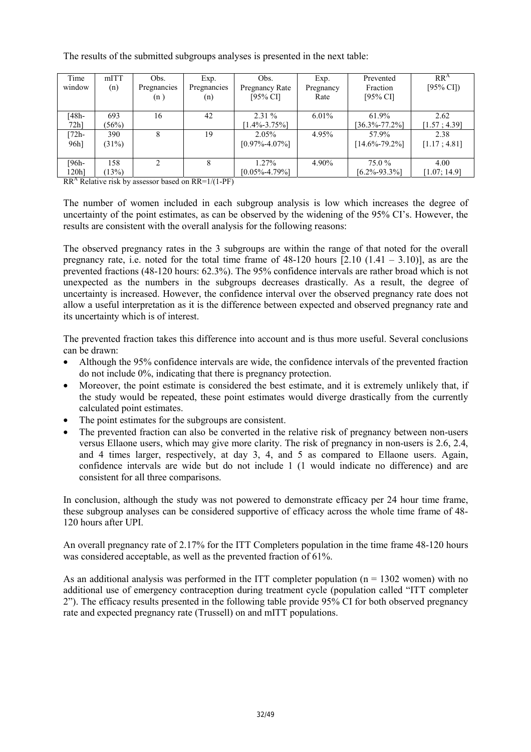| Time             | mITT     | Obs.        | Exp.        | Obs.                | Exp.      | Prevented           | RR <sup>A</sup>     |
|------------------|----------|-------------|-------------|---------------------|-----------|---------------------|---------------------|
| window           | (n)      | Pregnancies | Pregnancies | Pregnancy Rate      | Pregnancy | Fraction            | $[95\% \text{ CI}]$ |
|                  |          | (n)         | (n)         | $[95\%$ CI]         | Rate      | $[95\% \text{ CI}]$ |                     |
|                  |          |             |             |                     |           |                     |                     |
| [48h-            | 693      | 16          | 42          | $2.31\%$            | $6.01\%$  | 61.9%               | 2.62                |
| 72 <sub>h</sub>  | (56%)    |             |             | $1.4\% - 3.75\%$    |           | $[36.3\% -77.2\%]$  | [1.57; 4.39]        |
| $[72h-$          | 390      | 8           | 19          | $2.05\%$            | 4.95%     | 57.9%               | 2.38                |
| 96h <sub>1</sub> | $(31\%)$ |             |             | $[0.97\% - 4.07\%]$ |           | $[14.6\% - 79.2\%]$ | [1.17; 4.81]        |
|                  |          |             |             |                     |           |                     |                     |
| [96h-            | 158      |             |             | $1.27\%$            | 4.90%     | 75.0 %              | 4.00                |
| 120h1            | (13%)    |             |             | $[0.05\% - 4.79\%]$ |           | $[6.2\% - 93.3\%]$  | [1.07; 14.9]        |

The results of the submitted subgroups analyses is presented in the next table:

 $RR<sup>A</sup>$  Relative risk by assessor based on  $RR=1/(1-PF)$ 

The number of women included in each subgroup analysis is low which increases the degree of uncertainty of the point estimates, as can be observed by the widening of the 95% CI's. However, the results are consistent with the overall analysis for the following reasons:

The observed pregnancy rates in the 3 subgroups are within the range of that noted for the overall pregnancy rate, i.e. noted for the total time frame of  $48-120$  hours  $[2.10 (1.41 - 3.10)]$ , as are the prevented fractions (48-120 hours: 62.3%). The 95% confidence intervals are rather broad which is not unexpected as the numbers in the subgroups decreases drastically. As a result, the degree of uncertainty is increased. However, the confidence interval over the observed pregnancy rate does not allow a useful interpretation as it is the difference between expected and observed pregnancy rate and its uncertainty which is of interest.

The prevented fraction takes this difference into account and is thus more useful. Several conclusions can be drawn:

- Although the 95% confidence intervals are wide, the confidence intervals of the prevented fraction do not include 0%, indicating that there is pregnancy protection.
- Moreover, the point estimate is considered the best estimate, and it is extremely unlikely that, if the study would be repeated, these point estimates would diverge drastically from the currently calculated point estimates.
- The point estimates for the subgroups are consistent.
- The prevented fraction can also be converted in the relative risk of pregnancy between non-users versus Ellaone users, which may give more clarity. The risk of pregnancy in non-users is 2.6, 2.4, and 4 times larger, respectively, at day 3, 4, and 5 as compared to Ellaone users. Again, confidence intervals are wide but do not include 1 (1 would indicate no difference) and are consistent for all three comparisons.

In conclusion, although the study was not powered to demonstrate efficacy per 24 hour time frame, these subgroup analyses can be considered supportive of efficacy across the whole time frame of 48- 120 hours after UPI.

An overall pregnancy rate of 2.17% for the ITT Completers population in the time frame 48-120 hours was considered acceptable, as well as the prevented fraction of 61%.

As an additional analysis was performed in the ITT completer population  $(n = 1302$  women) with no additional use of emergency contraception during treatment cycle (population called "ITT completer 2"). The efficacy results presented in the following table provide 95% CI for both observed pregnancy rate and expected pregnancy rate (Trussell) on and mITT populations.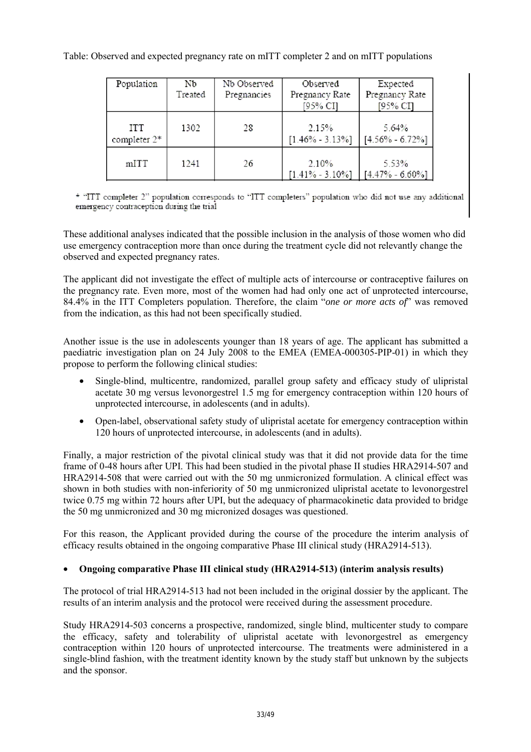# Table: Observed and expected pregnancy rate on mITT completer 2 and on mITT populations

| Population                 | Nb<br>Treated | Nb Observed<br>Pregnancies | Observed<br>Pregnancy Rate<br>[95% CI] | Expected<br>Pregnancy Rate<br>[95% CI] |
|----------------------------|---------------|----------------------------|----------------------------------------|----------------------------------------|
| <b>ITT</b><br>completer 2* | 1302          | 28                         | 2.15%<br>$[1.46\% - 3.13\%]$           | 5.64%<br>$[4.56\% - 6.72\%]$           |
| mITT                       | 1241          | 26                         | 2.10%<br>$[1.41\% - 3.10\%]$           | 5.53%<br>$[4.47\% - 6.60\%]$           |

\* "ITT completer 2" population corresponds to "ITT completers" population who did not use any additional emergency contraception during the trial

These additional analyses indicated that the possible inclusion in the analysis of those women who did use emergency contraception more than once during the treatment cycle did not relevantly change the observed and expected pregnancy rates.

The applicant did not investigate the effect of multiple acts of intercourse or contraceptive failures on the pregnancy rate. Even more, most of the women had had only one act of unprotected intercourse, 84.4% in the ITT Completers population. Therefore, the claim "*one or more acts of*" was removed from the indication, as this had not been specifically studied.

Another issue is the use in adolescents younger than 18 years of age. The applicant has submitted a paediatric investigation plan on 24 July 2008 to the EMEA (EMEA-000305-PIP-01) in which they propose to perform the following clinical studies:

- Single-blind, multicentre, randomized, parallel group safety and efficacy study of ulipristal acetate 30 mg versus levonorgestrel 1.5 mg for emergency contraception within 120 hours of unprotected intercourse, in adolescents (and in adults).
- Open-label, observational safety study of ulipristal acetate for emergency contraception within 120 hours of unprotected intercourse, in adolescents (and in adults).

Finally, a major restriction of the pivotal clinical study was that it did not provide data for the time frame of 0-48 hours after UPI. This had been studied in the pivotal phase II studies HRA2914-507 and HRA2914-508 that were carried out with the 50 mg unmicronized formulation. A clinical effect was shown in both studies with non-inferiority of 50 mg unmicronized ulipristal acetate to levonorgestrel twice 0.75 mg within 72 hours after UPI, but the adequacy of pharmacokinetic data provided to bridge the 50 mg unmicronized and 30 mg micronized dosages was questioned.

For this reason, the Applicant provided during the course of the procedure the interim analysis of efficacy results obtained in the ongoing comparative Phase III clinical study (HRA2914-513).

# • **Ongoing comparative Phase III clinical study (HRA2914-513) (interim analysis results)**

The protocol of trial HRA2914-513 had not been included in the original dossier by the applicant. The results of an interim analysis and the protocol were received during the assessment procedure.

Study HRA2914-503 concerns a prospective, randomized, single blind, multicenter study to compare the efficacy, safety and tolerability of ulipristal acetate with levonorgestrel as emergency contraception within 120 hours of unprotected intercourse. The treatments were administered in a single-blind fashion, with the treatment identity known by the study staff but unknown by the subjects and the sponsor.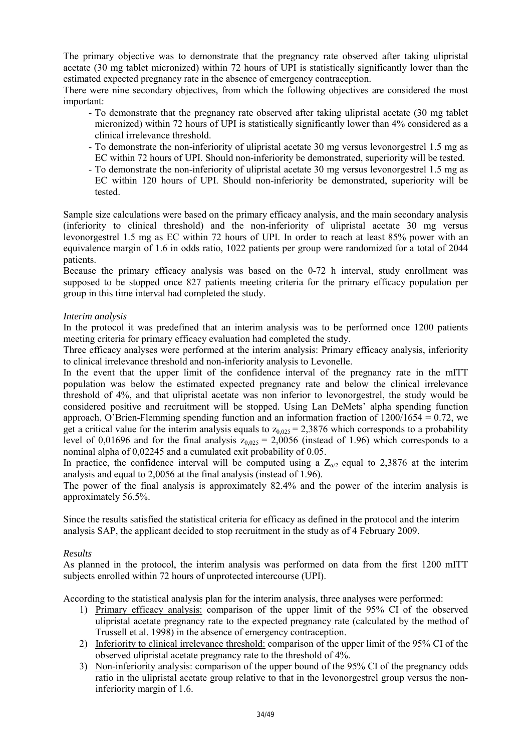The primary objective was to demonstrate that the pregnancy rate observed after taking ulipristal acetate (30 mg tablet micronized) within 72 hours of UPI is statistically significantly lower than the estimated expected pregnancy rate in the absence of emergency contraception.

There were nine secondary objectives, from which the following objectives are considered the most important:

- To demonstrate that the pregnancy rate observed after taking ulipristal acetate (30 mg tablet micronized) within 72 hours of UPI is statistically significantly lower than 4% considered as a clinical irrelevance threshold.
- To demonstrate the non-inferiority of ulipristal acetate 30 mg versus levonorgestrel 1.5 mg as EC within 72 hours of UPI. Should non-inferiority be demonstrated, superiority will be tested.
- To demonstrate the non-inferiority of ulipristal acetate 30 mg versus levonorgestrel 1.5 mg as EC within 120 hours of UPI. Should non-inferiority be demonstrated, superiority will be tested.

Sample size calculations were based on the primary efficacy analysis, and the main secondary analysis (inferiority to clinical threshold) and the non-inferiority of ulipristal acetate 30 mg versus levonorgestrel 1.5 mg as EC within 72 hours of UPI. In order to reach at least 85% power with an equivalence margin of 1.6 in odds ratio, 1022 patients per group were randomized for a total of 2044 patients.

Because the primary efficacy analysis was based on the 0-72 h interval, study enrollment was supposed to be stopped once 827 patients meeting criteria for the primary efficacy population per group in this time interval had completed the study.

# *Interim analysis*

In the protocol it was predefined that an interim analysis was to be performed once 1200 patients meeting criteria for primary efficacy evaluation had completed the study.

Three efficacy analyses were performed at the interim analysis: Primary efficacy analysis, inferiority to clinical irrelevance threshold and non-inferiority analysis to Levonelle.

In the event that the upper limit of the confidence interval of the pregnancy rate in the mITT population was below the estimated expected pregnancy rate and below the clinical irrelevance threshold of 4%, and that ulipristal acetate was non inferior to levonorgestrel, the study would be considered positive and recruitment will be stopped. Using Lan DeMets' alpha spending function approach, O'Brien-Flemming spending function and an information fraction of  $1200/1654 = 0.72$ , we get a critical value for the interim analysis equals to  $z_{0.025} = 2,3876$  which corresponds to a probability level of 0,01696 and for the final analysis  $z_{0.025} = 2,0056$  (instead of 1.96) which corresponds to a nominal alpha of 0,02245 and a cumulated exit probability of 0.05.

In practice, the confidence interval will be computed using a  $Z_{\alpha/2}$  equal to 2,3876 at the interim analysis and equal to 2,0056 at the final analysis (instead of 1.96).

The power of the final analysis is approximately 82.4% and the power of the interim analysis is approximately 56.5%.

Since the results satisfied the statistical criteria for efficacy as defined in the protocol and the interim analysis SAP, the applicant decided to stop recruitment in the study as of 4 February 2009.

#### *Results*

As planned in the protocol, the interim analysis was performed on data from the first 1200 mITT subjects enrolled within 72 hours of unprotected intercourse (UPI).

According to the statistical analysis plan for the interim analysis, three analyses were performed:

- 1) Primary efficacy analysis: comparison of the upper limit of the 95% CI of the observed ulipristal acetate pregnancy rate to the expected pregnancy rate (calculated by the method of Trussell et al. 1998) in the absence of emergency contraception.
- 2) Inferiority to clinical irrelevance threshold: comparison of the upper limit of the 95% CI of the observed ulipristal acetate pregnancy rate to the threshold of 4%.
- 3) Non-inferiority analysis: comparison of the upper bound of the 95% CI of the pregnancy odds ratio in the ulipristal acetate group relative to that in the levonorgestrel group versus the noninferiority margin of 1.6.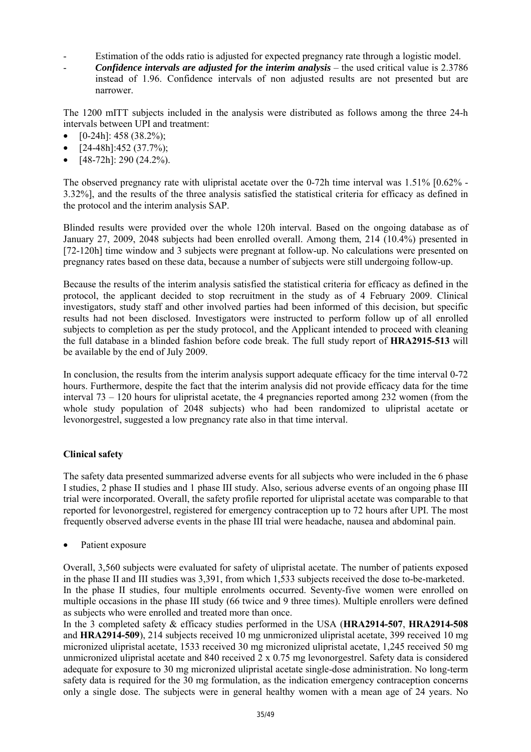- Estimation of the odds ratio is adjusted for expected pregnancy rate through a logistic model.
- *Confidence intervals are adjusted for the interim analysis* the used critical value is 2.3786 instead of 1.96. Confidence intervals of non adjusted results are not presented but are narrower.

The 1200 mITT subjects included in the analysis were distributed as follows among the three 24-h intervals between UPI and treatment:

- $[0-24h]$ : 458 (38.2%);
- $[24-48h]$ :452 (37.7%);
- [48-72h]: 290 (24.2%).

The observed pregnancy rate with ulipristal acetate over the 0-72h time interval was  $1.51\%$  [0.62% -3.32%], and the results of the three analysis satisfied the statistical criteria for efficacy as defined in the protocol and the interim analysis SAP.

Blinded results were provided over the whole 120h interval. Based on the ongoing database as of January 27, 2009, 2048 subjects had been enrolled overall. Among them, 214 (10.4%) presented in [72-120h] time window and 3 subjects were pregnant at follow-up. No calculations were presented on pregnancy rates based on these data, because a number of subjects were still undergoing follow-up.

Because the results of the interim analysis satisfied the statistical criteria for efficacy as defined in the protocol, the applicant decided to stop recruitment in the study as of 4 February 2009. Clinical investigators, study staff and other involved parties had been informed of this decision, but specific results had not been disclosed. Investigators were instructed to perform follow up of all enrolled subjects to completion as per the study protocol, and the Applicant intended to proceed with cleaning the full database in a blinded fashion before code break. The full study report of **HRA2915-513** will be available by the end of July 2009.

In conclusion, the results from the interim analysis support adequate efficacy for the time interval 0-72 hours. Furthermore, despite the fact that the interim analysis did not provide efficacy data for the time interval 73 – 120 hours for ulipristal acetate, the 4 pregnancies reported among 232 women (from the whole study population of 2048 subjects) who had been randomized to ulipristal acetate or levonorgestrel, suggested a low pregnancy rate also in that time interval.

# **Clinical safety**

The safety data presented summarized adverse events for all subjects who were included in the 6 phase I studies, 2 phase II studies and 1 phase III study. Also, serious adverse events of an ongoing phase III trial were incorporated. Overall, the safety profile reported for ulipristal acetate was comparable to that reported for levonorgestrel, registered for emergency contraception up to 72 hours after UPI. The most frequently observed adverse events in the phase III trial were headache, nausea and abdominal pain.

Patient exposure

Overall, 3,560 subjects were evaluated for safety of ulipristal acetate. The number of patients exposed in the phase II and III studies was 3,391, from which 1,533 subjects received the dose to-be-marketed. In the phase II studies, four multiple enrolments occurred. Seventy-five women were enrolled on multiple occasions in the phase III study (66 twice and 9 three times). Multiple enrollers were defined as subjects who were enrolled and treated more than once.

In the 3 completed safety & efficacy studies performed in the USA (**HRA2914-507**, **HRA2914-508** and **HRA2914-509**), 214 subjects received 10 mg unmicronized ulipristal acetate, 399 received 10 mg micronized ulipristal acetate, 1533 received 30 mg micronized ulipristal acetate, 1,245 received 50 mg unmicronized ulipristal acetate and 840 received 2 x 0.75 mg levonorgestrel. Safety data is considered adequate for exposure to 30 mg micronized ulipristal acetate single-dose administration. No long-term safety data is required for the 30 mg formulation, as the indication emergency contraception concerns only a single dose. The subjects were in general healthy women with a mean age of 24 years. No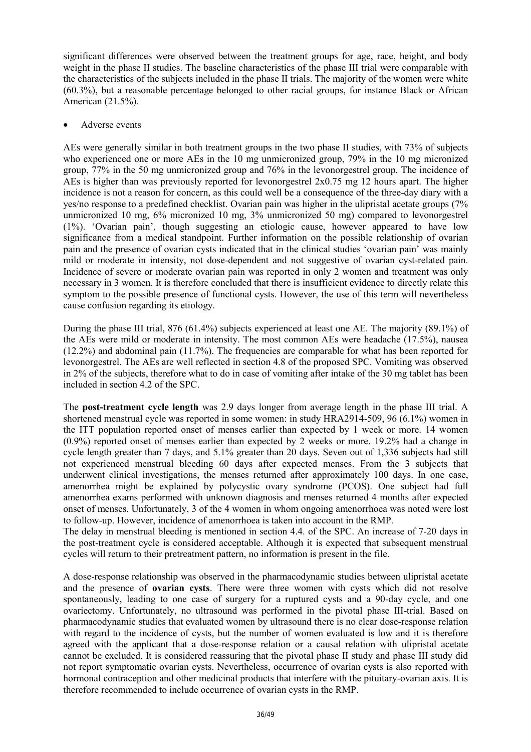significant differences were observed between the treatment groups for age, race, height, and body weight in the phase II studies. The baseline characteristics of the phase III trial were comparable with the characteristics of the subjects included in the phase II trials. The majority of the women were white (60.3%), but a reasonable percentage belonged to other racial groups, for instance Black or African American (21.5%).

### • Adverse events

AEs were generally similar in both treatment groups in the two phase II studies, with 73% of subjects who experienced one or more AEs in the 10 mg unmicronized group, 79% in the 10 mg micronized group, 77% in the 50 mg unmicronized group and 76% in the levonorgestrel group. The incidence of AEs is higher than was previously reported for levonorgestrel 2x0.75 mg 12 hours apart. The higher incidence is not a reason for concern, as this could well be a consequence of the three-day diary with a yes/no response to a predefined checklist. Ovarian pain was higher in the ulipristal acetate groups (7% unmicronized 10 mg, 6% micronized 10 mg, 3% unmicronized 50 mg) compared to levonorgestrel (1%). 'Ovarian pain', though suggesting an etiologic cause, however appeared to have low significance from a medical standpoint. Further information on the possible relationship of ovarian pain and the presence of ovarian cysts indicated that in the clinical studies 'ovarian pain' was mainly mild or moderate in intensity, not dose-dependent and not suggestive of ovarian cyst-related pain. Incidence of severe or moderate ovarian pain was reported in only 2 women and treatment was only necessary in 3 women. It is therefore concluded that there is insufficient evidence to directly relate this symptom to the possible presence of functional cysts. However, the use of this term will nevertheless cause confusion regarding its etiology.

During the phase III trial, 876 (61.4%) subjects experienced at least one AE. The majority (89.1%) of the AEs were mild or moderate in intensity. The most common AEs were headache (17.5%), nausea (12.2%) and abdominal pain (11.7%). The frequencies are comparable for what has been reported for levonorgestrel. The AEs are well reflected in section 4.8 of the proposed SPC. Vomiting was observed in 2% of the subjects, therefore what to do in case of vomiting after intake of the 30 mg tablet has been included in section 4.2 of the SPC.

The **post-treatment cycle length** was 2.9 days longer from average length in the phase III trial. A shortened menstrual cycle was reported in some women: in study HRA2914-509, 96 (6.1%) women in the ITT population reported onset of menses earlier than expected by 1 week or more. 14 women (0.9%) reported onset of menses earlier than expected by 2 weeks or more. 19.2% had a change in cycle length greater than 7 days, and 5.1% greater than 20 days. Seven out of 1,336 subjects had still not experienced menstrual bleeding 60 days after expected menses. From the 3 subjects that underwent clinical investigations, the menses returned after approximately 100 days. In one case, amenorrhea might be explained by polycystic ovary syndrome (PCOS). One subject had full amenorrhea exams performed with unknown diagnosis and menses returned 4 months after expected onset of menses. Unfortunately, 3 of the 4 women in whom ongoing amenorrhoea was noted were lost to follow-up. However, incidence of amenorrhoea is taken into account in the RMP.

The delay in menstrual bleeding is mentioned in section 4.4. of the SPC. An increase of 7-20 days in the post-treatment cycle is considered acceptable. Although it is expected that subsequent menstrual cycles will return to their pretreatment pattern, no information is present in the file.

A dose-response relationship was observed in the pharmacodynamic studies between ulipristal acetate and the presence of **ovarian cysts**. There were three women with cysts which did not resolve spontaneously, leading to one case of surgery for a ruptured cysts and a 90-day cycle, and one ovariectomy. Unfortunately, no ultrasound was performed in the pivotal phase III-trial. Based on pharmacodynamic studies that evaluated women by ultrasound there is no clear dose-response relation with regard to the incidence of cysts, but the number of women evaluated is low and it is therefore agreed with the applicant that a dose-response relation or a causal relation with ulipristal acetate cannot be excluded. It is considered reassuring that the pivotal phase II study and phase III study did not report symptomatic ovarian cysts. Nevertheless, occurrence of ovarian cysts is also reported with hormonal contraception and other medicinal products that interfere with the pituitary-ovarian axis. It is therefore recommended to include occurrence of ovarian cysts in the RMP.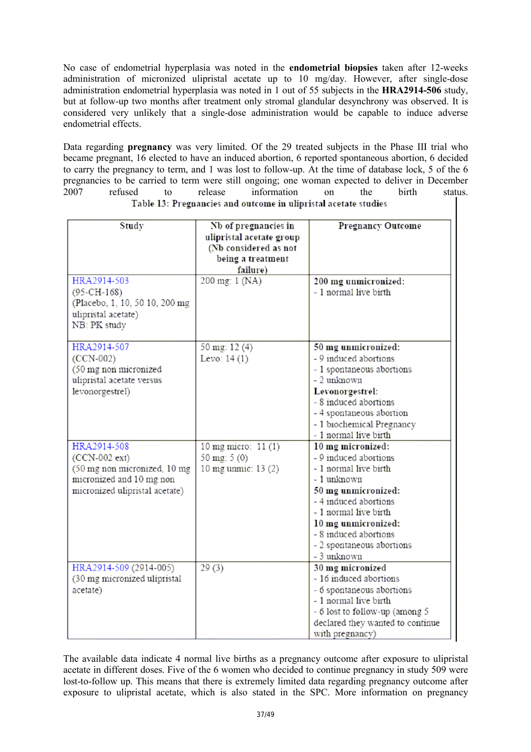No case of endometrial hyperplasia was noted in the **endometrial biopsies** taken after 12-weeks administration of micronized ulipristal acetate up to 10 mg/day. However, after single-dose administration endometrial hyperplasia was noted in 1 out of 55 subjects in the **HRA2914-506** study, but at follow-up two months after treatment only stromal glandular desynchrony was observed. It is considered very unlikely that a single-dose administration would be capable to induce adverse endometrial effects.

Data regarding **pregnancy** was very limited. Of the 29 treated subjects in the Phase III trial who became pregnant, 16 elected to have an induced abortion, 6 reported spontaneous abortion, 6 decided to carry the pregnancy to term, and 1 was lost to follow-up. At the time of database lock, 5 of the 6 pregnancies to be carried to term were still ongoing; one woman expected to deliver in December 2007 refused to release information on the birth status. Table 13: Pregnancies and outcome in ulipristal acetate studies

| Study                          | Nb of pregnancies in                       | <b>Pregnancy Outcome</b>                     |
|--------------------------------|--------------------------------------------|----------------------------------------------|
|                                | ulipristal acetate group                   |                                              |
|                                | (Nb considered as not<br>being a treatment |                                              |
|                                | failure)                                   |                                              |
| HRA2914-503                    | 200 mg: 1 (NA)                             | 200 mg unmicronized:                         |
| $(95-CH-168)$                  |                                            | - 1 normal live birth                        |
| (Placebo, 1, 10, 50 10, 200 mg |                                            |                                              |
| ulipristal acetate)            |                                            |                                              |
| NB: PK study                   |                                            |                                              |
| HRA2914-507                    | 50 mg: 12 (4)                              | 50 mg unmicronized:                          |
| $(CCN-002)$                    | Levo: $14(1)$                              | - 9 induced abortions                        |
| (50 mg non micronized          |                                            | - 1 spontaneous abortions                    |
| ulipristal acetate versus      |                                            | - 2 unknown                                  |
| levonorgestrel)                |                                            | Levonorgestrel:                              |
|                                |                                            | - 8 induced abortions                        |
|                                |                                            | - 4 spontaneous abortion                     |
|                                |                                            | - 1 biochemical Pregnancy                    |
|                                |                                            | - 1 normal live birth                        |
| HRA2914-508                    | 10 mg micro: 11 (1)                        | 10 mg micronized:                            |
| (CCN-002 ext)                  | 50 mg: $5(0)$                              | - 9 induced abortions                        |
| (50 mg non micronized, 10 mg   | 10 mg unmic: 13 (2)                        | - 1 normal live birth                        |
| micronized and 10 mg non       |                                            | - 1 unknown                                  |
| micronized ulipristal acetate) |                                            | 50 mg unmicronized:<br>- 4 induced abortions |
|                                |                                            | - 1 normal live birth                        |
|                                |                                            | 10 mg unmicronized:                          |
|                                |                                            | - 8 induced abortions                        |
|                                |                                            | - 2 spontaneous abortions                    |
|                                |                                            | - 3 unknown                                  |
| HRA2914-509 (2914-005)         | 29(3)                                      | 30 mg micronized                             |
| (30 mg micronized ulipristal   |                                            | - 16 induced abortions                       |
| acetate)                       |                                            | - 6 spontaneous abortions                    |
|                                |                                            | - 1 normal live birth                        |
|                                |                                            | - 6 lost to follow-up (among 5               |
|                                |                                            | declared they wanted to continue             |
|                                |                                            | with pregnancy)                              |

The available data indicate 4 normal live births as a pregnancy outcome after exposure to ulipristal acetate in different doses. Five of the 6 women who decided to continue pregnancy in study 509 were lost-to-follow up. This means that there is extremely limited data regarding pregnancy outcome after exposure to ulipristal acetate, which is also stated in the SPC. More information on pregnancy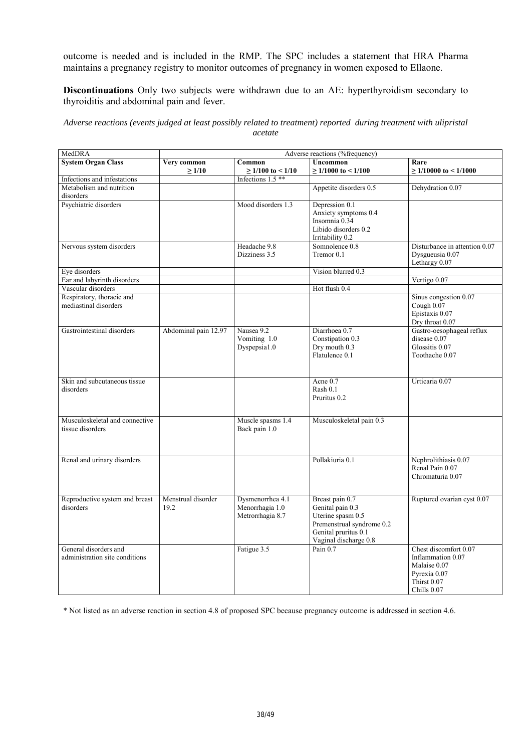outcome is needed and is included in the RMP. The SPC includes a statement that HRA Pharma maintains a pregnancy registry to monitor outcomes of pregnancy in women exposed to Ellaone.

**Discontinuations** Only two subjects were withdrawn due to an AE: hyperthyroidism secondary to thyroiditis and abdominal pain and fever.

*Adverse reactions (events judged at least possibly related to treatment) reported during treatment with ulipristal acetate* 

| MedDRA                         |                      |                        | Adverse reactions (%frequency)         |                               |
|--------------------------------|----------------------|------------------------|----------------------------------------|-------------------------------|
| <b>System Organ Class</b>      | Very common          | Common                 | <b>Uncommon</b>                        | Rare                          |
|                                | $\geq 1/10$          | $\geq$ 1/100 to < 1/10 | $\geq$ 1/1000 to < 1/100               | $\geq$ 1/10000 to < 1/1000    |
| Infections and infestations    |                      | Infections 1.5**       |                                        |                               |
| Metabolism and nutrition       |                      |                        | Appetite disorders 0.5                 | Dehydration 0.07              |
| disorders                      |                      |                        |                                        |                               |
| Psychiatric disorders          |                      | Mood disorders 1.3     | Depression 0.1<br>Anxiety symptoms 0.4 |                               |
|                                |                      |                        | Insomnia 0.34                          |                               |
|                                |                      |                        | Libido disorders 0.2                   |                               |
|                                |                      |                        | Irritability 0.2                       |                               |
| Nervous system disorders       |                      | Headache 9.8           | Somnolence 0.8                         | Disturbance in attention 0.07 |
|                                |                      | Dizziness 3.5          | Tremor 0.1                             | Dysgueusia 0.07               |
|                                |                      |                        |                                        | Lethargy 0.07                 |
| Eye disorders                  |                      |                        | Vision blurred 0.3                     |                               |
| Ear and labyrinth disorders    |                      |                        |                                        | Vertigo 0.07                  |
| Vascular disorders             |                      |                        | Hot flush 0.4                          |                               |
| Respiratory, thoracic and      |                      |                        |                                        | Sinus congestion 0.07         |
| mediastinal disorders          |                      |                        |                                        | Cough 0.07<br>Epistaxis 0.07  |
|                                |                      |                        |                                        | Dry throat 0.07               |
| Gastrointestinal disorders     | Abdominal pain 12.97 | Nausea 9.2             | Diarrhoea 0.7                          | Gastro-oesophageal reflux     |
|                                |                      | Vomiting 1.0           | Constipation 0.3                       | disease 0.07                  |
|                                |                      | Dyspepsia1.0           | Dry mouth 0.3                          | Glossitis 0.07                |
|                                |                      |                        | Flatulence 0.1                         | Toothache 0.07                |
|                                |                      |                        |                                        |                               |
|                                |                      |                        |                                        |                               |
| Skin and subcutaneous tissue   |                      |                        | Acne 0.7                               | Urticaria 0.07                |
| disorders                      |                      |                        | Rash 0.1                               |                               |
|                                |                      |                        | Pruritus 0.2                           |                               |
|                                |                      |                        |                                        |                               |
| Musculoskeletal and connective |                      | Muscle spasms 1.4      | Musculoskeletal pain 0.3               |                               |
| tissue disorders               |                      | Back pain 1.0          |                                        |                               |
|                                |                      |                        |                                        |                               |
|                                |                      |                        |                                        |                               |
| Renal and urinary disorders    |                      |                        | Pollakiuria 0.1                        | Nephrolithiasis 0.07          |
|                                |                      |                        |                                        | Renal Pain 0.07               |
|                                |                      |                        |                                        | Chromaturia 0.07              |
|                                |                      |                        |                                        |                               |
| Reproductive system and breast | Menstrual disorder   | Dysmenorrhea 4.1       | Breast pain 0.7                        | Ruptured ovarian cyst 0.07    |
| disorders                      | 19.2                 | Menorrhagia 1.0        | Genital pain 0.3                       |                               |
|                                |                      | Metrorrhagia 8.7       | Uterine spasm 0.5                      |                               |
|                                |                      |                        | Premenstrual syndrome 0.2              |                               |
|                                |                      |                        | Genital pruritus 0.1                   |                               |
|                                |                      |                        | Vaginal discharge 0.8                  |                               |
| General disorders and          |                      | Fatigue 3.5            | Pain $0.7$                             | Chest discomfort 0.07         |
| administration site conditions |                      |                        |                                        | Inflammation 0.07             |
|                                |                      |                        |                                        | Malaise 0.07                  |
|                                |                      |                        |                                        | Pyrexia 0.07<br>Thirst 0.07   |
|                                |                      |                        |                                        | Chills 0.07                   |
|                                |                      |                        |                                        |                               |

\* Not listed as an adverse reaction in section 4.8 of proposed SPC because pregnancy outcome is addressed in section 4.6.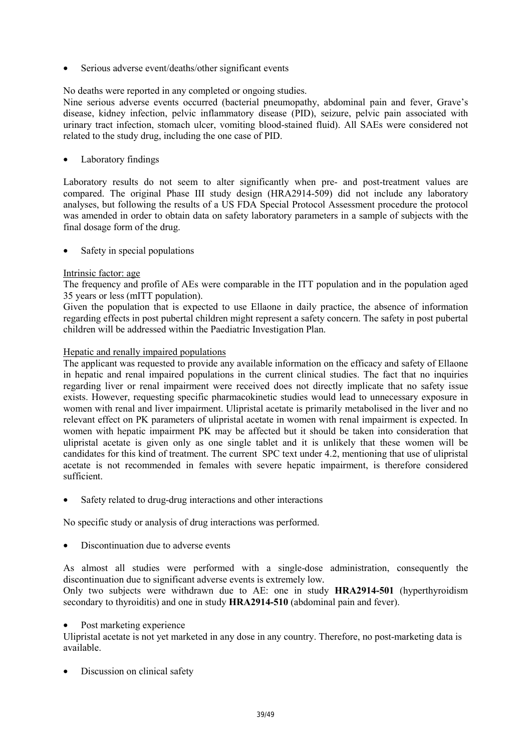Serious adverse event/deaths/other significant events

No deaths were reported in any completed or ongoing studies.

Nine serious adverse events occurred (bacterial pneumopathy, abdominal pain and fever, Grave's disease, kidney infection, pelvic inflammatory disease (PID), seizure, pelvic pain associated with urinary tract infection, stomach ulcer, vomiting blood-stained fluid). All SAEs were considered not related to the study drug, including the one case of PID.

Laboratory findings

Laboratory results do not seem to alter significantly when pre- and post-treatment values are compared. The original Phase III study design (HRA2914-509) did not include any laboratory analyses, but following the results of a US FDA Special Protocol Assessment procedure the protocol was amended in order to obtain data on safety laboratory parameters in a sample of subjects with the final dosage form of the drug.

Safety in special populations

### Intrinsic factor: age

The frequency and profile of AEs were comparable in the ITT population and in the population aged 35 years or less (mITT population).

Given the population that is expected to use Ellaone in daily practice, the absence of information regarding effects in post pubertal children might represent a safety concern. The safety in post pubertal children will be addressed within the Paediatric Investigation Plan.

### Hepatic and renally impaired populations

The applicant was requested to provide any available information on the efficacy and safety of Ellaone in hepatic and renal impaired populations in the current clinical studies. The fact that no inquiries regarding liver or renal impairment were received does not directly implicate that no safety issue exists. However, requesting specific pharmacokinetic studies would lead to unnecessary exposure in women with renal and liver impairment. Ulipristal acetate is primarily metabolised in the liver and no relevant effect on PK parameters of ulipristal acetate in women with renal impairment is expected. In women with hepatic impairment PK may be affected but it should be taken into consideration that ulipristal acetate is given only as one single tablet and it is unlikely that these women will be candidates for this kind of treatment. The current SPC text under 4.2, mentioning that use of ulipristal acetate is not recommended in females with severe hepatic impairment, is therefore considered sufficient.

• Safety related to drug-drug interactions and other interactions

No specific study or analysis of drug interactions was performed.

• Discontinuation due to adverse events

As almost all studies were performed with a single-dose administration, consequently the discontinuation due to significant adverse events is extremely low*.* 

Only two subjects were withdrawn due to AE: one in study **HRA2914-501** (hyperthyroidism secondary to thyroiditis) and one in study **HRA2914-510** (abdominal pain and fever).

#### Post marketing experience

Ulipristal acetate is not yet marketed in any dose in any country. Therefore, no post-marketing data is available.

Discussion on clinical safety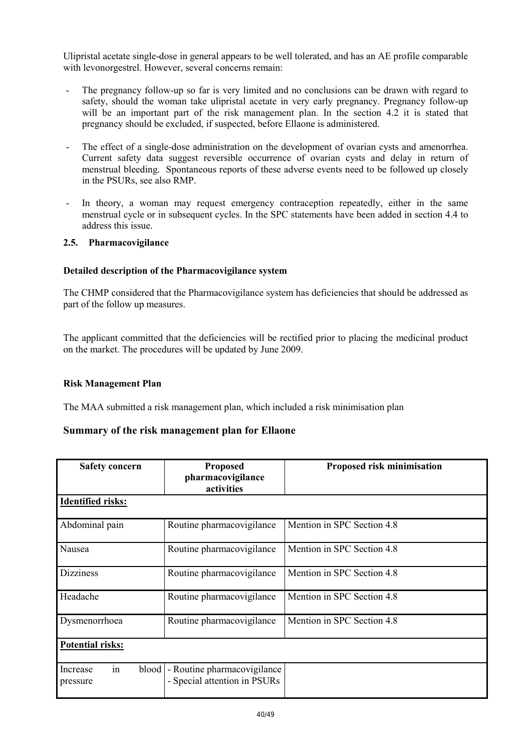Ulipristal acetate single-dose in general appears to be well tolerated, and has an AE profile comparable with levonorgestrel. However, several concerns remain:

- The pregnancy follow-up so far is very limited and no conclusions can be drawn with regard to safety, should the woman take ulipristal acetate in very early pregnancy. Pregnancy follow-up will be an important part of the risk management plan. In the section 4.2 it is stated that pregnancy should be excluded, if suspected, before Ellaone is administered.
- The effect of a single-dose administration on the development of ovarian cysts and amenorrhea. Current safety data suggest reversible occurrence of ovarian cysts and delay in return of menstrual bleeding. Spontaneous reports of these adverse events need to be followed up closely in the PSURs, see also RMP.
- In theory, a woman may request emergency contraception repeatedly, either in the same menstrual cycle or in subsequent cycles. In the SPC statements have been added in section 4.4 to address this issue.

### **2.5. Pharmacovigilance**

### **Detailed description of the Pharmacovigilance system**

The CHMP considered that the Pharmacovigilance system has deficiencies that should be addressed as part of the follow up measures.

The applicant committed that the deficiencies will be rectified prior to placing the medicinal product on the market. The procedures will be updated by June 2009.

#### **Risk Management Plan**

The MAA submitted a risk management plan, which included a risk minimisation plan

# **Summary of the risk management plan for Ellaone**

| <b>Safety concern</b>               | <b>Proposed</b><br>pharmacovigilance<br>activities          | Proposed risk minimisation |
|-------------------------------------|-------------------------------------------------------------|----------------------------|
| <b>Identified risks:</b>            |                                                             |                            |
| Abdominal pain                      | Routine pharmacovigilance                                   | Mention in SPC Section 4.8 |
| Nausea                              | Routine pharmacovigilance                                   | Mention in SPC Section 4.8 |
| <b>Dizziness</b>                    | Routine pharmacovigilance                                   | Mention in SPC Section 4.8 |
| Headache                            | Routine pharmacovigilance                                   | Mention in SPC Section 4.8 |
| Dysmenorrhoea                       | Routine pharmacovigilance                                   | Mention in SPC Section 4.8 |
| <b>Potential risks:</b>             |                                                             |                            |
| in<br>blood<br>Increase<br>pressure | - Routine pharmacovigilance<br>- Special attention in PSURs |                            |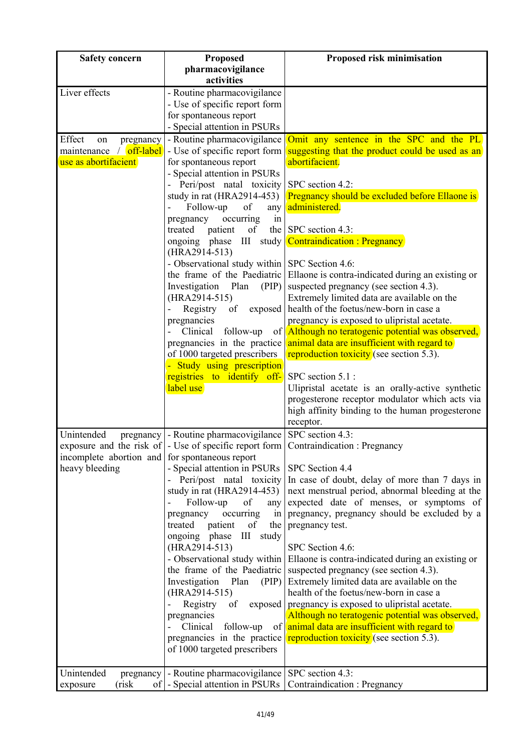| <b>Safety concern</b>                          | Proposed                                                                                    | Proposed risk minimisation                                                                                |
|------------------------------------------------|---------------------------------------------------------------------------------------------|-----------------------------------------------------------------------------------------------------------|
|                                                | pharmacovigilance                                                                           |                                                                                                           |
|                                                | activities                                                                                  |                                                                                                           |
| Liver effects                                  | - Routine pharmacovigilance                                                                 |                                                                                                           |
|                                                | - Use of specific report form                                                               |                                                                                                           |
|                                                | for spontaneous report<br>- Special attention in PSURs                                      |                                                                                                           |
| Effect<br>pregnancy<br>on                      | - Routine pharmacovigilance                                                                 | Omit any sentence in the SPC and the PL                                                                   |
| maintenance / off-label                        | - Use of specific report form                                                               | suggesting that the product could be used as an                                                           |
| use as abortifacient                           | for spontaneous report                                                                      | abortifacient.                                                                                            |
|                                                | - Special attention in PSURs                                                                |                                                                                                           |
|                                                | - Peri/post natal toxicity                                                                  | SPC section 4.2:                                                                                          |
|                                                | study in rat (HRA2914-453)                                                                  | Pregnancy should be excluded before Ellaone is                                                            |
|                                                | Follow-up<br>of<br>$\overline{a}$<br>any                                                    | administered.                                                                                             |
|                                                | occurring<br>pregnancy<br>in<br>of                                                          | the SPC section 4.3:                                                                                      |
|                                                | patient<br>treated                                                                          | ongoing phase III study <b>Contraindication</b> : Pregnancy                                               |
|                                                | (HRA2914-513)                                                                               |                                                                                                           |
|                                                | - Observational study within SPC Section 4.6:                                               |                                                                                                           |
|                                                |                                                                                             | the frame of the Paediatric Ellaone is contra-indicated during an existing or                             |
|                                                | Investigation<br>Plan<br>(PIP)                                                              | suspected pregnancy (see section 4.3).                                                                    |
|                                                | (HRA2914-515)                                                                               | Extremely limited data are available on the                                                               |
|                                                | of<br>$\overline{\phantom{0}}$<br>Registry                                                  | exposed   health of the foetus/new-born in case a                                                         |
|                                                | pregnancies<br>Clinical<br>follow-up                                                        | pregnancy is exposed to ulipristal acetate.<br>of <b>Although no teratogenic potential was observed</b> , |
|                                                | pregnancies in the practice                                                                 | animal data are insufficient with regard to                                                               |
|                                                | of 1000 targeted prescribers                                                                | reproduction toxicity (see section 5.3).                                                                  |
|                                                | - Study using prescription                                                                  |                                                                                                           |
|                                                | registries to identify off-                                                                 | SPC section 5.1 :                                                                                         |
|                                                | label use                                                                                   | Ulipristal acetate is an orally-active synthetic                                                          |
|                                                |                                                                                             | progesterone receptor modulator which acts via<br>high affinity binding to the human progesterone         |
|                                                |                                                                                             | receptor.                                                                                                 |
| Unintended                                     | pregnancy   - Routine pharmacovigilance                                                     | SPC section 4.3:                                                                                          |
|                                                | exposure and the risk of $\vert$ - Use of specific report form Contraindication : Pregnancy |                                                                                                           |
| incomplete abortion and for spontaneous report |                                                                                             |                                                                                                           |
| heavy bleeding                                 | - Special attention in PSURs                                                                | SPC Section 4.4                                                                                           |
|                                                | - Peri/post natal toxicity                                                                  | In case of doubt, delay of more than 7 days in                                                            |
|                                                | study in rat $(HRA2914-453)$<br>of                                                          | next menstrual period, abnormal bleeding at the<br>expected date of menses, or symptoms of                |
|                                                | Follow-up<br>any<br>occurring<br>pregnancy<br>in                                            | pregnancy, pregnancy should be excluded by a                                                              |
|                                                | patient<br>treated<br>of<br>the                                                             | pregnancy test.                                                                                           |
|                                                | ongoing phase III<br>study                                                                  |                                                                                                           |
|                                                | $(HRA2914-513)$                                                                             | SPC Section 4.6:                                                                                          |
|                                                |                                                                                             | - Observational study within   Ellaone is contra-indicated during an existing or                          |
|                                                | the frame of the Paediatric                                                                 | suspected pregnancy (see section 4.3).                                                                    |
|                                                | Investigation<br>Plan<br>(PIP)<br>(HRA2914-515)                                             | Extremely limited data are available on the<br>health of the foetus/new-born in case a                    |
|                                                | Registry<br>of                                                                              | exposed pregnancy is exposed to ulipristal acetate.                                                       |
|                                                | pregnancies                                                                                 | Although no teratogenic potential was observed,                                                           |
|                                                | Clinical<br>follow-up                                                                       | of animal data are insufficient with regard to                                                            |
|                                                | pregnancies in the practice                                                                 | <b>reproduction toxicity</b> (see section 5.3).                                                           |
|                                                | of 1000 targeted prescribers                                                                |                                                                                                           |
|                                                |                                                                                             |                                                                                                           |
| Unintended<br>pregnancy<br>(risk               | - Routine pharmacovigilance   SPC section 4.3:<br>of   - Special attention in PSURs         | Contraindication: Pregnancy                                                                               |
| exposure                                       |                                                                                             |                                                                                                           |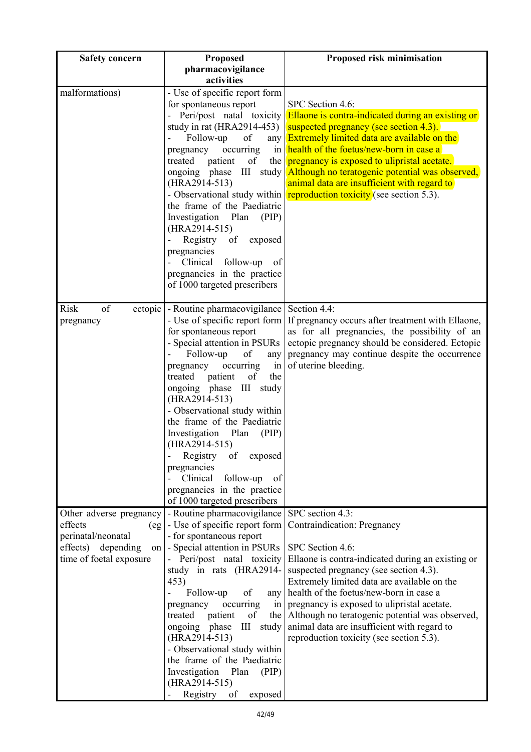| <b>Safety concern</b>         | Proposed                                                                           | Proposed risk minimisation                                                                       |
|-------------------------------|------------------------------------------------------------------------------------|--------------------------------------------------------------------------------------------------|
|                               | pharmacovigilance                                                                  |                                                                                                  |
|                               | activities                                                                         |                                                                                                  |
| malformations)                | - Use of specific report form                                                      |                                                                                                  |
|                               | for spontaneous report                                                             | SPC Section 4.6:                                                                                 |
|                               | - Peri/post natal toxicity<br>study in rat $(HRA2914-453)$                         | <b>Ellaone</b> is contra-indicated during an existing or                                         |
|                               | Follow-up<br>of<br>any                                                             | suspected pregnancy (see section 4.3).<br><b>Extremely limited data are available on the</b>     |
|                               | occurring<br>pregnancy                                                             | in $heath$ of the foetus/new-born in case a                                                      |
|                               | treated<br>patient<br>of<br>the                                                    | pregnancy is exposed to ulipristal acetate.                                                      |
|                               | $\mathop{\rm III}$<br>ongoing phase<br>study                                       | Although no teratogenic potential was observed,                                                  |
|                               | (HRA2914-513)                                                                      | animal data are insufficient with regard to                                                      |
|                               | - Observational study within                                                       | reproduction toxicity (see section 5.3).                                                         |
|                               | the frame of the Paediatric                                                        |                                                                                                  |
|                               | Investigation<br>Plan<br>(PIP)<br>(HRA2914-515)                                    |                                                                                                  |
|                               | $\overline{a}$<br>Registry of<br>exposed                                           |                                                                                                  |
|                               | pregnancies                                                                        |                                                                                                  |
|                               | Clinical<br>follow-up<br>- of                                                      |                                                                                                  |
|                               | pregnancies in the practice                                                        |                                                                                                  |
|                               | of 1000 targeted prescribers                                                       |                                                                                                  |
|                               |                                                                                    |                                                                                                  |
| of<br>Risk                    | ectopic - Routine pharmacovigilance                                                | Section 4.4:                                                                                     |
| pregnancy                     | - Use of specific report form                                                      | If pregnancy occurs after treatment with Ellaone,                                                |
|                               | for spontaneous report<br>- Special attention in PSURs                             | as for all pregnancies, the possibility of an<br>ectopic pregnancy should be considered. Ectopic |
|                               | Follow-up<br>of<br>any                                                             | pregnancy may continue despite the occurrence                                                    |
|                               | occurring<br>pregnancy<br>in                                                       | of uterine bleeding.                                                                             |
|                               | treated<br>patient<br>of<br>the                                                    |                                                                                                  |
|                               | ongoing phase<br>Ш<br>study                                                        |                                                                                                  |
|                               | (HRA2914-513)                                                                      |                                                                                                  |
|                               | - Observational study within                                                       |                                                                                                  |
|                               | the frame of the Paediatric<br>Investigation Plan<br>(PIP)                         |                                                                                                  |
|                               | (HRA2914-515)                                                                      |                                                                                                  |
|                               | Registry<br>of<br>exposed                                                          |                                                                                                  |
|                               | pregnancies                                                                        |                                                                                                  |
|                               | Clinical<br>follow-up<br>of                                                        |                                                                                                  |
|                               | pregnancies in the practice                                                        |                                                                                                  |
|                               | of 1000 targeted prescribers                                                       |                                                                                                  |
| Other adverse pregnancy       | - Routine pharmacovigilance                                                        | SPC section 4.3:                                                                                 |
| effects<br>perinatal/neonatal | $\left(\text{eg}\right)$ - Use of specific report form<br>- for spontaneous report | <b>Contraindication: Pregnancy</b>                                                               |
| effects)<br>depending         | on   - Special attention in PSURs                                                  | SPC Section 4.6:                                                                                 |
| time of foetal exposure       | - Peri/post natal toxicity                                                         | Ellaone is contra-indicated during an existing or                                                |
|                               | study in rats (HRA2914-                                                            | suspected pregnancy (see section 4.3).                                                           |
|                               | 453)                                                                               | Extremely limited data are available on the                                                      |
|                               | Follow-up<br>of<br>any                                                             | health of the foetus/new-born in case a                                                          |
|                               | occurring<br>pregnancy<br>in <sub>1</sub>                                          | pregnancy is exposed to ulipristal acetate.                                                      |
|                               | of<br>treated<br>patient<br>the<br>ongoing phase<br>Ш<br>study                     | Although no teratogenic potential was observed,<br>animal data are insufficient with regard to   |
|                               | (HRA2914-513)                                                                      | reproduction toxicity (see section 5.3).                                                         |
|                               | - Observational study within                                                       |                                                                                                  |
|                               | the frame of the Paediatric                                                        |                                                                                                  |
|                               | Investigation<br>Plan<br>(PIP)                                                     |                                                                                                  |
|                               | $(HRA2914-515)$                                                                    |                                                                                                  |
|                               | Registry of<br>exposed                                                             |                                                                                                  |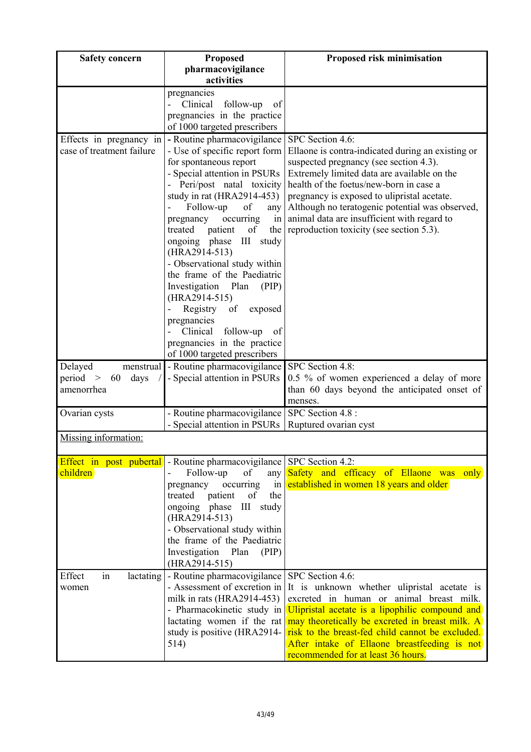| <b>Safety concern</b>                                | Proposed                                                                    | Proposed risk minimisation                                                         |
|------------------------------------------------------|-----------------------------------------------------------------------------|------------------------------------------------------------------------------------|
|                                                      | pharmacovigilance                                                           |                                                                                    |
|                                                      | activities                                                                  |                                                                                    |
|                                                      | pregnancies                                                                 |                                                                                    |
|                                                      | Clinical<br>follow-up<br>$\overline{a}$<br>of                               |                                                                                    |
|                                                      | pregnancies in the practice<br>of 1000 targeted prescribers                 |                                                                                    |
|                                                      | - Routine pharmacovigilance                                                 | SPC Section 4.6:                                                                   |
| Effects in pregnancy in<br>case of treatment failure | - Use of specific report form                                               | Ellaone is contra-indicated during an existing or                                  |
|                                                      | for spontaneous report                                                      | suspected pregnancy (see section 4.3).                                             |
|                                                      | - Special attention in PSURs                                                | Extremely limited data are available on the                                        |
|                                                      | - Peri/post natal toxicity                                                  | health of the foetus/new-born in case a                                            |
|                                                      | study in rat (HRA2914-453)                                                  | pregnancy is exposed to ulipristal acetate.                                        |
|                                                      | Follow-up<br>of<br>any                                                      | Although no teratogenic potential was observed,                                    |
|                                                      | occurring<br>pregnancy<br>in                                                | animal data are insufficient with regard to                                        |
|                                                      | treated<br>patient<br>of<br>the                                             | reproduction toxicity (see section 5.3).                                           |
|                                                      | ongoing phase III<br>study<br>(HRA2914-513)                                 |                                                                                    |
|                                                      | - Observational study within                                                |                                                                                    |
|                                                      | the frame of the Paediatric                                                 |                                                                                    |
|                                                      | Investigation<br>Plan<br>(PIP)                                              |                                                                                    |
|                                                      | (HRA2914-515)                                                               |                                                                                    |
|                                                      | of<br>Registry<br>exposed<br>$\overline{\phantom{0}}$                       |                                                                                    |
|                                                      | pregnancies<br>Clinical                                                     |                                                                                    |
|                                                      | follow-up<br>of<br>pregnancies in the practice                              |                                                                                    |
|                                                      | of 1000 targeted prescribers                                                |                                                                                    |
| Delayed<br>menstrual                                 | - Routine pharmacovigilance                                                 | SPC Section 4.8:                                                                   |
| period ><br>60<br>days                               | - Special attention in PSURs                                                | 0.5 % of women experienced a delay of more                                         |
| amenorrhea                                           |                                                                             | than 60 days beyond the anticipated onset of                                       |
|                                                      |                                                                             | menses.                                                                            |
| Ovarian cysts                                        | - Routine pharmacovigilance                                                 | SPC Section 4.8 :                                                                  |
|                                                      | - Special attention in PSURs                                                | Ruptured ovarian cyst                                                              |
| Missing information:                                 |                                                                             |                                                                                    |
|                                                      | <b>Effect in post pubertal</b> - Routine pharmacovigilance SPC Section 4.2: |                                                                                    |
| children)                                            | Follow-up<br>of<br>any                                                      | Safety and efficacy of Ellaone was<br>only                                         |
|                                                      | occurring<br>pregnancy<br>in                                                | established in women 18 years and older                                            |
|                                                      | patient<br>the<br>treated<br>of                                             |                                                                                    |
|                                                      | III<br>ongoing phase<br>study<br>(HRA2914-513)                              |                                                                                    |
|                                                      | - Observational study within                                                |                                                                                    |
|                                                      | the frame of the Paediatric                                                 |                                                                                    |
|                                                      | Investigation Plan<br>(PIP)                                                 |                                                                                    |
|                                                      | (HRA2914-515)                                                               |                                                                                    |
| Effect<br>lactating<br>in                            | - Routine pharmacovigilance                                                 | SPC Section 4.6:                                                                   |
| women                                                | - Assessment of excretion in                                                | It is unknown whether ulipristal acetate is                                        |
|                                                      | milk in rats (HRA2914-453)                                                  | excreted in human or animal breast milk.                                           |
|                                                      | - Pharmacokinetic study in                                                  | Ulipristal acetate is a lipophilic compound and                                    |
|                                                      | lactating women if the rat                                                  | may theoretically be excreted in breast milk. A                                    |
|                                                      | study is positive (HRA2914-                                                 | risk to the breast-fed child cannot be excluded.                                   |
|                                                      | 514)                                                                        | After intake of Ellaone breastfeeding is not<br>recommended for at least 36 hours. |
|                                                      |                                                                             |                                                                                    |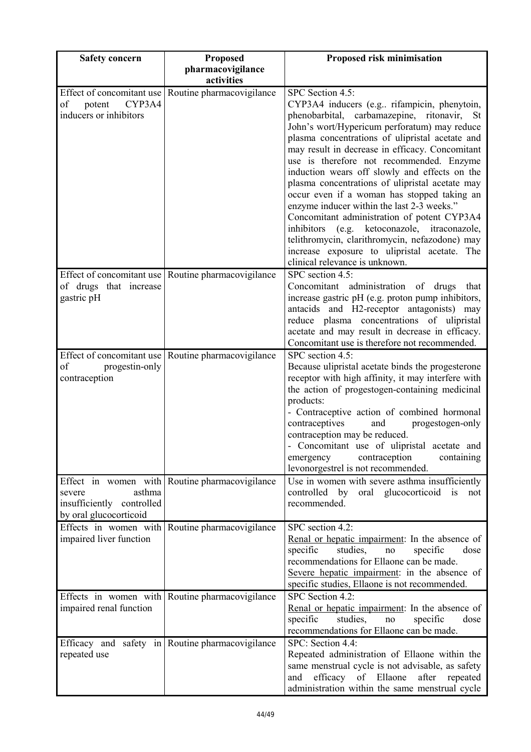| <b>Safety concern</b>                                                         | <b>Proposed</b>                                     | Proposed risk minimisation                                                                                                                                                                                                                                                                                                                                                                                                                                                                                                                                                                                                                                                                                                                           |
|-------------------------------------------------------------------------------|-----------------------------------------------------|------------------------------------------------------------------------------------------------------------------------------------------------------------------------------------------------------------------------------------------------------------------------------------------------------------------------------------------------------------------------------------------------------------------------------------------------------------------------------------------------------------------------------------------------------------------------------------------------------------------------------------------------------------------------------------------------------------------------------------------------------|
|                                                                               | pharmacovigilance<br>activities                     |                                                                                                                                                                                                                                                                                                                                                                                                                                                                                                                                                                                                                                                                                                                                                      |
| Effect of concomitant use<br>CYP3A4<br>of<br>potent<br>inducers or inhibitors | Routine pharmacovigilance                           | SPC Section 4.5:<br>CYP3A4 inducers (e.g rifampicin, phenytoin,<br>phenobarbital, carbamazepine, ritonavir, St<br>John's wort/Hypericum perforatum) may reduce<br>plasma concentrations of ulipristal acetate and<br>may result in decrease in efficacy. Concomitant<br>use is therefore not recommended. Enzyme<br>induction wears off slowly and effects on the<br>plasma concentrations of ulipristal acetate may<br>occur even if a woman has stopped taking an<br>enzyme inducer within the last 2-3 weeks."<br>Concomitant administration of potent CYP3A4<br>inhibitors (e.g. ketoconazole, itraconazole,<br>telithromycin, clarithromycin, nefazodone) may<br>increase exposure to ulipristal acetate. The<br>clinical relevance is unknown. |
| of drugs that increase<br>gastric pH                                          | Effect of concomitant use Routine pharmacovigilance | SPC section 4.5:<br>administration of drugs<br>Concomitant<br>that<br>increase gastric pH (e.g. proton pump inhibitors,<br>antacids and H2-receptor antagonists) may<br>reduce plasma concentrations of ulipristal<br>acetate and may result in decrease in efficacy.<br>Concomitant use is therefore not recommended.                                                                                                                                                                                                                                                                                                                                                                                                                               |
| of<br>progestin-only<br>contraception                                         | Effect of concomitant use Routine pharmacovigilance | SPC section 4.5:<br>Because ulipristal acetate binds the progesterone<br>receptor with high affinity, it may interfere with<br>the action of progestogen-containing medicinal<br>products:<br>- Contraceptive action of combined hormonal<br>contraceptives<br>and<br>progestogen-only<br>contraception may be reduced.<br>- Concomitant use of ulipristal acetate and<br>emergency contraception<br>containing<br>levonorgestrel is not recommended.                                                                                                                                                                                                                                                                                                |
| asthma<br>severe<br>insufficiently controlled<br>by oral glucocorticoid       | Effect in women with Routine pharmacovigilance      | Use in women with severe asthma insufficiently<br>controlled by oral glucocorticoid is<br>not<br>recommended.                                                                                                                                                                                                                                                                                                                                                                                                                                                                                                                                                                                                                                        |
| Effects in women with<br>impaired liver function                              | Routine pharmacovigilance                           | SPC section 4.2:<br>Renal or hepatic impairment: In the absence of<br>specific<br>studies,<br>specific<br>dose<br>no<br>recommendations for Ellaone can be made.<br>Severe hepatic impairment: in the absence of<br>specific studies, Ellaone is not recommended.                                                                                                                                                                                                                                                                                                                                                                                                                                                                                    |
| impaired renal function                                                       | Effects in women with Routine pharmacovigilance     | SPC Section 4.2:<br>Renal or hepatic impairment: In the absence of<br>specific<br>studies,<br>specific<br>dose<br>$\rm no$<br>recommendations for Ellaone can be made.                                                                                                                                                                                                                                                                                                                                                                                                                                                                                                                                                                               |
| repeated use                                                                  | Efficacy and safety in Routine pharmacovigilance    | SPC: Section 4.4:<br>Repeated administration of Ellaone within the<br>same menstrual cycle is not advisable, as safety<br>efficacy<br>of Ellaone<br>after<br>and<br>repeated<br>administration within the same menstrual cycle                                                                                                                                                                                                                                                                                                                                                                                                                                                                                                                       |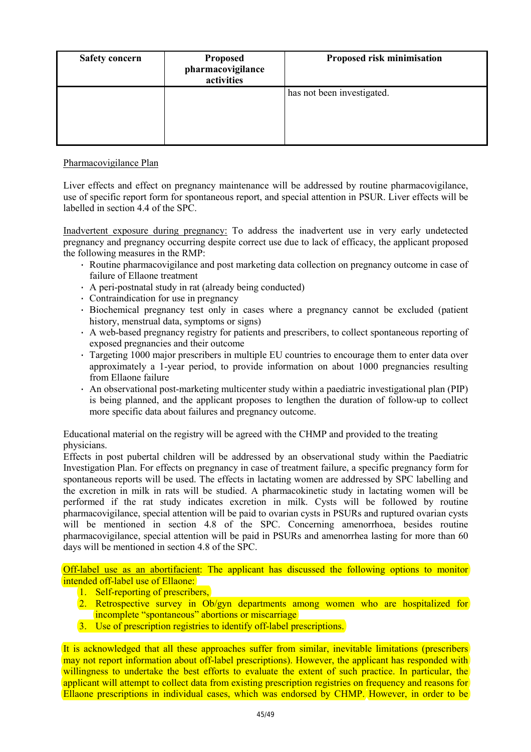| <b>Safety concern</b> | <b>Proposed</b><br>pharmacovigilance<br>activities | Proposed risk minimisation |
|-----------------------|----------------------------------------------------|----------------------------|
|                       |                                                    | has not been investigated. |

# Pharmacovigilance Plan

Liver effects and effect on pregnancy maintenance will be addressed by routine pharmacovigilance, use of specific report form for spontaneous report, and special attention in PSUR. Liver effects will be labelled in section 4.4 of the SPC.

Inadvertent exposure during pregnancy: To address the inadvertent use in very early undetected pregnancy and pregnancy occurring despite correct use due to lack of efficacy, the applicant proposed the following measures in the RMP:

- · Routine pharmacovigilance and post marketing data collection on pregnancy outcome in case of failure of Ellaone treatment
- · A peri-postnatal study in rat (already being conducted)
- · Contraindication for use in pregnancy
- · Biochemical pregnancy test only in cases where a pregnancy cannot be excluded (patient history, menstrual data, symptoms or signs)
- · A web-based pregnancy registry for patients and prescribers, to collect spontaneous reporting of exposed pregnancies and their outcome
- · Targeting 1000 major prescribers in multiple EU countries to encourage them to enter data over approximately a 1-year period, to provide information on about 1000 pregnancies resulting from Ellaone failure
- · An observational post-marketing multicenter study within a paediatric investigational plan (PIP) is being planned, and the applicant proposes to lengthen the duration of follow-up to collect more specific data about failures and pregnancy outcome.

Educational material on the registry will be agreed with the CHMP and provided to the treating physicians.

Effects in post pubertal children will be addressed by an observational study within the Paediatric Investigation Plan. For effects on pregnancy in case of treatment failure, a specific pregnancy form for spontaneous reports will be used. The effects in lactating women are addressed by SPC labelling and the excretion in milk in rats will be studied. A pharmacokinetic study in lactating women will be performed if the rat study indicates excretion in milk. Cysts will be followed by routine pharmacovigilance, special attention will be paid to ovarian cysts in PSURs and ruptured ovarian cysts will be mentioned in section 4.8 of the SPC. Concerning amenorrhoea, besides routine pharmacovigilance, special attention will be paid in PSURs and amenorrhea lasting for more than 60 days will be mentioned in section 4.8 of the SPC.

Off-label use as an abortifacient: The applicant has discussed the following options to monitor intended off-label use of Ellaone:

- 1. Self-reporting of prescribers,
- 2. Retrospective survey in Ob/gyn departments among women who are hospitalized for incomplete "spontaneous" abortions or miscarriage
- 3. Use of prescription registries to identify off-label prescriptions.

It is acknowledged that all these approaches suffer from similar, inevitable limitations (prescribers may not report information about off-label prescriptions). However, the applicant has responded with willingness to undertake the best efforts to evaluate the extent of such practice. In particular, the applicant will attempt to collect data from existing prescription registries on frequency and reasons for Ellaone prescriptions in individual cases, which was endorsed by CHMP. However, in order to be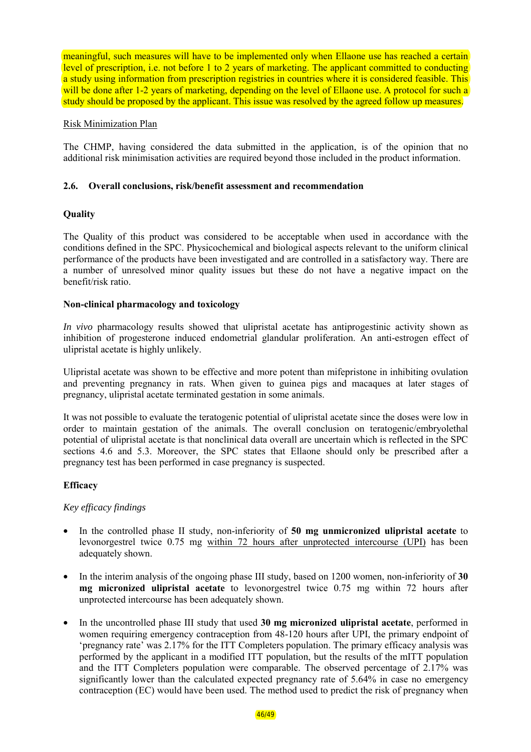meaningful, such measures will have to be implemented only when Ellaone use has reached a certain level of prescription, i.e. not before 1 to 2 years of marketing. The applicant committed to conducting a study using information from prescription registries in countries where it is considered feasible. This will be done after 1-2 years of marketing, depending on the level of Ellaone use. A protocol for such a study should be proposed by the applicant. This issue was resolved by the agreed follow up measures.

### Risk Minimization Plan

The CHMP, having considered the data submitted in the application, is of the opinion that no additional risk minimisation activities are required beyond those included in the product information.

### **2.6. Overall conclusions, risk/benefit assessment and recommendation**

# **Quality**

The Quality of this product was considered to be acceptable when used in accordance with the conditions defined in the SPC. Physicochemical and biological aspects relevant to the uniform clinical performance of the products have been investigated and are controlled in a satisfactory way. There are a number of unresolved minor quality issues but these do not have a negative impact on the benefit/risk ratio.

### **Non-clinical pharmacology and toxicology**

*In vivo* pharmacology results showed that ulipristal acetate has antiprogestinic activity shown as inhibition of progesterone induced endometrial glandular proliferation. An anti-estrogen effect of ulipristal acetate is highly unlikely.

Ulipristal acetate was shown to be effective and more potent than mifepristone in inhibiting ovulation and preventing pregnancy in rats. When given to guinea pigs and macaques at later stages of pregnancy, ulipristal acetate terminated gestation in some animals.

It was not possible to evaluate the teratogenic potential of ulipristal acetate since the doses were low in order to maintain gestation of the animals. The overall conclusion on teratogenic/embryolethal potential of ulipristal acetate is that nonclinical data overall are uncertain which is reflected in the SPC sections 4.6 and 5.3. Moreover, the SPC states that Ellaone should only be prescribed after a pregnancy test has been performed in case pregnancy is suspected.

# **Efficacy**

#### *Key efficacy findings*

- In the controlled phase II study, non-inferiority of **50 mg unmicronized ulipristal acetate** to levonorgestrel twice 0.75 mg within 72 hours after unprotected intercourse (UPI) has been adequately shown.
- In the interim analysis of the ongoing phase III study, based on 1200 women, non-inferiority of **30 mg micronized ulipristal acetate** to levonorgestrel twice 0.75 mg within 72 hours after unprotected intercourse has been adequately shown.
- In the uncontrolled phase III study that used **30 mg micronized ulipristal acetate**, performed in women requiring emergency contraception from 48-120 hours after UPI, the primary endpoint of 'pregnancy rate' was 2.17% for the ITT Completers population. The primary efficacy analysis was performed by the applicant in a modified ITT population, but the results of the mITT population and the ITT Completers population were comparable. The observed percentage of 2.17% was significantly lower than the calculated expected pregnancy rate of 5.64% in case no emergency contraception (EC) would have been used. The method used to predict the risk of pregnancy when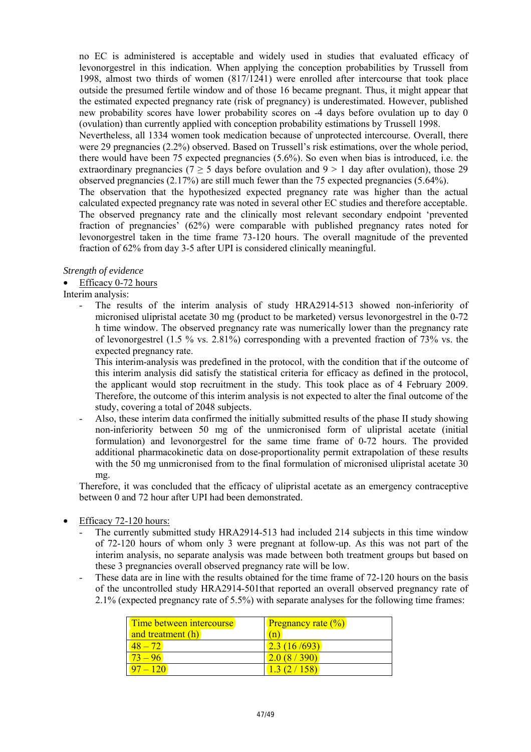no EC is administered is acceptable and widely used in studies that evaluated efficacy of levonorgestrel in this indication. When applying the conception probabilities by Trussell from 1998, almost two thirds of women (817/1241) were enrolled after intercourse that took place outside the presumed fertile window and of those 16 became pregnant. Thus, it might appear that the estimated expected pregnancy rate (risk of pregnancy) is underestimated. However, published new probability scores have lower probability scores on -4 days before ovulation up to day 0 (ovulation) than currently applied with conception probability estimations by Trussell 1998.

Nevertheless, all 1334 women took medication because of unprotected intercourse. Overall, there were 29 pregnancies (2.2%) observed. Based on Trussell's risk estimations, over the whole period, there would have been 75 expected pregnancies (5.6%). So even when bias is introduced, i.e. the extraordinary pregnancies ( $7 \geq 5$  days before ovulation and  $9 \geq 1$  day after ovulation), those 29 observed pregnancies (2.17%) are still much fewer than the 75 expected pregnancies (5.64%).

The observation that the hypothesized expected pregnancy rate was higher than the actual calculated expected pregnancy rate was noted in several other EC studies and therefore acceptable. The observed pregnancy rate and the clinically most relevant secondary endpoint 'prevented fraction of pregnancies' (62%) were comparable with published pregnancy rates noted for levonorgestrel taken in the time frame 73-120 hours. The overall magnitude of the prevented fraction of 62% from day 3-5 after UPI is considered clinically meaningful.

### *Strength of evidence*

Efficacy 0-72 hours

Interim analysis:

The results of the interim analysis of study HRA2914-513 showed non-inferiority of micronised ulipristal acetate 30 mg (product to be marketed) versus levonorgestrel in the 0-72 h time window. The observed pregnancy rate was numerically lower than the pregnancy rate of levonorgestrel (1.5 % vs. 2.81%) corresponding with a prevented fraction of 73% vs. the expected pregnancy rate.

This interim-analysis was predefined in the protocol, with the condition that if the outcome of this interim analysis did satisfy the statistical criteria for efficacy as defined in the protocol, the applicant would stop recruitment in the study. This took place as of 4 February 2009. Therefore, the outcome of this interim analysis is not expected to alter the final outcome of the study, covering a total of 2048 subjects.

- Also, these interim data confirmed the initially submitted results of the phase II study showing non-inferiority between 50 mg of the unmicronised form of ulipristal acetate (initial formulation) and levonorgestrel for the same time frame of 0-72 hours. The provided additional pharmacokinetic data on dose-proportionality permit extrapolation of these results with the 50 mg unmicronised from to the final formulation of micronised ulipristal acetate 30 mg.

Therefore, it was concluded that the efficacy of ulipristal acetate as an emergency contraceptive between 0 and 72 hour after UPI had been demonstrated.

- Efficacy 72-120 hours:
	- The currently submitted study HRA2914-513 had included 214 subjects in this time window of 72-120 hours of whom only 3 were pregnant at follow-up. As this was not part of the interim analysis, no separate analysis was made between both treatment groups but based on these 3 pregnancies overall observed pregnancy rate will be low.
	- These data are in line with the results obtained for the time frame of 72-120 hours on the basis of the uncontrolled study HRA2914-501that reported an overall observed pregnancy rate of 2.1% (expected pregnancy rate of 5.5%) with separate analyses for the following time frames:

| Time between intercourse | <b>Pregnancy rate <math>(\%)</math></b> |
|--------------------------|-----------------------------------------|
| and treatment (h)        | (n)                                     |
|                          | 2.3(16/693)                             |
| $73 - 96$                | 2.0(8/390)                              |
| $97 - 120$               | 1302/158)                               |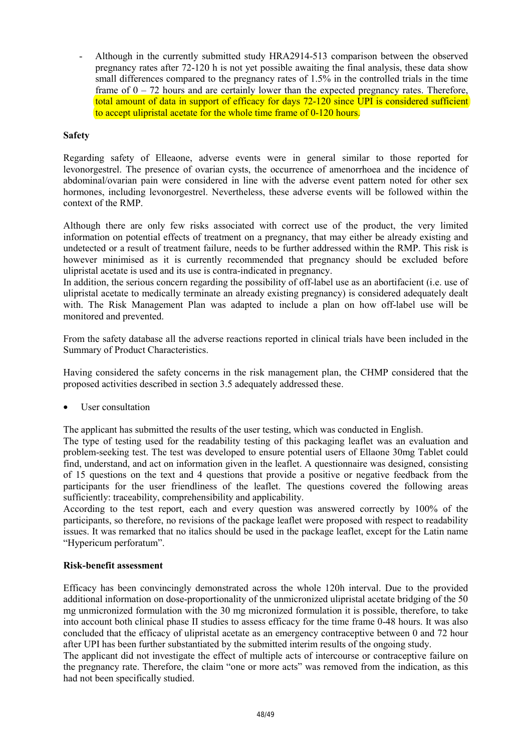- Although in the currently submitted study HRA2914-513 comparison between the observed pregnancy rates after 72-120 h is not yet possible awaiting the final analysis, these data show small differences compared to the pregnancy rates of 1.5% in the controlled trials in the time frame of  $0 - 72$  hours and are certainly lower than the expected pregnancy rates. Therefore, total amount of data in support of efficacy for days 72-120 since UPI is considered sufficient to accept ulipristal acetate for the whole time frame of 0-120 hours.

### **Safety**

Regarding safety of Elleaone, adverse events were in general similar to those reported for levonorgestrel. The presence of ovarian cysts, the occurrence of amenorrhoea and the incidence of abdominal/ovarian pain were considered in line with the adverse event pattern noted for other sex hormones, including levonorgestrel. Nevertheless, these adverse events will be followed within the context of the RMP.

Although there are only few risks associated with correct use of the product, the very limited information on potential effects of treatment on a pregnancy, that may either be already existing and undetected or a result of treatment failure, needs to be further addressed within the RMP. This risk is however minimised as it is currently recommended that pregnancy should be excluded before ulipristal acetate is used and its use is contra-indicated in pregnancy.

In addition, the serious concern regarding the possibility of off-label use as an abortifacient (i.e. use of ulipristal acetate to medically terminate an already existing pregnancy) is considered adequately dealt with. The Risk Management Plan was adapted to include a plan on how off-label use will be monitored and prevented.

From the safety database all the adverse reactions reported in clinical trials have been included in the Summary of Product Characteristics.

Having considered the safety concerns in the risk management plan, the CHMP considered that the proposed activities described in section 3.5 adequately addressed these.

User consultation

The applicant has submitted the results of the user testing, which was conducted in English.

The type of testing used for the readability testing of this packaging leaflet was an evaluation and problem-seeking test. The test was developed to ensure potential users of Ellaone 30mg Tablet could find, understand, and act on information given in the leaflet. A questionnaire was designed, consisting of 15 questions on the text and 4 questions that provide a positive or negative feedback from the participants for the user friendliness of the leaflet. The questions covered the following areas sufficiently: traceability, comprehensibility and applicability.

According to the test report, each and every question was answered correctly by 100% of the participants, so therefore, no revisions of the package leaflet were proposed with respect to readability issues. It was remarked that no italics should be used in the package leaflet, except for the Latin name "Hypericum perforatum".

### **Risk-benefit assessment**

Efficacy has been convincingly demonstrated across the whole 120h interval. Due to the provided additional information on dose-proportionality of the unmicronized ulipristal acetate bridging of the 50 mg unmicronized formulation with the 30 mg micronized formulation it is possible, therefore, to take into account both clinical phase II studies to assess efficacy for the time frame 0-48 hours. It was also concluded that the efficacy of ulipristal acetate as an emergency contraceptive between 0 and 72 hour after UPI has been further substantiated by the submitted interim results of the ongoing study.

The applicant did not investigate the effect of multiple acts of intercourse or contraceptive failure on the pregnancy rate. Therefore, the claim "one or more acts" was removed from the indication, as this had not been specifically studied.